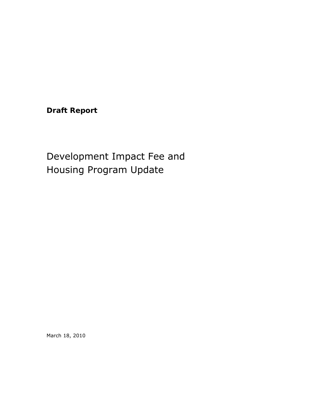**Draft Report** 

# Development Impact Fee and Housing Program Update

March 18, 2010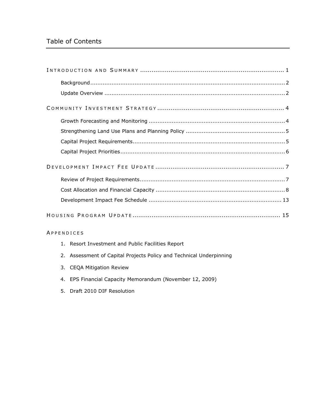# Table of Contents

#### A PPENDICES

- 1. Resort Investment and Public Facilities Report
- 2. Assessment of Capital Projects Policy and Technical Underpinning
- 3. CEQA Mitigation Review
- 4. EPS Financial Capacity Memorandum (November 12, 2009)
- 5. Draft 2010 DIF Resolution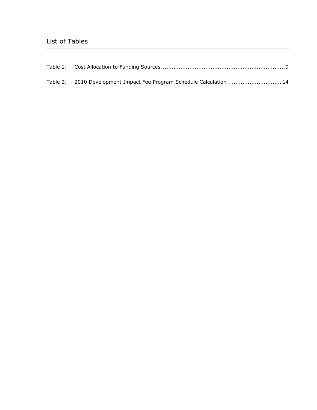| Table 2: 2010 Development Impact Fee Program Schedule Calculation  14 |  |
|-----------------------------------------------------------------------|--|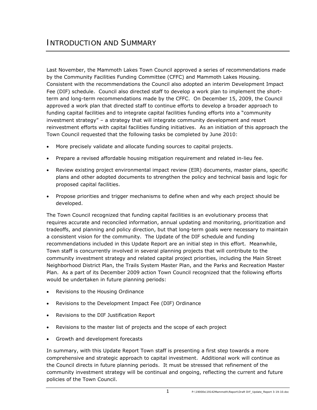Last November, the Mammoth Lakes Town Council approved a series of recommendations made by the Community Facilities Funding Committee (CFFC) and Mammoth Lakes Housing. Consistent with the recommendations the Council also adopted an interim Development Impact Fee (DIF) schedule. Council also directed staff to develop a work plan to implement the shortterm and long-term recommendations made by the CFFC. On December 15, 2009, the Council approved a work plan that directed staff to continue efforts to develop a broader approach to funding capital facilities and to integrate capital facilities funding efforts into a "community investment strategy" – a strategy that will integrate community development and resort reinvestment efforts with capital facilities funding initiatives. As an initiation of this approach the Town Council requested that the following tasks be completed by June 2010:

- More precisely validate and allocate funding sources to capital projects.
- Prepare a revised affordable housing mitigation requirement and related in-lieu fee.
- Review existing project environmental impact review (EIR) documents, master plans, specific plans and other adopted documents to strengthen the policy and technical basis and logic for proposed capital facilities.
- Propose priorities and trigger mechanisms to define when and why each project should be developed.

The Town Council recognized that funding capital facilities is an evolutionary process that requires accurate and reconciled information, annual updating and monitoring, prioritization and tradeoffs, and planning and policy direction, but that long-term goals were necessary to maintain a consistent vision for the community. The Update of the DIF schedule and funding recommendations included in this Update Report are an initial step in this effort. Meanwhile, Town staff is concurrently involved in several planning projects that will contribute to the community investment strategy and related capital project priorities, including the Main Street Neighborhood District Plan, the Trails System Master Plan, and the Parks and Recreation Master Plan. As a part of its December 2009 action Town Council recognized that the following efforts would be undertaken in future planning periods:

- Revisions to the Housing Ordinance
- Revisions to the Development Impact Fee (DIF) Ordinance
- Revisions to the DIF Justification Report
- Revisions to the master list of projects and the scope of each project
- Growth and development forecasts

In summary, with this Update Report Town staff is presenting a first step towards a more comprehensive and strategic approach to capital investment. Additional work will continue as the Council directs in future planning periods. It must be stressed that refinement of the community investment strategy will be continual and ongoing, reflecting the current and future policies of the Town Council.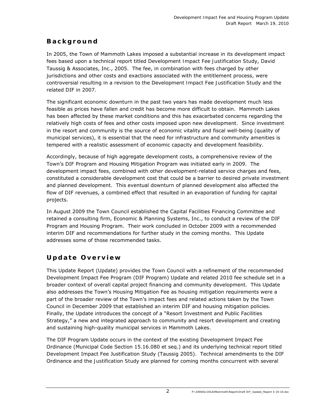### **Background**

In 2005, the Town of Mammoth Lakes imposed a substantial increase in its development impact fees based upon a technical report titled *Development Impact Fee Justification Study*, David Taussig & Associates, Inc., 2005. The fee, in combination with fees charged by other jurisdictions and other costs and exactions associated with the entitlement process, were controversial resulting in a revision to the *Development Impact Fee Justification Study* and the related DIF in 2007.

The significant economic downturn in the past two years has made development much less feasible as prices have fallen and credit has become more difficult to obtain. Mammoth Lakes has been affected by these market conditions and this has exacerbated concerns regarding the relatively high costs of fees and other costs imposed upon new development. Since investment in the resort and community is the source of economic vitality and fiscal well-being (quality of municipal services), it is essential that the need for infrastructure and community amenities is tempered with a realistic assessment of economic capacity and development feasibility.

Accordingly, because of high aggregate development costs, a comprehensive review of the Town's DIF Program and Housing Mitigation Program was initiated early in 2009. The development impact fees, combined with other development-related service charges and fees, constituted a considerable development cost that could be a barrier to desired private investment and planned development. This eventual downturn of planned development also affected the flow of DIF revenues, a combined effect that resulted in an evaporation of funding for capital projects.

In August 2009 the Town Council established the Capital Facilities Financing Committee and retained a consulting firm, Economic & Planning Systems, Inc., to conduct a review of the DIF Program and Housing Program. Their work concluded in October 2009 with a recommended interim DIF and recommendations for further study in the coming months. This Update addresses some of those recommended tasks.

# **Update Overview**

This Update Report (Update) provides the Town Council with a refinement of the recommended Development Impact Fee Program (DIF Program) Update and related 2010 fee schedule set in a broader context of overall capital project financing and community development. This Update also addresses the Town's Housing Mitigation Fee as housing mitigation requirements were a part of the broader review of the Town's impact fees and related actions taken by the Town Council in December 2009 that established an interim DIF and housing mitigation policies. Finally, the Update introduces the concept of a "Resort Investment and Public Facilities Strategy," a new and integrated approach to community and resort development and creating and sustaining high-quality municipal services in Mammoth Lakes.

The DIF Program Update occurs in the context of the existing Development Impact Fee Ordinance (Municipal Code Section 15.16.080 et seq.) and its underlying technical report titled Development Impact Fee Justification Study (Taussig 2005). Technical amendments to the DIF Ordinance and the *Justification Study* are planned for coming months concurrent with several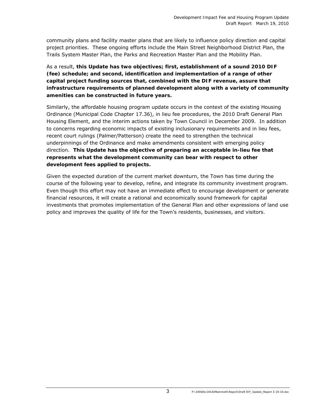community plans and facility master plans that are likely to influence policy direction and capital project priorities. These ongoing efforts include the Main Street Neighborhood District Plan, the Trails System Master Plan, the Parks and Recreation Master Plan and the Mobility Plan.

As a result, **this Update has two objectives; first, establishment of a sound 2010 DIF (fee) schedule; and second, identification and implementation of a range of other capital project funding sources that, combined with the DIF revenue, assure that infrastructure requirements of planned development along with a variety of community amenities can be constructed in future years.** 

Similarly, the affordable housing program update occurs in the context of the existing Housing Ordinance (Municipal Code Chapter 17.36), in lieu fee procedures, the 2010 Draft General Plan Housing Element, and the interim actions taken by Town Council in December 2009. In addition to concerns regarding economic impacts of existing inclusionary requirements and in lieu fees, recent court rulings (Palmer/Patterson) create the need to strengthen the technical underpinnings of the Ordinance and make amendments consistent with emerging policy direction. **This Update has the objective of preparing an acceptable in-lieu fee that represents what the development community can bear with respect to other development fees applied to projects.**

Given the expected duration of the current market downturn, the Town has time during the course of the following year to develop, refine, and integrate its community investment program. Even though this effort may not have an immediate effect to encourage development or generate financial resources, it will create a rational and economically sound framework for capital investments that promotes implementation of the General Plan and other expressions of land use policy and improves the quality of life for the Town's residents, businesses, and visitors.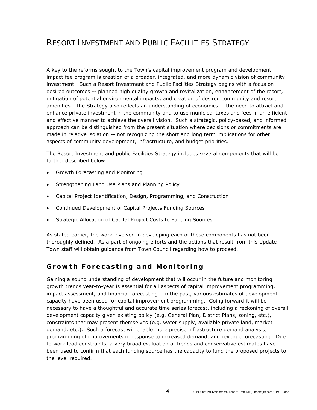A key to the reforms sought to the Town's capital improvement program and development impact fee program is creation of a broader, integrated, and more dynamic vision of community investment. Such a Resort Investment and Public Facilities Strategy begins with a focus on desired outcomes -- planned high quality growth and revitalization, enhancement of the resort, mitigation of potential environmental impacts, and creation of desired community and resort amenities. The Strategy also reflects an understanding of economics -- the need to attract and enhance private investment in the community and to use municipal taxes and fees in an efficient and effective manner to achieve the overall vision. Such a strategic, policy-based, and informed approach can be distinguished from the present situation where decisions or commitments are made in relative isolation -- not recognizing the short and long term implications for other aspects of community development, infrastructure, and budget priorities.

The Resort Investment and public Facilities Strategy includes several components that will be further described below:

- Growth Forecasting and Monitoring
- Strengthening Land Use Plans and Planning Policy
- Capital Project Identification, Design, Programming, and Construction
- Continued Development of Capital Projects Funding Sources
- Strategic Allocation of Capital Project Costs to Funding Sources

As stated earlier, the work involved in developing each of these components has not been thoroughly defined. As a part of ongoing efforts and the actions that result from this Update Town staff will obtain guidance from Town Council regarding how to proceed.

# **Growth Forecasting and Monitoring**

Gaining a sound understanding of development that will occur in the future and monitoring growth trends year-to-year is essential for all aspects of capital improvement programming, impact assessment, and financial forecasting. In the past, various estimates of development capacity have been used for capital improvement programming. Going forward it will be necessary to have a thoughtful and accurate time series forecast, including a reckoning of overall development capacity given existing policy (e.g. General Plan, District Plans, zoning, etc.), constraints that may present themselves (e.g. water supply, available private land, market demand, etc.). Such a forecast will enable more precise infrastructure demand analysis, programming of improvements in response to increased demand, and revenue forecasting. Due to work load constraints, a very broad evaluation of trends and conservative estimates have been used to confirm that each funding source has the capacity to fund the proposed projects to the level required.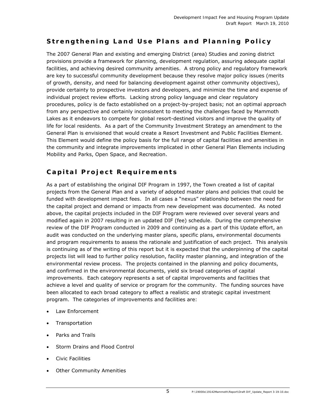# **Strengthening Land Use Plans and Planning Policy**

The 2007 General Plan and existing and emerging District (area) Studies and zoning district provisions provide a framework for planning, development regulation, assuring adequate capital facilities, and achieving desired community amenities. A strong policy and regulatory framework are key to successful community development because they resolve major policy issues (merits of growth, density, and need for balancing development against other community objectives), provide certainty to prospective investors and developers, and minimize the time and expense of individual project review efforts. Lacking strong policy language and clear regulatory procedures, policy is de facto established on a project-by-project basis; not an optimal approach from any perspective and certainly inconsistent to meeting the challenges faced by Mammoth Lakes as it endeavors to compete for global resort-destined visitors and improve the quality of life for local residents. As a part of the Community Investment Strategy an amendment to the General Plan is envisioned that would create a Resort Investment and Public Facilities Element. This Element would define the policy basis for the full range of capital facilities and amenities in the community and integrate improvements implicated in other General Plan Elements including Mobility and Parks, Open Space, and Recreation.

# **Capital Project Requirements**

As a part of establishing the original DIF Program in 1997, the Town created a list of capital projects from the General Plan and a variety of adopted master plans and policies that could be funded with development impact fees. In all cases a "nexus" relationship between the need for the capital project and demand or impacts from new development was documented. As noted above, the capital projects included in the DIF Program were reviewed over several years and modified again in 2007 resulting in an updated DIF (fee) schedule. During the comprehensive review of the DIF Program conducted in 2009 and continuing as a part of this Update effort, an audit was conducted on the underlying master plans, specific plans, environmental documents and program requirements to assess the rationale and justification of each project. This analysis is continuing as of the writing of this report but it is expected that the underpinning of the capital projects list will lead to further policy resolution, facility master planning, and integration of the environmental review process. The projects contained in the planning and policy documents, and confirmed in the environmental documents, yield six broad categories of capital improvements. Each category represents a set of capital improvements and facilities that achieve a level and quality of service or program for the community. The funding sources have been allocated to each broad category to affect a realistic and strategic capital investment program. The categories of improvements and facilities are:

- Law Enforcement
- **Transportation**
- Parks and Trails
- Storm Drains and Flood Control
- Civic Facilities
- **Other Community Amenities**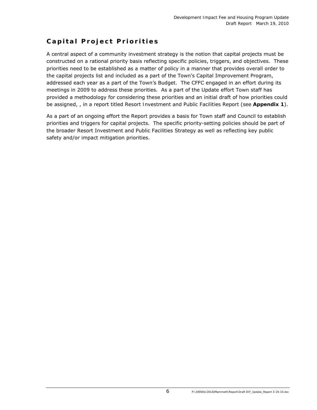# **Capital Project Priorities**

A central aspect of a community investment strategy is the notion that capital projects must be constructed on a rational priority basis reflecting specific policies, triggers, and objectives. These priorities need to be established as a matter of policy in a manner that provides overall order to the capital projects list and included as a part of the Town's Capital Improvement Program, addressed each year as a part of the Town's Budget. The CFFC engaged in an effort during its meetings in 2009 to address these priorities. As a part of the Update effort Town staff has provided a methodology for considering these priorities and an initial draft of how priorities could be assigned, , in a report titled *Resort Investment and Public Facilities Report* (see **Appendix 1**).

As a part of an ongoing effort the *Report* provides a basis for Town staff and Council to establish priorities and triggers for capital projects. The specific priority-setting policies should be part of the broader Resort Investment and Public Facilities Strategy as well as reflecting key public safety and/or impact mitigation priorities.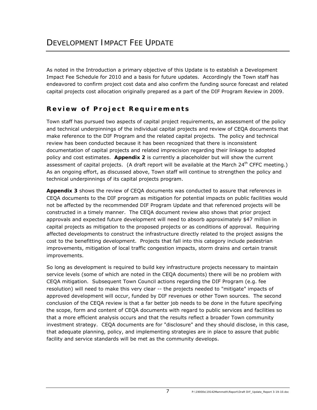As noted in the Introduction a primary objective of this Update is to establish a Development Impact Fee Schedule for 2010 and a basis for future updates. Accordingly the Town staff has endeavored to confirm project cost data and also confirm the funding source forecast and related capital projects cost allocation originally prepared as a part of the DIF Program Review in 2009.

# **Review of Projec t Requirements**

Town staff has pursued two aspects of capital project requirements, an assessment of the policy and technical underpinnings of the individual capital projects and review of CEQA documents that make reference to the DIF Program and the related capital projects. The policy and technical review has been conducted because it has been recognized that there is inconsistent documentation of capital projects and related imprecision regarding their linkage to adopted policy and cost estimates. **Appendix 2** is currently a placeholder but will show the current assessment of capital projects. (A draft report will be available at the March  $24<sup>th</sup>$  CFFC meeting.) As an ongoing effort, as discussed above, Town staff will continue to strengthen the policy and technical underpinnings of its capital projects program.

**Appendix 3** shows the review of CEQA documents was conducted to assure that references in CEQA documents to the DIF program as mitigation for potential impacts on public facilities would not be affected by the recommended DIF Program Update and that referenced projects will be constructed in a timely manner. The CEQA document review also shows that prior project approvals and expected future development will need to absorb approximately \$47 million in capital projects as mitigation to the proposed projects or as conditions of approval. Requiring affected developments to construct the infrastructure directly related to the project assigns the cost to the benefitting development. Projects that fall into this category include pedestrian improvements, mitigation of local traffic congestion impacts, storm drains and certain transit improvements.

So long as development is required to build key infrastructure projects necessary to maintain service levels (some of which are noted in the CEQA documents) there will be no problem with CEQA mitigation. Subsequent Town Council actions regarding the DIF Program (e.g. fee resolution) will need to make this very clear -- the projects needed to "mitigate" impacts of approved development will occur, funded by DIF revenues or other Town sources. The second conclusion of the CEQA review is that a far better job needs to be done in the future specifying the scope, form and content of CEQA documents with regard to public services and facilities so that a more efficient analysis occurs and that the results reflect a broader Town community investment strategy. CEQA documents are for "disclosure" and they should disclose, in this case, that adequate planning, policy, and implementing strategies are in place to assure that public facility and service standards will be met as the community develops.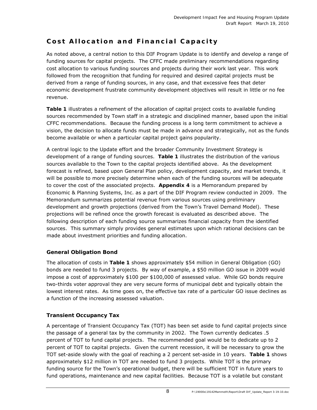# **Cost Allocation and Financial Capacity**

As noted above, a central notion to this DIF Program Update is to identify and develop a range of funding sources for capital projects. The CFFC made preliminary recommendations regarding cost allocation to various funding sources and projects during their work last year. This work followed from the recognition that funding for required and desired capital projects must be derived from a range of funding sources, in any case, and that excessive fees that deter economic development frustrate community development objectives will result in little or no fee revenue.

**Table 1** illustrates a refinement of the allocation of capital project costs to available funding sources recommended by Town staff in a strategic and disciplined manner, based upon the initial CFFC recommendations. Because the funding process is a long term commitment to achieve a vision, the decision to allocate funds must be made in advance and strategically, not as the funds become available or when a particular capital project gains popularity.

A central logic to the Update effort and the broader Community Investment Strategy is development of a range of funding sources. **Table 1** illustrates the distribution of the various sources available to the Town to the capital projects identified above. As the development forecast is refined, based upon General Plan policy, development capacity, and market trends, it will be possible to more precisely determine when each of the funding sources will be adequate to cover the cost of the associated projects. **Appendix 4** is a Memorandum prepared by Economic & Planning Systems, Inc. as a part of the DIF Program review conducted in 2009. The Memorandum summarizes potential revenue from various sources using preliminary development and growth projections (derived from the Town's Travel Demand Model). These projections will be refined once the growth forecast is evaluated as described above. The following description of each funding source summarizes financial capacity from the identified sources. This summary simply provides general estimates upon which rational decisions can be made about investment priorities and funding allocation.

#### **General Obligation Bond**

The allocation of costs in **Table 1** shows approximately \$54 million in General Obligation (GO) bonds are needed to fund 3 projects. By way of example, a \$50 million GO issue in 2009 would impose a cost of approximately \$100 per \$100,000 of assessed value. While GO bonds require two-thirds voter approval they are very secure forms of municipal debt and typically obtain the lowest interest rates. As time goes on, the effective tax rate of a particular GO issue declines as a function of the increasing assessed valuation.

#### **Transient Occupancy Tax**

A percentage of Transient Occupancy Tax (TOT) has been set aside to fund capital projects since the passage of a general tax by the community in 2002. The Town currently dedicates .5 percent of TOT to fund capital projects. The recommended goal would be to dedicate up to 2 percent of TOT to capital projects. Given the current recession, it will be necessary to grow the TOT set-aside slowly with the goal of reaching a 2 percent set-aside in 10 years. **Table 1** shows approximately \$12 million in TOT are needed to fund 3 projects. While TOT is the primary funding source for the Town's operational budget, there will be sufficient TOT in future years to fund operations, maintenance and new capital facilities. Because TOT is a volatile but constant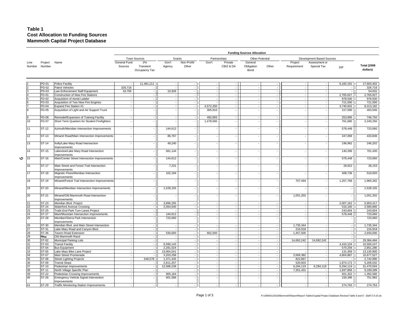#### **Table 1 Cost Allocation to Funding Sources Mammoth Capital Project Database**

|   |                |                   |                                                          | <b>Funding Sources Allocation</b> |                                  |                          |                      |                          |                             |                               |                          |                          |                              |           |                                |
|---|----------------|-------------------|----------------------------------------------------------|-----------------------------------|----------------------------------|--------------------------|----------------------|--------------------------|-----------------------------|-------------------------------|--------------------------|--------------------------|------------------------------|-----------|--------------------------------|
|   |                |                   |                                                          |                                   | <b>Town Sources</b>              | Grants                   |                      | Partnerships             |                             | Other-Potential               |                          |                          | Development Based Sources    |           |                                |
|   | Line<br>Number | Project<br>Number | Name                                                     | General Fund<br>Sources           | 2%<br>Transient<br>Occupancy Tax | Gov't<br>Agency          | Non-Profit/<br>Other | Gov't                    | Private<br>CBIZ & DA        | General<br>Obligation<br>Bond | Other                    | Project<br>Requirement   | Assessment or<br>Special Tax | DIF       | <b>Total (2008</b><br>dollars) |
|   |                | PD-01             | Police Facility                                          |                                   | 11,481,211                       |                          |                      |                          |                             |                               |                          |                          |                              | 6,182,191 | 17,663,402                     |
|   |                | PD-02             | Patrol Vehicles                                          | 326,716                           |                                  |                          |                      | $\overline{\phantom{a}}$ | $\sim$                      |                               |                          | ÷.                       |                              |           | 326,716                        |
|   | 3              | PD-03             | Law Enforcement Staff Equipment                          | 43,705                            |                                  | 10,926                   |                      |                          | $\overline{a}$              |                               |                          | ÷.                       | ÷.                           |           | 54,631                         |
|   | $\overline{4}$ | FD-01             | Construction of New Fire Stations                        |                                   |                                  |                          |                      |                          | $\mathcal{L}_{\mathcal{A}}$ |                               |                          | ÷.                       |                              | 2,765,627 | 2,765,627                      |
|   | 5              | FD-02             | Acquisition of Aerial Ladder                             | ×.                                | $\sim$                           | $\overline{\phantom{a}}$ | ×                    | $\sim$                   | $\sim$                      |                               | $\sim$                   | $\overline{\phantom{a}}$ | - 1                          | 978,500   | 978,500                        |
|   | 6              | FD-03             | Acquisition of Two New Fire Engines                      | $\sim$                            |                                  | ÷.                       |                      |                          | $\sim$                      | ٠.                            |                          | $\sim$                   | ÷.                           | 721,000   | 721,000                        |
|   |                | FD-04             | Expand Fire Station #1                                   |                                   |                                  | $\overline{\phantom{a}}$ |                      | 4,572,250                | $-1$                        |                               |                          | ×                        |                              | 3,740,932 | 8,313,182                      |
|   | $\mathbf{R}$   | FD-05             | Acquisition of Light and Air Support Truck               |                                   |                                  |                          |                      | 305,910                  |                             |                               |                          |                          |                              | 157,590   | 463,500                        |
|   | l9             | FD-06             | Remodel/Expansion of Training Facility                   |                                   |                                  |                          |                      | 492,855                  | $-1$                        |                               |                          |                          |                              | 253,895   | 746,750                        |
|   | 10             | FD-07             | Short Term Quarters for Student Firefighters             |                                   |                                  |                          |                      | 1,478,565                |                             |                               |                          |                          |                              | 761,685   | 2,240,250                      |
|   | 11             | ST-12             | Azimuth/Meridian Intersection Improvements               |                                   |                                  | 144,612                  |                      |                          |                             |                               |                          |                          |                              | 578,448   | 723,060                        |
|   | 12             | ST-13             | Minaret Road/Main Intersection Improvements              |                                   |                                  | 86,767                   |                      |                          |                             |                               |                          |                          |                              | 347,069   | 433,836                        |
|   | 13             | ST-14             | Kelly/Lake Mary Road Intersection<br>mprovements         |                                   |                                  | 49,240                   |                      |                          |                             |                               |                          |                          |                              | 196,962   | 246,202                        |
|   | 14             | ST-15             | Lakeview/Lake Mary Road Intersection<br>mprovements      |                                   |                                  | 561,144                  |                      |                          |                             |                               |                          |                          |                              | 140,286   | 701,430                        |
| O | 15             | ST-16             | Main/Center Street Intersection Improvements             |                                   |                                  | 144,612                  |                      |                          |                             |                               |                          |                          |                              | 578,448   | 723,060                        |
|   | 16             | ST-17             | Main Street and Forest Trail Intersection<br>mprovements |                                   |                                  | 7,231                    |                      |                          |                             |                               |                          |                          |                              | 28,922    | 36,153                         |
|   | 17             | $ST-18$           | Majestic Pines/Meridian Intersection<br>Improvements     |                                   |                                  | 102,184                  |                      |                          |                             |                               |                          |                          |                              | 408,736   | 510,920                        |
|   | 18             | ST-19             | Minaret/Forest Trail Intersection Improvements           |                                   |                                  |                          |                      |                          |                             |                               |                          | 707,494                  |                              | 1,257,768 | 1,965,262                      |
|   | 19             | ST-20             | Minaret/Meridian Intersection Improvements               |                                   |                                  | 1,528,155                |                      |                          |                             |                               |                          |                          |                              |           | 1,528,155                      |
|   | 20             | ST-21             | Minaret/Old Mammoth Road Intersection<br>mprovements     |                                   |                                  |                          |                      |                          |                             |                               |                          | 1,051,202                |                              |           | 1,051,202                      |
|   | 21             | ST-23             | Meridian Blvd. Project                                   |                                   |                                  | 3,896,255                |                      |                          | $\overline{a}$              |                               |                          | $\overline{\phantom{a}}$ |                              | 2,007,162 | 5,903,417                      |
|   | 22             | ST-24             | Waterford Avenue Crossing                                | $\sim$                            | ÷.                               | 2,064,640                |                      | ÷.                       | $\sim$                      | ÷.                            | $\overline{\phantom{a}}$ | $\sim$                   | $\sim$                       | 516,160   | 2,580,800                      |
|   | 23             | ST-25             | Trails End Park Turn Lanes Project                       |                                   |                                  |                          |                      | $\overline{\phantom{a}}$ | $\overline{a}$              | ٠.                            |                          | $\sim$                   | i.                           | 243,604   | 243,604                        |
|   | 24             | ST-27             | Main/Mountain Intersection Improvements                  |                                   | ٠                                | 144,612                  |                      | $\overline{\phantom{a}}$ | $\overline{\phantom{a}}$    |                               |                          | $\sim$                   |                              | 578,448   | 723,060                        |
|   | 25             | <b>ST-28</b>      | Meridian/Sierra Park Intersection<br>mprovements         |                                   |                                  | 723,060                  |                      |                          |                             |                               |                          |                          |                              |           | 723,060                        |
|   | 26             | ST-30             | Meridian Blvd. and Main Street Intersection              |                                   |                                  |                          |                      |                          | $\overline{a}$              |                               |                          | 1,735,344                |                              |           | 1,735,344                      |
|   | 27             | ST-31             | Lake Mary Road and Canyon Blvd.                          | ×                                 |                                  |                          |                      |                          | $\mathcal{L}_{\mathcal{A}}$ |                               |                          | 216,918                  | ÷.                           |           | 216,918                        |
|   | 28             | ST-36             | Tavern Road Extension                                    |                                   |                                  | 530,000                  |                      | 662,500                  | $-1$                        |                               |                          | 1,457,500                | ÷.                           |           | 2,650,000                      |
|   | 29             | New               | Old Mammoth Raod                                         |                                   |                                  |                          |                      |                          | $\sim$                      |                               |                          |                          |                              |           |                                |
|   | 30             | ST-02             | Municipal Parking Lots                                   |                                   |                                  |                          |                      |                          | $\sim$                      |                               |                          | 14,692,242               | 14,692,242                   |           | 29,384,484                     |
|   | 31             | ST-03             | <b>Transit Facility</b>                                  |                                   |                                  | 6,090,143                |                      |                          | $\blacksquare$              |                               |                          |                          |                              | 4.410.104 | 10,500,247                     |
|   | 32             | ST-04             | <b>Bus Equipment</b>                                     | $\overline{\phantom{a}}$          |                                  | 2,281,024                |                      | $\overline{\phantom{a}}$ | $\sim$                      | $\overline{\phantom{a}}$      | $\overline{\phantom{a}}$ | $\sim$                   | $\sim$                       | 570,256   | 2,851,280                      |
|   | 33             | ST-05             | Lake Mary Bike Lane Project                              |                                   |                                  | 13,004,541               |                      |                          | $\sim$                      |                               |                          |                          |                              | 131,359   | 13,135,900                     |
|   | 34             | ST-07             | Main Street Promenade                                    |                                   |                                  | 3,203,258                |                      | $\overline{\phantom{a}}$ | $\mathcal{L}_{\mathcal{A}}$ |                               |                          | 2,669,382                |                              | 4,804,887 | 10,677,527                     |
|   | 35             | ST-08             | <b>Street Lighting Projects</b>                          |                                   | 548,578                          | 1,371,445                |                      |                          | $\sim$ 1                    |                               |                          | 822,867                  | ÷.                           |           | 2,742,890                      |
|   | 36             | ST-09             | <b>Transit Stops</b>                                     |                                   |                                  | 2,811,257                |                      |                          | $\mathcal{L}_{\mathcal{A}}$ |                               |                          | 520,603                  |                              | 1,874,172 | 5,206,032                      |
|   | 37             | ST-10             | Pedestrian Improvements                                  |                                   |                                  | 12,588,238               |                      | $\overline{\phantom{a}}$ | $\overline{\phantom{a}}$    | ٠.                            |                          | 6,294,119                | 6,294,119                    | 6,294,119 | 31,470,594                     |
|   | 38             | ST-11             | North Village Specific Plan                              | $\sim$                            |                                  |                          |                      | ÷.                       | $\sim$                      | ٠.                            |                          | 7,351,431                |                              | 1,837,858 | 9,189,289                      |
|   | 39             | <b>ST-22</b>      | Pedestrian Crossing Improvements                         |                                   |                                  | 905,164                  |                      |                          | $-1$                        |                               |                          | $\sim$                   |                              | 501,322   | 1,392,560                      |
|   | 40             | ST-26             | Emergency Vehicle Signal Intervention<br>Improvements    |                                   |                                  | 601,586                  |                      |                          |                             |                               |                          |                          |                              | 150,396   | 751,982                        |
|   | 41             | $ST-29$           | <b>Traffic Monitoring Station Improvements</b>           |                                   |                                  |                          |                      |                          |                             |                               |                          |                          |                              | 274,763   | 274.763                        |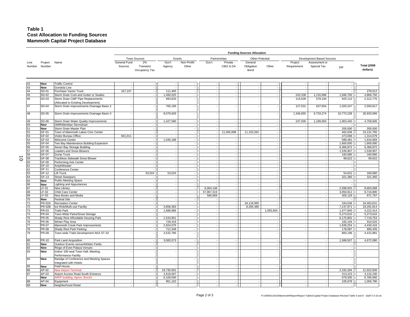#### **Table 1 Cost Allocation to Funding Sources Mammoth Capital Project Database**

|                |                   |                                                                   |                          |                                  |                      |                      |                                |                          | <b>Funding Sources Allocation</b> |                          |                                    |                              |                          |                                |
|----------------|-------------------|-------------------------------------------------------------------|--------------------------|----------------------------------|----------------------|----------------------|--------------------------------|--------------------------|-----------------------------------|--------------------------|------------------------------------|------------------------------|--------------------------|--------------------------------|
|                |                   |                                                                   |                          | <b>Town Sources</b>              | Grants               |                      | Partnerships                   |                          | Other-Potential                   |                          |                                    | Development Based Sources    |                          |                                |
| Line<br>Number | Project<br>Number | Name                                                              | General Fund<br>Sources  | 2%<br>Transient<br>Occupancy Tax | Gov't<br>Agency      | Non-Profit/<br>Other | Gov't                          | Private<br>CBIZ & DA     | General<br>Obligation<br>Bond     | Other                    | Project<br>Requirement             | Assessment or<br>Special Tax | DIF                      | <b>Total (2008</b><br>dollars) |
| 42             | <b>New</b>        | <b>Traffic Control</b>                                            |                          |                                  |                      |                      |                                |                          |                                   |                          |                                    |                              |                          |                                |
| 43             | <b>New</b>        | Gondola Line                                                      |                          |                                  |                      |                      |                                |                          |                                   |                          |                                    |                              |                          |                                |
| 44             | SD-01             | Purchase Vactor Truck                                             | 167,107                  | $\sim$                           | 111,405              | $\sim$               |                                | ×.                       | $\sim$                            | ×                        |                                    |                              | $\sim$                   | 278,512                        |
| 45             | SD-02             | Storm Drain Curb and Gutter or Swales                             |                          |                                  | 1,460,025            |                      | ٠                              |                          |                                   |                          | 243,338                            | 1,216,688                    | 1,946,700                | 4,866,750                      |
| 46             | SD-03             | Storm Drain CMP Pipe Replacements                                 |                          |                                  | 693,833              |                      |                                |                          |                                   |                          | 115,639                            | 578,194                      | 925,110                  | 2,312,776                      |
|                |                   | (Allocated to Existing Development)                               |                          |                                  |                      |                      |                                |                          |                                   |                          |                                    |                              |                          |                                |
| 47             | SD-04             | Storm Drain Improvements Drainage Basin 2                         |                          |                                  | 765,185              |                      |                                |                          |                                   |                          | 127,531                            | 637,654                      | 1,020,247                | 2,550,617                      |
| 48             | SD-05             | Storm Drain Improvements Drainage Basin 3                         |                          |                                  | 8,079,929            |                      |                                |                          |                                   |                          | 1,346,655                          | 6,733,274                    | 10,773,238               | 26,933,096                     |
| 49             | SD-06             | Storm Drain Water Quality Improvements                            | $\sim$                   |                                  | 1,427,580            | $\sim$               | $\overline{\phantom{a}}$       | $\overline{\phantom{a}}$ | $\overline{\phantom{a}}$          | $\cdot$                  | 237,930                            | 1,189,650                    | 1,903,440                | 4,758,600                      |
| 50             | New               | <b>OMR/Meridian Stormdrain</b>                                    | ÷.                       |                                  |                      |                      | ۰.                             |                          |                                   | ×                        |                                    |                              |                          |                                |
| 51             | New               | Storm Drain Master Plan                                           |                          |                                  |                      |                      |                                |                          |                                   |                          | ×,                                 |                              | 200,000                  | 200,000                        |
| 52             | GF-01             | Town of Mammoth Lakes Civic Center                                | $\sim$                   | $\sim$                           |                      |                      | $\sim$                         | 11,565,898               | 11,103,262                        | $\cdot$                  | $\overline{\phantom{a}}$           |                              | 462,636                  | 23,131,795                     |
| 53             | GF-02             | Visitor Bureau Office                                             | 841,011                  |                                  |                      |                      |                                |                          |                                   | $\sim$                   | ÷.                                 |                              | 473,068                  | 1,314,079                      |
| 54             | GF-03             | <b>Welcome Center</b>                                             | $\overline{\phantom{a}}$ |                                  | 1,046,188            |                      | $\overline{\phantom{a}}$       | $\sim$                   |                                   | $\overline{\phantom{a}}$ | $\overline{\phantom{a}}$           |                              | 588,481                  | 1,634,669                      |
| 55             | GF-04             | Two Bay Maintenance Building Expansion                            | $\sim$                   | ÷.                               |                      | ÷.                   | ÷.                             | ×                        |                                   | $\sim$                   | ÷.                                 |                              | 1,600,000                | 1,600,000                      |
| 56             | GF-05             | Seven Bay Storage Building                                        | ÷.                       | ×                                |                      |                      | $\overline{a}$                 |                          |                                   | ×                        | ÷.                                 |                              | 6,366,872                | 6,366,872                      |
| 57             | GF-06             | Loaders and Snow Blowers                                          | $\sim$                   |                                  |                      |                      | $\overline{\phantom{a}}$       | $\overline{\phantom{a}}$ |                                   |                          |                                    |                              | 1,539,907                | 1,539,907                      |
| 58             | GF-07             | Dump Truck                                                        | $\sim$                   |                                  |                      |                      | ÷.                             | ×.                       | $\sim$                            | $\sim$                   | ÷.                                 |                              | 160,680                  | 160,680                        |
| 59             | $GF-08$           | <b>Trackless Sidewalk Snow Blower</b>                             | $\sim$                   |                                  |                      |                      | ÷,                             | $\sim$                   |                                   | $\overline{\phantom{a}}$ | $\overline{\phantom{a}}$           |                              | 99,622                   | 99,622                         |
| 60             | GF-09<br>GF-10    | Performing Arts Center                                            | $\sim$<br>÷.             |                                  |                      |                      | $\overline{\phantom{a}}$<br>÷. | ٠<br>×.                  | $\sim$                            | $\epsilon$<br>$\sim$     | $\overline{\phantom{a}}$<br>$\sim$ |                              |                          |                                |
| 61<br>62       | GF-11             | Amphitheater<br>Conference Center                                 |                          |                                  |                      |                      | $\overline{\phantom{a}}$       |                          |                                   | $\overline{\phantom{a}}$ | $\overline{\phantom{a}}$           |                              |                          |                                |
| 63             | GF-12             | <b>Lift Truck</b>                                                 | $\sim$                   | 53,024                           | 53,024               |                      | $\sim$                         | $\overline{\phantom{a}}$ |                                   |                          | $\overline{\phantom{a}}$           |                              | 54,631                   | 160,680                        |
| 64             | GF-13             | <b>Street Sweepers</b>                                            | $\sim$                   |                                  |                      |                      | ÷.                             | ÷.                       |                                   | ÷.                       | ÷.                                 |                              | 321,360                  | 321,360                        |
| 65             | <b>New</b>        | <b>Public Meeting Space</b>                                       |                          | $\sim$                           |                      |                      | $\sim$                         | ٠                        |                                   | $\overline{\phantom{a}}$ | $\overline{\phantom{a}}$           |                              | $\overline{\phantom{a}}$ |                                |
| 66             | New               | <b>Lighting and Appurtances</b>                                   | ÷                        | ×                                |                      |                      |                                | ٠                        |                                   | ×                        | $\overline{\phantom{a}}$           |                              | $\sim$                   |                                |
| 67             | LF-01             | New Library                                                       | $\sim$                   |                                  |                      |                      | 6,064,148                      | $\sim$                   |                                   | $\sim$                   | $\overline{\phantom{a}}$           |                              | 2,598,920                | 8,663,068                      |
| 68             | $LF-02$           | Child Care Center                                                 |                          |                                  |                      |                      | 57,967,319                     |                          |                                   |                          |                                    |                              | 3,050,912                | 8,716,890                      |
| 69             | $LF-03$           | New Books and Media                                               | $\sim$                   | $\sim$                           |                      |                      | 566,668                        | $\sim$                   |                                   | $\sim$                   | $\overline{\phantom{a}}$           |                              | 305,129                  | 871,797                        |
| 70             | New               | <b>Festival Site</b>                                              | ÷                        | $\sim$                           |                      |                      |                                | $\sim$                   |                                   | $\overline{\phantom{a}}$ | $\sim$                             |                              |                          |                                |
| 71             | <b>PR-02A</b>     | <b>Recreation Center</b>                                          |                          |                                  |                      |                      | ÷.                             | ×.                       | 34,118,995                        | $\sim$                   | $\overline{\phantom{a}}$           |                              | 344,636                  | 34,463,631                     |
| 72             | <b>PR-02B</b>     | Ice Rink/Multi-use Facility                                       | $\sim$                   | $\sim$                           | 3,858,363            | $\sim$               | ÷,                             | $\overline{\phantom{a}}$ | 8,295,480                         |                          | $\overline{\phantom{a}}$           |                              | 7,137,971                | 19,291,814                     |
| 73             | PR-03             | <b>Trails Park</b>                                                | $\sim$                   |                                  | 1,688,966            |                      | $\overline{\phantom{a}}$       | $\sim$                   |                                   | 1,055,604                | ÷.                                 |                              | 1,477,845                | 4,222,414                      |
| 74             | PR-04             | Town-Wide Parks/Snow Storage                                      |                          |                                  |                      |                      | $\overline{\phantom{a}}$       |                          |                                   |                          |                                    |                              | 5,273,610                | 5,273,610                      |
| 75             | PR-05             | Shady Rest Affordable Housing Park                                | $\sim$                   | $\sim$                           | 1,543,951            | ÷.                   | ÷,                             | $\mathbf{r}$             | $\sim$                            | $\sim$                   | $\sim$                             |                              | 6,175,802                | 7,719,753                      |
| 76             | PR-06             | Winter Play Area                                                  | ÷.                       |                                  | 728,416              |                      | ×,                             | ٠                        |                                   | ÷.                       | ÷.                                 |                              | 182,104                  | 910,520                        |
| 77             | PR-07             | Mammoth Creek Park Improvements                                   | $\sim$                   |                                  | 2,924,075            | ٠.                   | $\sim$                         | ٠                        |                                   | $\sim$                   | $\overline{\phantom{a}}$           |                              | 1,639,254                | 4,430,416                      |
| 78<br>79       | PR-08<br>PR-09    | Shady Rest Park Parking<br>Town-wide Trails Development AKA ST-32 | $\sim$<br>$\sim$         |                                  | 712,348<br>3,532,785 | ÷.                   | ÷.                             | ×.                       | $\sim$                            | $\overline{\phantom{a}}$ | $\overline{\phantom{a}}$           |                              | 178,087<br>883,196       | 890,435<br>4,415,981           |
| 80             | PR-10             | Park Land Acquisition                                             | ÷.                       |                                  | 3,083,573            |                      |                                |                          |                                   |                          | $\overline{a}$                     |                              | 1,588,507                | 4,672,080                      |
| 81             | <b>New</b>        | Outdoor Events venue/Athletic Fields                              |                          |                                  |                      |                      | $\sim$                         |                          |                                   | ÷.                       | ÷.                                 |                              | $\sim$                   |                                |
| 82             | <b>New</b>        | Ringe of Even Palaza Venues                                       | $\epsilon$               | $\sim$                           |                      | $\sim$               | $\overline{\phantom{a}}$       | $\cdot$                  | $\overline{\phantom{a}}$          | $\overline{\phantom{a}}$ | $\overline{\phantom{a}}$           |                              | $\sim$                   |                                |
| 83             | New               | Indoor 100-seat Town Hall, Meeting,<br>Performance Facility       |                          |                                  |                      |                      |                                |                          |                                   |                          |                                    |                              |                          |                                |
| 84             | New               | Randge of Conference and Meeting Spaces<br>Integrated with Hotels |                          |                                  |                      |                      |                                |                          |                                   |                          |                                    |                              |                          |                                |
| 85             | New               | Field House                                                       |                          |                                  |                      |                      |                                |                          |                                   |                          |                                    |                              |                          |                                |
| 86             | AP-02             | <b>New Airport Terminal</b>                                       | $\sim$                   | $\sim$                           | 19,730,552           | $\sim$               | ×                              | $\sim$                   | $\sim$                            | $\sim$                   | $\sim$                             |                              | 2,192,284                | 21,922,836                     |
| 87             | AP-03             | Airport Access Road South Entrance                                | ÷.                       |                                  | 2,819,007            |                      | ×,                             | $\sim$                   |                                   | ×                        | ÷.                                 |                              | 313,223                  | 3,132,230                      |
|                | New               | ARFF building, Apron, fencint                                     |                          |                                  | 6,106,500            |                      |                                |                          |                                   |                          |                                    |                              | 678,500                  | 6,785,000                      |
| 88             | AP-04             | Equipment                                                         |                          |                                  | 951,102              |                      |                                |                          |                                   |                          |                                    |                              | 105,678                  | 1,056,780                      |
| 89             | <b>New</b>        | Neighborhood Retail                                               |                          |                                  |                      |                      |                                |                          |                                   |                          |                                    |                              | $\overline{\phantom{a}}$ |                                |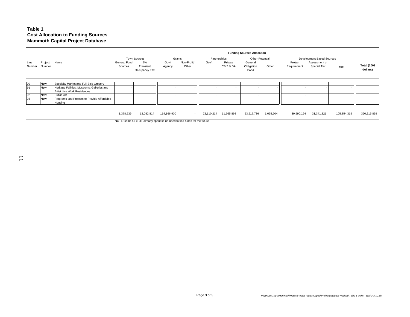#### **Table 1 Cost Allocation to Funding Sources Mammoth Capital Project Database**

|                |                   |                                                                           |                         | <b>Funding Sources Allocation</b> |                 |                      |            |                          |                               |           |                        |                              |             |                                |  |  |
|----------------|-------------------|---------------------------------------------------------------------------|-------------------------|-----------------------------------|-----------------|----------------------|------------|--------------------------|-------------------------------|-----------|------------------------|------------------------------|-------------|--------------------------------|--|--|
|                |                   |                                                                           |                         | Town Sources                      |                 | Grants               |            | Partnerships             | Other-Potential               |           |                        | Development Based Sources    |             |                                |  |  |
| Line<br>Number | Project<br>Number | Name                                                                      | General Fund<br>Sources | 2%<br>Transient<br>Occupancy Tax  | Gov't<br>Agency | Non-Profit/<br>Other | Gov't      | Private<br>CBIZ & DA     | General<br>Obligation<br>Bond | Other     | Project<br>Requirement | Assessment or<br>Special Tax | DIF         | <b>Total (2008</b><br>dollars) |  |  |
| 90             | <b>New</b>        | Specialty Market and Full-Scle Grocery                                    |                         |                                   |                 |                      |            |                          |                               |           |                        |                              |             |                                |  |  |
| 91             | <b>New</b>        | Heritage Failities, Museums, Galleries and<br>Artist Live Work Residences |                         |                                   |                 |                      |            |                          |                               |           |                        |                              |             |                                |  |  |
| 92             | <b>New</b>        | Public Art                                                                |                         |                                   |                 |                      |            | $\sim$                   |                               |           |                        |                              |             |                                |  |  |
| 93             | <b>New</b>        | Programs and Projects to Provide Affordable<br>Housing                    |                         |                                   |                 |                      |            | $\overline{\phantom{a}}$ |                               |           |                        |                              |             |                                |  |  |
|                |                   |                                                                           |                         |                                   |                 |                      |            |                          |                               |           |                        |                              |             |                                |  |  |
|                |                   |                                                                           | 1,378,539               | 12,082,814                        | 114,166,900     | $\sim$               | 72,110,214 | 11,565,898               | 53,517,736                    | 1,055,604 | 39,590,194             | 31,341,821                   | 105,854,319 | 390,215,859                    |  |  |

NOTE: some GF/TOT already spent so no need to find funds for the future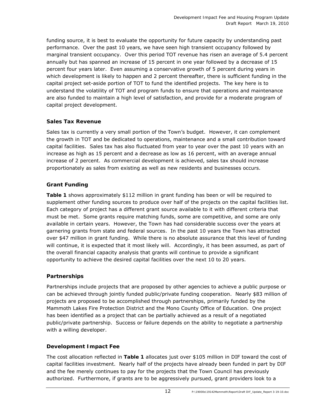funding source, it is best to evaluate the opportunity for future capacity by understanding past performance. Over the past 10 years, we have seen high transient occupancy followed by marginal transient occupancy. Over this period TOT revenue has risen an average of 5.4 percent annually but has spanned an increase of 15 percent in one year followed by a decrease of 15 percent four years later. Even assuming a conservative growth of 5 percent during years in which development is likely to happen and 2 percent thereafter, there is sufficient funding in the capital project set-aside portion of TOT to fund the identified projects. The key here is to understand the volatility of TOT and program funds to ensure that operations and maintenance are also funded to maintain a high level of satisfaction, and provide for a moderate program of capital project development.

#### **Sales Tax Revenue**

Sales tax is currently a very small portion of the Town's budget. However, it can complement the growth in TOT and be dedicated to operations, maintenance and a small contribution toward capital facilities. Sales tax has also fluctuated from year to year over the past 10 years with an increase as high as 15 percent and a decrease as low as 16 percent, with an average annual increase of 2 percent. As commercial development is achieved, sales tax should increase proportionately as sales from existing as well as new residents and businesses occurs.

#### **Grant Funding**

**Table 1** shows approximately \$112 million in grant funding has been or will be required to supplement other funding sources to produce over half of the projects on the capital facilities list. Each category of project has a different grant source available to it with different criteria that must be met. Some grants require matching funds, some are competitive, and some are only available in certain years. However, the Town has had considerable success over the years at garnering grants from state and federal sources. In the past 10 years the Town has attracted over \$47 million in grant funding. While there is no absolute assurance that this level of funding will continue, it is expected that it most likely will. Accordingly, it has been assumed, as part of the overall financial capacity analysis that grants will continue to provide a significant opportunity to achieve the desired capital facilities over the next 10 to 20 years.

#### **Partnerships**

Partnerships include projects that are proposed by other agencies to achieve a public purpose or can be achieved through jointly funded public/private funding cooperation. Nearly \$83 million of projects are proposed to be accomplished through partnerships, primarily funded by the Mammoth Lakes Fire Protection District and the Mono County Office of Education. One project has been identified as a project that can be partially achieved as a result of a negotiated public/private partnership. Success or failure depends on the ability to negotiate a partnership with a willing developer.

#### **Development Impact Fee**

The cost allocation reflected in **Table 1** allocates just over \$105 million in DIF toward the cost of capital facilities investment. Nearly half of the projects have already been funded in part by DIF and the fee merely continues to pay for the projects that the Town Council has previously authorized. Furthermore, if grants are to be aggressively pursued, grant providers look to a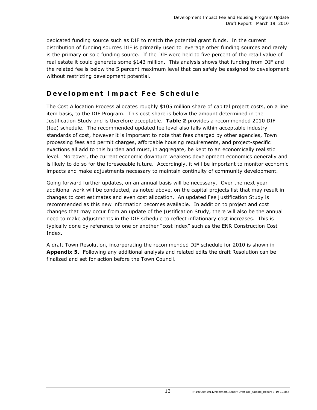dedicated funding source such as DIF to match the potential grant funds. In the current distribution of funding sources DIF is primarily used to leverage other funding sources and rarely is the primary or sole funding source. If the DIF were held to five percent of the retail value of real estate it could generate some \$143 million. This analysis shows that funding from DIF and the related fee is below the 5 percent maximum level that can safely be assigned to development without restricting development potential.

# **Development Impact Fee Schedule**

The Cost Allocation Process allocates roughly \$105 million share of capital project costs, on a line item basis, to the DIF Program. This cost share is below the amount determined in the Justification Study and is therefore acceptable. **Table 2** provides a recommended 2010 DIF (fee) schedule. The recommended updated fee level also falls within acceptable industry standards of cost, however it is important to note that fees charged by other agencies, Town processing fees and permit charges, affordable housing requirements, and project-specific exactions all add to this burden and must, in aggregate, be kept to an economically realistic level. Moreover, the current economic downturn weakens development economics generally and is likely to do so for the foreseeable future. Accordingly, it will be important to monitor economic impacts and make adjustments necessary to maintain continuity of community development.

Going forward further updates, on an annual basis will be necessary. Over the next year additional work will be conducted, as noted above, on the capital projects list that may result in changes to cost estimates and even cost allocation. An updated *Fee Justification Study* is recommended as this new information becomes available. In addition to project and cost changes that may occur from an update of the *Justification Study*, there will also be the annual need to make adjustments in the DIF schedule to reflect inflationary cost increases. This is typically done by reference to one or another "cost index" such as the ENR Construction Cost Index.

A draft Town Resolution, incorporating the recommended DIF schedule for 2010 is shown in **Appendix 5**. Following any additional analysis and related edits the draft Resolution can be finalized and set for action before the Town Council.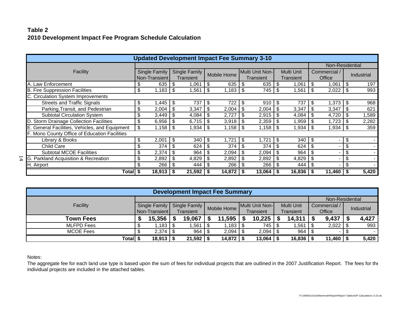### **Table 22010 Development Impact Fee Program Schedule Calculation**

| <b>Updated Development Impact Fee Summary 3-10</b> |               |               |      |               |     |                    |      |                 |     |               |        |                 |      |                   |  |
|----------------------------------------------------|---------------|---------------|------|---------------|-----|--------------------|------|-----------------|-----|---------------|--------|-----------------|------|-------------------|--|
|                                                    |               |               |      |               |     |                    |      |                 |     |               |        | Non-Residential |      |                   |  |
| Facility                                           |               | Single Family |      | Single Family |     | <b>Mobile Home</b> |      | Multi Unit Non- |     | Multi Unit    |        | Commercial /    |      |                   |  |
|                                                    | Non-Transient |               |      | Transient     |     |                    |      | Transient       |     | Transient     | Office |                 |      | <b>Industrial</b> |  |
| A. Law Enforcement                                 | \$            | 635           | \$   | 1,061         | S   | 635                | \$   | 635             | \$  | 1,061         | \$     | 1,061           | \$   | 197               |  |
| <b>B. Fire Suppression Facilities</b>              | \$            | 1,183         | \$   | 1,561         | -\$ | 1,183              | l \$ | 745             | \$  | 1,561         | \$     | 2,022           | \$   | 993               |  |
| C. Circulation System Improvements                 |               |               |      |               |     |                    |      |                 |     |               |        |                 |      |                   |  |
| <b>Streets and Traffic Signals</b>                 | \$            | ,445          | \$   | 737           | £.  | 722                | \$   | 910             | \$  | 737           | \$.    | 1,373           | \$   | 968               |  |
| Parking, Transit, and Pedestrian                   | \$            | 2,004         | \$   | 3,347         | S   | 2,004              | -S   | 2,004           | \$  | 3,347         | S      | 3,347           | S    | 621               |  |
| Subtotal Circulation System                        | \$            | 3,449         | \$   | 4,084         |     | 2,727              | S    | 2,915           | \$  | 4,084         |        | 4,720           |      | 1,589             |  |
| D. Storm Drainage Collection Facilities            | \$            | 6,956         | \$   | 6,715         |     | 3,918              | - \$ | 2,359           | \$  | 1,959         | \$.    | 1,723           | S    | 2,282             |  |
| E. General Facilities, Vehicles, and Equipment     | \$            | 1,158         | \$   | $1,934$ \$    |     | $1,158$   \$       |      | $1,158$ \$      |     | 1,934         |        | 1,934           | - \$ | 359               |  |
| F. Mono County Office of Education Facilities      |               |               |      |               |     |                    |      |                 |     |               |        |                 |      |                   |  |
| Library & Books                                    | \$            | 2,001         | \$   | 340           | \$  | ,721               | \$   | 1,721           | \$  | 340           | \$.    | -               | \$   |                   |  |
| <b>Child Care</b>                                  | \$            | 374           | \$   | 624           |     | 374                | \$   | 374             | \$  | 624           |        | $\blacksquare$  | \$   |                   |  |
| <b>Subtotal MCOE Facilities</b>                    | \$            | 2,374         | \$   | 964           |     | 2,094              | -\$  | 2,094           | \$  | 964           |        |                 | \$   |                   |  |
| G. Parkland Acquisition & Recreation               | \$            | 2,892         | \$   | 4,829         |     | 2,892              | \$   | 2,892           | \$  | 4,829         | S      |                 | \$   |                   |  |
| H. Airport                                         | \$            | 266           | \$   | 444           |     | 266                | -\$  | 266             | -\$ | 444           | \$.    | $\qquad \qquad$ | \$   |                   |  |
| Total   \$                                         |               | 18,913        | - \$ | $21,592$   \$ |     | 14,872             |      | 13,064          | - 5 | $16,836$   \$ |        | 11,460          | -5   | 5,420             |  |

| <b>Development Impact Fee Summary</b> |  |                      |                  |               |  |                    |           |                 |                  |                   |        |              |  |            |
|---------------------------------------|--|----------------------|------------------|---------------|--|--------------------|-----------|-----------------|------------------|-------------------|--------|--------------|--|------------|
|                                       |  |                      |                  |               |  |                    |           |                 |                  | Non-Residential   |        |              |  |            |
| Facility                              |  | <b>Single Family</b> |                  | Single Family |  | <b>Mobile Home</b> |           | Multi Unit Non- |                  | <b>Multi Unit</b> |        | Commercial / |  | Industrial |
|                                       |  | Non-Transient        | <b>Transient</b> |               |  |                    | Transient |                 | <b>Transient</b> |                   | Office |              |  |            |
| <b>Town Fees</b>                      |  | 15,356               |                  | 19,067        |  | 11,595             |           | 10,225          |                  | 14,311            |        | 9,437        |  | 4,427      |
| <b>MLFPD Fees</b>                     |  | ,183                 |                  | 1,561         |  | .183               |           | 745             |                  | ,561              |        | 2,022        |  | 993        |
| <b>MCOE Fees</b>                      |  | 2,374                |                  | 964           |  | 2,094              |           | 2,094           |                  | 964               |        |              |  |            |
| <b>Total</b>                          |  | 18,913               |                  | 21,592        |  | 14,872             |           | 13,064          |                  | $16,836$ \\$      |        | 11,460       |  | 5,420      |

Notes:

14

The aggregate fee for each land use type is based upon the sum of fees for individual projects that are outlined in the 2007 Justification Report. The fees for the individual projects are included in the attached tables.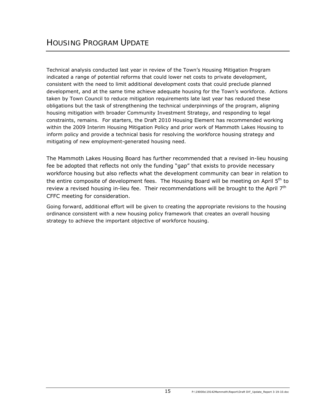Technical analysis conducted last year in review of the Town's Housing Mitigation Program indicated a range of potential reforms that could lower net costs to private development, consistent with the need to limit additional development costs that could preclude planned development, and at the same time achieve adequate housing for the Town's workforce. Actions taken by Town Council to reduce mitigation requirements late last year has reduced these obligations but the task of strengthening the technical underpinnings of the program, aligning housing mitigation with broader Community Investment Strategy, and responding to legal constraints, remains. For starters, the Draft 2010 Housing Element has recommended working within the 2009 Interim Housing Mitigation Policy and prior work of Mammoth Lakes Housing to inform policy and provide a technical basis for resolving the workforce housing strategy and mitigating of new employment-generated housing need.

The Mammoth Lakes Housing Board has further recommended that a revised in-lieu housing fee be adopted that reflects not only the funding "gap" that exists to provide necessary workforce housing but also reflects what the development community can bear in relation to the entire composite of development fees. The Housing Board will be meeting on April 5<sup>th</sup> to review a revised housing in-lieu fee. Their recommendations will be brought to the April 7<sup>th</sup> CFFC meeting for consideration.

Going forward, additional effort will be given to creating the appropriate revisions to the housing ordinance consistent with a new housing policy framework that creates an overall housing strategy to achieve the important objective of workforce housing.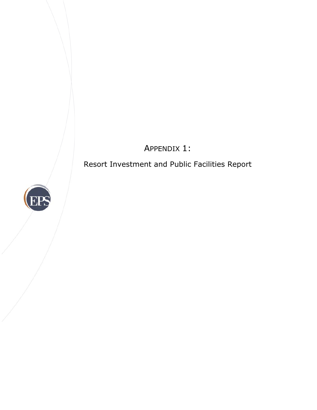APPENDIX 1:

Resort Investment and Public Facilities Report

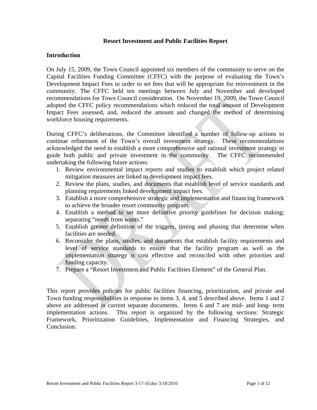#### **Resort Investment and Public Facilities Report**

#### **Introduction**

On July 15, 2009, the Town Council appointed six members of the community to serve on the Capital Facilities Funding Committee (CFFC) with the purpose of evaluating the Town's Development Impact Fees in order to set fees that will be appropriate for reinvestment in the community. The CFFC held ten meetings between July and November and developed recommendations for Town Council consideration. On November 19, 2009, the Town Council adopted the CFFC policy recommendations which reduced the total amount of Development Impact Fees assessed, and, reduced the amount and changed the method of determining workforce housing requirements.

During CFFC's deliberations, the Committee identified a number of follow-up actions to continue refinement of the Town's overall investment strategy. These recommendations acknowledged the need to establish a more comprehensive and rational investment strategy to guide both public and private investment in the community. The CFFC recommended undertaking the following future actions:

- 1. Review environmental impact reports and studies to establish which project related mitigation measures are linked to development impact fees.
- 2. Review the plans, studies, and documents that establish level of service standards and planning requirements linked development impact fees.
- 3. Establish a more comprehensive strategic and implementation and financing framework to achieve the broader resort community program.
- 4. Establish a method to set more definitive priority guidelines for decision making; separating "needs from wants."
- 5. Establish greater definition of the triggers, timing and phasing that determine when facilities are needed.
- 6. Reconsider the plans, studies, and documents that establish facility requirements and level of service standards to ensure that the facility program as well as the implementation strategy is cost effective and reconciled with other priorities and funding capacity.
- 7. Prepare a "Resort Investment and Public Facilities Element" of the General Plan.

This report provides policies for public facilities financing, prioritization, and private and Town funding responsibilities in response to items 3, 4, and 5 described above. Items 1 and 2 above are addressed in current separate documents. Items 6 and 7 are mid- and long- term implementation actions. This report is organized by the following sections: Strategic Framework, Prioritization Guidelines, Implementation and Financing Strategies, and Conclusion.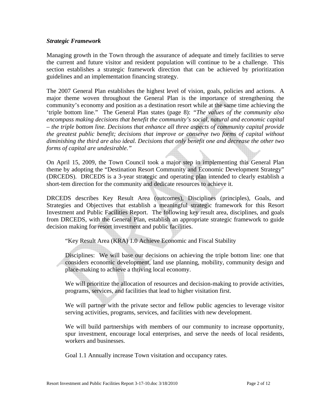#### *Strategic Framework*

Managing growth in the Town through the assurance of adequate and timely facilities to serve the current and future visitor and resident population will continue to be a challenge. This section establishes a strategic framework direction that can be achieved by prioritization guidelines and an implementation financing strategy.

The 2007 General Plan establishes the highest level of vision, goals, policies and actions. A major theme woven throughout the General Plan is the importance of strengthening the community's economy and position as a destination resort while at the same time achieving the 'triple bottom line." The General Plan states (page 8): *"The values of the community also encompass making decisions that benefit the community's social, natural and economic capital – the triple bottom line. Decisions that enhance all three aspects of community capital provide the greatest public benefit; decisions that improve or conserve two forms of capital without diminishing the third are also ideal. Decisions that only benefit one and decrease the other two forms of capital are undesirable."* 

On April 15, 2009, the Town Council took a major step in implementing this General Plan theme by adopting the "Destination Resort Community and Economic Development Strategy" (DRCEDS). DRCEDS is a 3-year strategic and operating plan intended to clearly establish a short-tem direction for the community and dedicate resources to achieve it.

DRCEDS describes Key Result Area (outcomes), Disciplines (principles), Goals, and Strategies and Objectives that establish a meaningful strategic framework for this Resort Investment and Public Facilities Report. The following key result area, disciplines, and goals from DRCEDS, with the General Plan, establish an appropriate strategic framework to guide decision making for resort investment and public facilities.

"Key Result Area (KRA) 1.0 Achieve Economic and Fiscal Stability

Disciplines: We will base our decisions on achieving the triple bottom line: one that considers economic development, land use planning, mobility, community design and place-making to achieve a thriving local economy.

We will prioritize the allocation of resources and decision-making to provide activities, programs, services, and facilities that lead to higher visitation first.

We will partner with the private sector and fellow public agencies to leverage visitor serving activities, programs, services, and facilities with new development.

We will build partnerships with members of our community to increase opportunity, spur investment, encourage local enterprises, and serve the needs of local residents, workers and businesses.

Goal 1.1 Annually increase Town visitation and occupancy rates.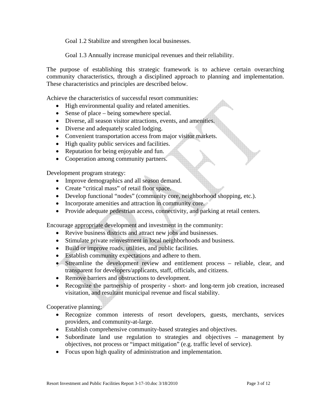Goal 1.2 Stabilize and strengthen local businesses.

Goal 1.3 Annually increase municipal revenues and their reliability.

The purpose of establishing this strategic framework is to achieve certain overarching community characteristics, through a disciplined approach to planning and implementation. These characteristics and principles are described below.

Achieve the characteristics of successful resort communities:

- High environmental quality and related amenities.
- Sense of place being somewhere special.
- Diverse, all season visitor attractions, events, and amenities.
- Diverse and adequately scaled lodging.
- Convenient transportation access from major visitor markets.
- High quality public services and facilities.
- Reputation for being enjoyable and fun.
- Cooperation among community partners.

Development program strategy:

- Improve demographics and all season demand.
- Create "critical mass" of retail floor space.
- Develop functional "nodes" (community core, neighborhood shopping, etc.).
- Incorporate amenities and attraction in community core.
- Provide adequate pedestrian access, connectivity, and parking at retail centers.

Encourage appropriate development and investment in the community:

- Revive business districts and attract new jobs and businesses.
- Stimulate private reinvestment in local neighborhoods and business.
- Build or improve roads, utilities, and public facilities.
- Establish community expectations and adhere to them.
- Streamline the development review and entitlement process reliable, clear, and transparent for developers/applicants, staff, officials, and citizens.
- Remove barriers and obstructions to development.
- Recognize the partnership of prosperity short- and long-term job creation, increased visitation, and resultant municipal revenue and fiscal stability.

Cooperative planning:

- Recognize common interests of resort developers, guests, merchants, services providers, and community-at-large.
- Establish comprehensive community-based strategies and objectives.
- Subordinate land use regulation to strategies and objectives management by objectives, not process or "impact mitigation" (e.g. traffic level of service).
- Focus upon high quality of administration and implementation.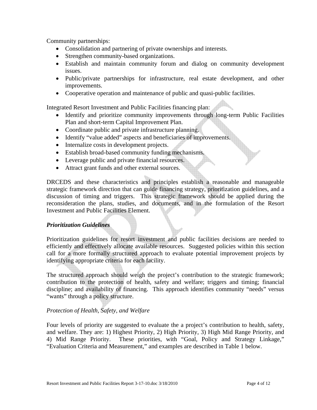Community partnerships:

- Consolidation and partnering of private ownerships and interests.
- Strengthen community-based organizations.
- Establish and maintain community forum and dialog on community development issues.
- Public/private partnerships for infrastructure, real estate development, and other improvements.
- Cooperative operation and maintenance of public and quasi-public facilities.

Integrated Resort Investment and Public Facilities financing plan:

- Identify and prioritize community improvements through long-term Public Facilities Plan and short-term Capital Improvement Plan.
- Coordinate public and private infrastructure planning.
- Identify "value added" aspects and beneficiaries of improvements.
- Internalize costs in development projects.
- Establish broad-based community funding mechanisms.
- Leverage public and private financial resources.
- Attract grant funds and other external sources.

DRCEDS and these characteristics and principles establish a reasonable and manageable strategic framework direction that can guide financing strategy, prioritization guidelines, and a discussion of timing and triggers. This strategic framework should be applied during the reconsideration the plans, studies, and documents, and in the formulation of the Resort Investment and Public Facilities Element.

#### *Prioritization Guidelines*

Prioritization guidelines for resort investment and public facilities decisions are needed to efficiently and effectively allocate available resources. Suggested policies within this section call for a more formally structured approach to evaluate potential improvement projects by identifying appropriate criteria for each facility.

The structured approach should weigh the project's contribution to the strategic framework; contribution to the protection of health, safety and welfare; triggers and timing; financial discipline; and availability of financing. This approach identifies community "needs" versus "wants" through a policy structure.

#### *Protection of Health, Safety, and Welfare*

Four levels of priority are suggested to evaluate the a project's contribution to health, safety, and welfare. They are: 1) Highest Priority, 2) High Priority, 3) High Mid Range Priority, and 4) Mid Range Priority. These priorities, with "Goal, Policy and Strategy Linkage," "Evaluation Criteria and Measurement," and examples are described in Table 1 below.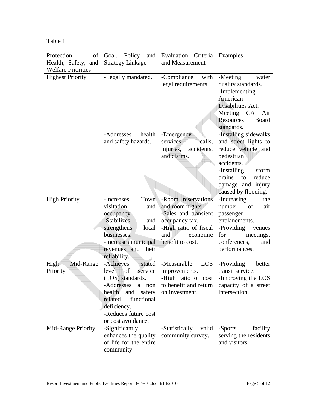| anle |  |
|------|--|
|------|--|

| Protection<br>$\sigma$    | Goal, Policy<br>and     | Evaluation Criteria     | Examples                  |
|---------------------------|-------------------------|-------------------------|---------------------------|
| Health, Safety, and       | <b>Strategy Linkage</b> | and Measurement         |                           |
| <b>Welfare Priorities</b> |                         |                         |                           |
| <b>Highest Priority</b>   | -Legally mandated.      | -Compliance<br>with     | -Meeting<br>water         |
|                           |                         | legal requirements      | quality standards.        |
|                           |                         |                         | -Implementing             |
|                           |                         |                         | American                  |
|                           |                         |                         | Disabilities Act.         |
|                           |                         |                         | Meeting CA<br>Air         |
|                           |                         |                         | Resources<br><b>Board</b> |
|                           |                         |                         | standards.                |
|                           | health<br>-Addresses    | -Emergency              | -Installing sidewalks     |
|                           | and safety hazards.     | calls,<br>services      | and street lights to      |
|                           |                         | injuries,<br>accidents, | reduce vehicle and        |
|                           |                         | and claims.             | pedestrian                |
|                           |                         |                         | accidents.                |
|                           |                         |                         | -Installing<br>storm      |
|                           |                         |                         | drains<br>reduce<br>to    |
|                           |                         |                         | damage and injury         |
|                           |                         |                         | caused by flooding.       |
| <b>High Priority</b>      | -Increases<br>Town      | -Room reservations      | -Increasing<br>the        |
|                           | visitation<br>and       | and room nights.        | number<br>of<br>air       |
|                           | occupancy.              | -Sales and transient    | passenger                 |
|                           | -Stabilizes<br>and      | occupancy tax.          | enplanements.             |
|                           | strengthens<br>local    | -High ratio of fiscal   | -Providing<br>venues      |
|                           | businesses.             | and<br>economic         | for<br>meetings,          |
|                           | -Increases municipal    | benefit to cost.        | conferences,<br>and       |
|                           | revenues and their      |                         | performances.             |
|                           | reliability.            |                         |                           |
| Mid-Range<br>High         | -Achieves<br>stated     | -Measurable<br>LOS      | -Providing<br>better      |
| Priority                  | level<br>of<br>service  | improvements.           | transit service.          |
|                           | (LOS) standards.        | -High ratio of cost     | -Improving the LOS        |
|                           | -Addresses<br>non<br>a  | to benefit and return   | capacity of a street      |
|                           | health<br>safety<br>and | on investment.          | intersection.             |
|                           | related<br>functional   |                         |                           |
|                           | deficiency.             |                         |                           |
|                           | -Reduces future cost    |                         |                           |
|                           | or cost avoidance.      |                         |                           |
| Mid-Range Priority        | -Significantly          | -Statistically<br>valid | -Sports<br>facility       |
|                           | enhances the quality    | community survey.       | serving the residents     |
|                           | of life for the entire  |                         | and visitors.             |
|                           | community.              |                         |                           |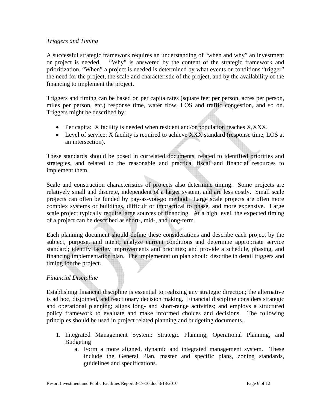#### *Triggers and Timing*

A successful strategic framework requires an understanding of "when and why" an investment or project is needed. "Why" is answered by the content of the strategic framework and prioritization. "When" a project is needed is determined by what events or conditions "trigger" the need for the project, the scale and characteristic of the project, and by the availability of the financing to implement the project.

Triggers and timing can be based on per capita rates (square feet per person, acres per person, miles per person, etc.) response time, water flow, LOS and traffic congestion, and so on. Triggers might be described by:

- Per capita: X facility is needed when resident and/or population reaches X,XXX.
- Level of service: X facility is required to achieve XXX standard (response time, LOS at an intersection).

These standards should be posed in correlated documents, related to identified priorities and strategies, and related to the reasonable and practical fiscal and financial resources to implement them.

Scale and construction characteristics of projects also determine timing. Some projects are relatively small and discrete, independent of a larger system, and are less costly. Small scale projects can often be funded by pay-as-you-go method. Large scale projects are often more complex systems or buildings, difficult or impractical to phase, and more expensive. Large scale project typically require large sources of financing. At a high level, the expected timing of a project can be described as short-, mid-, and long-term.

Each planning document should define these considerations and describe each project by the subject, purpose, and intent; analyze current conditions and determine appropriate service standard; identify facility improvements and priorities; and provide a schedule, phasing, and financing implementation plan. The implementation plan should describe in detail triggers and timing for the project.

#### *Financial Discipline*

Establishing financial discipline is essential to realizing any strategic direction; the alternative is ad hoc, disjointed, and reactionary decision making. Financial discipline considers strategic and operational planning; aligns long- and short-range activities; and employs a structured policy framework to evaluate and make informed choices and decisions. The following principles should be used in project related planning and budgeting documents.

- 1. Integrated Management System: Strategic Planning, Operational Planning, and Budgeting
	- a. Form a more aligned, dynamic and integrated management system. These include the General Plan, master and specific plans, zoning standards, guidelines and specifications.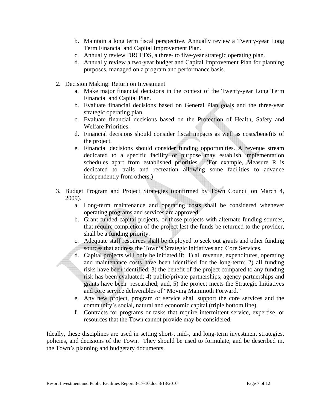- b. Maintain a long term fiscal perspective. Annually review a Twenty-year Long Term Financial and Capital Improvement Plan.
- c. Annually review DRCEDS, a three- to five-year strategic operating plan.
- d. Annually review a two-year budget and Capital Improvement Plan for planning purposes, managed on a program and performance basis.
- 2. Decision Making: Return on Investment
	- a. Make major financial decisions in the context of the Twenty-year Long Term Financial and Capital Plan.
	- b. Evaluate financial decisions based on General Plan goals and the three-year strategic operating plan.
	- c. Evaluate financial decisions based on the Protection of Health, Safety and Welfare Priorities.
	- d. Financial decisions should consider fiscal impacts as well as costs/benefits of the project.
	- e. Financial decisions should consider funding opportunities. A revenue stream dedicated to a specific facility or purpose may establish implementation schedules apart from established priorities. (For example, Measure R is dedicated to trails and recreation allowing some facilities to advance independently from others.)
- 3. Budget Program and Project Strategies (confirmed by Town Council on March 4, 2009).
	- a. Long-term maintenance and operating costs shall be considered whenever operating programs and services are approved.
	- b. Grant funded capital projects, or those projects with alternate funding sources, that require completion of the project lest the funds be returned to the provider, shall be a funding priority.
	- c. Adequate staff resources shall be deployed to seek out grants and other funding sources that address the Town's Strategic Initiatives and Core Services.
	- d. Capital projects will only be initiated if: 1) all revenue, expenditures, operating and maintenance costs have been identified for the long-term; 2) all funding risks have been identified; 3) the benefit of the project compared to any funding risk has been evaluated; 4) public/private partnerships, agency partnerships and grants have been researched; and, 5) the project meets the Strategic Initiatives and core service deliverables of "Moving Mammoth Forward."
	- e. Any new project, program or service shall support the core services and the community's social, natural and economic capital (triple bottom line).
	- f. Contracts for programs or tasks that require intermittent service, expertise, or resources that the Town cannot provide may be considered.

Ideally, these disciplines are used in setting short-, mid-, and long-term investment strategies, policies, and decisions of the Town. They should be used to formulate, and be described in, the Town's planning and budgetary documents.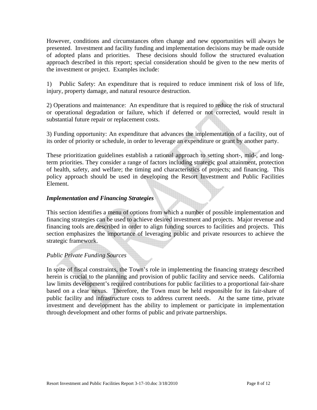However, conditions and circumstances often change and new opportunities will always be presented. Investment and facility funding and implementation decisions may be made outside of adopted plans and priorities. These decisions should follow the structured evaluation approach described in this report; special consideration should be given to the new merits of the investment or project. Examples include:

1) Public Safety: An expenditure that is required to reduce imminent risk of loss of life, injury, property damage, and natural resource destruction.

2) Operations and maintenance: An expenditure that is required to reduce the risk of structural or operational degradation or failure, which if deferred or not corrected, would result in substantial future repair or replacement costs.

3) Funding opportunity: An expenditure that advances the implementation of a facility, out of its order of priority or schedule, in order to leverage an expenditure or grant by another party.

These prioritization guidelines establish a rational approach to setting short-, mid-, and longterm priorities. They consider a range of factors including strategic goal attainment, protection of health, safety, and welfare; the timing and characteristics of projects; and financing. This policy approach should be used in developing the Resort Investment and Public Facilities Element.

#### *Implementation and Financing Strategies*

This section identifies a menu of options from which a number of possible implementation and financing strategies can be used to achieve desired investment and projects. Major revenue and financing tools are described in order to align funding sources to facilities and projects. This section emphasizes the importance of leveraging public and private resources to achieve the strategic framework.

#### *Public Private Funding Sources*

In spite of fiscal constraints, the Town's role in implementing the financing strategy described herein is crucial to the planning and provision of public facility and service needs. California law limits development's required contributions for public facilities to a proportional fair-share based on a clear nexus. Therefore, the Town must be held responsible for its fair-share of public facility and infrastructure costs to address current needs. At the same time, private investment and development has the ability to implement or participate in implementation through development and other forms of public and private partnerships.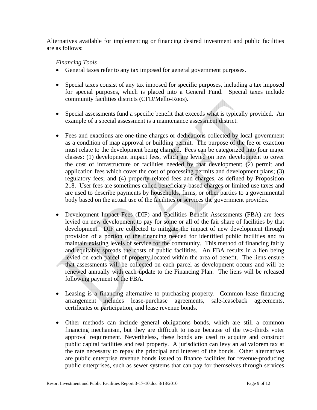Alternatives available for implementing or financing desired investment and public facilities are as follows:

#### *Financing Tools*

- General taxes refer to any tax imposed for general government purposes.
- Special taxes consist of any tax imposed for specific purposes, including a tax imposed for special purposes, which is placed into a General Fund. Special taxes include community facilities districts (CFD/Mello-Roos).
- Special assessments fund a specific benefit that exceeds what is typically provided. An example of a special assessment is a maintenance assessment district.
- Fees and exactions are one-time charges or dedications collected by local government as a condition of map approval or building permit. The purpose of the fee or exaction must relate to the development being charged. Fees can be categorized into four major classes: (1) development impact fees, which are levied on new development to cover the cost of infrastructure or facilities needed by that development; (2) permit and application fees which cover the cost of processing permits and development plans; (3) regulatory fees; and (4) property related fees and charges, as defined by Proposition 218. User fees are sometimes called beneficiary-based charges or limited use taxes and are used to describe payments by households, firms, or other parties to a governmental body based on the actual use of the facilities or services the government provides.
- Development Impact Fees (DIF) and Facilities Benefit Assessments (FBA) are fees levied on new development to pay for some or all of the fair share of facilities by that development. DIF are collected to mitigate the impact of new development through provision of a portion of the financing needed for identified public facilities and to maintain existing levels of service for the community. This method of financing fairly and equitably spreads the costs of public facilities. An FBA results in a lien being levied on each parcel of property located within the area of benefit. The liens ensure that assessments will be collected on each parcel as development occurs and will be renewed annually with each update to the Financing Plan. The liens will be released following payment of the FBA.
- Leasing is a financing alternative to purchasing property. Common lease financing arrangement includes lease-purchase agreements, sale-leaseback agreements, certificates or participation, and lease revenue bonds.
- Other methods can include general obligations bonds, which are still a common financing mechanism, but they are difficult to issue because of the two-thirds voter approval requirement. Nevertheless, these bonds are used to acquire and construct public capital facilities and real property. A jurisdiction can levy an ad valorem tax at the rate necessary to repay the principal and interest of the bonds. Other alternatives are public enterprise revenue bonds issued to finance facilities for revenue-producing public enterprises, such as sewer systems that can pay for themselves through services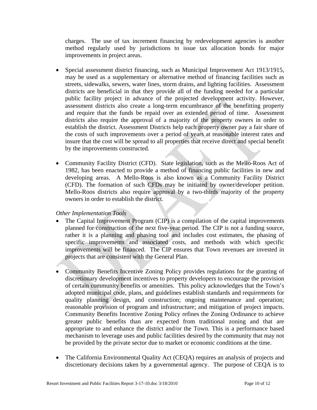charges. The use of tax increment financing by redevelopment agencies is another method regularly used by jurisdictions to issue tax allocation bonds for major improvements in project areas.

- Special assessment district financing, such as Municipal Improvement Act 1913/1915, may be used as a supplementary or alternative method of financing facilities such as streets, sidewalks, sewers, water lines, storm drains, and lighting facilities. Assessment districts are beneficial in that they provide all of the funding needed for a particular public facility project in advance of the projected development activity. However, assessment districts also create a long-term encumbrance of the benefitting property and require that the funds be repaid over an extended period of time. Assessment districts also require the approval of a majority of the property owners in order to establish the district. Assessment Districts help each property owner pay a fair share of the costs of such improvements over a period of years at reasonable interest rates and insure that the cost will be spread to all properties that receive direct and special benefit by the improvements constructed.
- Community Facility District (CFD). State legislation, such as the Mello-Roos Act of 1982, has been enacted to provide a method of financing public facilities in new and developing areas. A Mello-Roos is also known as a Community Facility District (CFD). The formation of such CFDs may be initiated by owner/developer petition. Mello-Roos districts also require approval by a two-thirds majority of the property owners in order to establish the district.

#### *Other Implementation Tools*

- The Capital Improvement Program (CIP) is a compilation of the capital improvements planned for construction of the next five-year period. The CIP is not a funding source, rather it is a planning and phasing tool and includes cost estimates, the phasing of specific improvements and associated costs, and methods with which specific improvements will be financed. The CIP ensures that Town revenues are invested in projects that are consistent with the General Plan.
- Community Benefits Incentive Zoning Policy provides regulations for the granting of discretionary development incentives to property developers to encourage the provision of certain community benefits or amenities. This policy acknowledges that the Town's adopted municipal code, plans, and guidelines establish standards and requirements for quality planning design, and construction; ongoing maintenance and operation; reasonable provision of program and infrastructure; and mitigation of project impacts. Community Benefits Incentive Zoning Policy refines the Zoning Ordinance to achieve greater public benefits than are expected from traditional zoning and that are appropriate to and enhance the district and/or the Town. This is a performance based mechanism to leverage uses and public facilities desired by the community that may not be provided by the private sector due to market or economic conditions at the time.
- The California Environmental Quality Act (CEQA) requires an analysis of projects and discretionary decisions taken by a governmental agency. The purpose of CEQA is to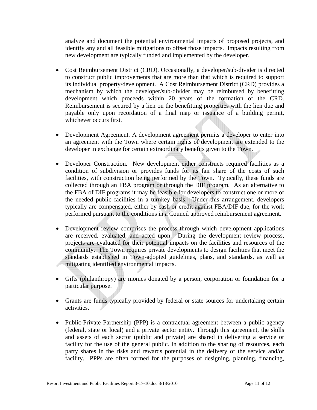analyze and document the potential environmental impacts of proposed projects, and identify any and all feasible mitigations to offset those impacts. Impacts resulting from new development are typically funded and implemented by the developer.

- Cost Reimbursement District (CRD). Occasionally, a developer/sub-divider is directed to construct public improvements that are more than that which is required to support its individual property/development. A Cost Reimbursement District (CRD) provides a mechanism by which the developer/sub-divider may be reimbursed by benefitting development which proceeds within 20 years of the formation of the CRD. Reimbursement is secured by a lien on the benefitting properties with the lien due and payable only upon recordation of a final map or issuance of a building permit, whichever occurs first.
- Development Agreement. A development agreement permits a developer to enter into an agreement with the Town where certain rights of development are extended to the developer in exchange for certain extraordinary benefits given to the Town.
- Developer Construction. New development either constructs required facilities as a condition of subdivision or provides funds for its fair share of the costs of such facilities, with construction being performed by the Town. Typically, these funds are collected through an FBA program or through the DIF program. As an alternative to the FBA of DIF programs it may be feasible for developers to construct one or more of the needed public facilities in a turnkey basis. Under this arrangement, developers typically are compensated, either by cash or credit against FBA/DIF due, for the work performed pursuant to the conditions in a Council approved reimbursement agreement.
- Development review comprises the process through which development applications are received, evaluated, and acted upon. During the development review process, projects are evaluated for their potential impacts on the facilities and resources of the community. The Town requires private developments to design facilities that meet the standards established in Town-adopted guidelines, plans, and standards, as well as mitigating identified environmental impacts.
- Gifts (philanthropy) are monies donated by a person, corporation or foundation for a particular purpose.
- Grants are funds typically provided by federal or state sources for undertaking certain activities.
- Public-Private Partnership (PPP) is a contractual agreement between a public agency (federal, state or local) and a private sector entity. Through this agreement, the skills and assets of each sector (public and private) are shared in delivering a service or facility for the use of the general public. In addition to the sharing of resources, each party shares in the risks and rewards potential in the delivery of the service and/or facility. PPPs are often formed for the purposes of designing, planning, financing,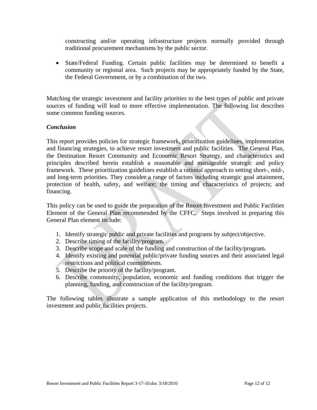constructing and/or operating infrastructure projects normally provided through traditional procurement mechanisms by the public sector.

• State/Federal Funding. Certain public facilities may be determined to benefit a community or regional area. Such projects may be appropriately funded by the State, the Federal Government, or by a combination of the two.

Matching the strategic investment and facility priorities to the best types of public and private sources of funding will lead to more effective implementation. The following list describes some common funding sources.

#### *Conclusion*

This report provides policies for strategic framework, prioritization guidelines, implementation and financing strategies, to achieve resort investment and public facilities. The General Plan, the Destination Resort Community and Economic Resort Strategy, and characteristics and principles described herein establish a reasonable and manageable strategic and policy framework. These prioritization guidelines establish a rational approach to setting short-, mid-, and long-term priorities. They consider a range of factors including strategic goal attainment, protection of health, safety, and welfare; the timing and characteristics of projects; and financing.

This policy can be used to guide the preparation of the Resort Investment and Public Facilities Element of the General Plan recommended by the CFFC. Steps involved in preparing this General Plan element include:

- 1. Identify strategic public and private facilities and programs by subject/objective.
- 2. Describe timing of the facility/program.
- 3. Describe scope and scale of the funding and construction of the facility/program.
- 4. Identify existing and potential public/private funding sources and their associated legal restrictions and political commitments.
- 5. Describe the priority of the facility/program.
- 6. Describe community, population, economic and funding conditions that trigger the planning, funding, and construction of the facility/program.

The following tables illustrate a sample application of this methodology to the resort investment and public facilities projects.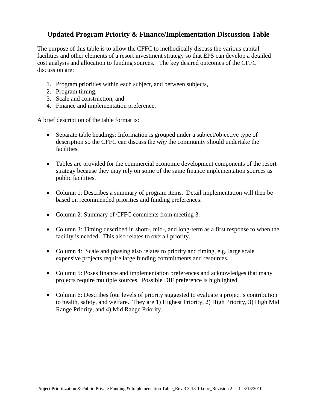### **Updated Program Priority & Finance/Implementation Discussion Table**

The purpose of this table is to allow the CFFC to methodically discuss the various capital facilities and other elements of a resort investment strategy so that EPS can develop a detailed cost analysis and allocation to funding sources. The key desired outcomes of the CFFC discussion are:

- 1. Program priorities within each subject, and between subjects,
- 2. Program timing,
- 3. Scale and construction, and
- 4. Finance and implementation preference.

A brief description of the table format is:

- Separate table headings: Information is grouped under a subject/objective type of description so the CFFC can discuss the *why* the community should undertake the facilities.
- Tables are provided for the commercial economic development components of the resort strategy because they may rely on some of the same finance implementation sources as public facilities.
- Column 1: Describes a summary of program items. Detail implementation will then be based on recommended priorities and funding preferences.
- Column 2: Summary of CFFC comments from meeting 3.
- Column 3: Timing described in short-, mid-, and long-term as a first response to when the facility is needed. This also relates to overall priority.
- Column 4: Scale and phasing also relates to priority and timing, e.g. large scale expensive projects require large funding commitments and resources.
- Column 5: Poses finance and implementation preferences and acknowledges that many projects require multiple sources. Possible DIF preference is highlighted.
- Column 6: Describes four levels of priority suggested to evaluate a project's contribution to health, safety, and welfare. They are 1) Highest Priority, 2) High Priority, 3) High Mid Range Priority, and 4) Mid Range Priority.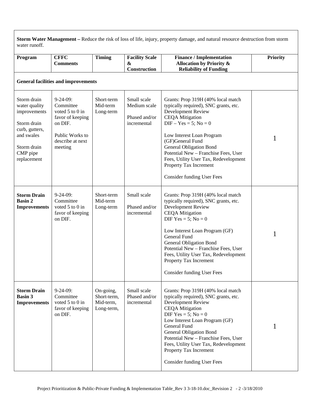**Storm Water Management –** Reduce the risk of loss of life, injury, property damage, and natural resource destruction from storm water runoff.

| Program                                                                                                                               | <b>CFFC</b><br><b>Comments</b>                                                                                                   | <b>Timing</b>                                       | <b>Facility Scale</b><br>&<br>Construction                  | <b>Finance / Implementation</b><br><b>Allocation by Priority &amp;</b><br><b>Reliability of Funding</b>                                                                                                                                                                                                                                                                                    | <b>Priority</b> |
|---------------------------------------------------------------------------------------------------------------------------------------|----------------------------------------------------------------------------------------------------------------------------------|-----------------------------------------------------|-------------------------------------------------------------|--------------------------------------------------------------------------------------------------------------------------------------------------------------------------------------------------------------------------------------------------------------------------------------------------------------------------------------------------------------------------------------------|-----------------|
|                                                                                                                                       | <b>General facilities and improvements</b>                                                                                       |                                                     |                                                             |                                                                                                                                                                                                                                                                                                                                                                                            |                 |
| Storm drain<br>water quality<br>improvements<br>Storm drain<br>curb, gutters,<br>and swales<br>Storm drain<br>CMP pipe<br>replacement | $9 - 24 - 09$ :<br>Committee<br>voted 5 to 0 in<br>favor of keeping<br>on DIF.<br>Public Works to<br>describe at next<br>meeting | Short-term<br>Mid-term<br>Long-term                 | Small scale<br>Medium scale<br>Phased and/or<br>incremental | Grants: Prop 319H (40% local match<br>typically required), SNC grants, etc.<br>Development Review<br><b>CEQA Mitigation</b><br>$DIF - Yes = 5$ ; No = 0<br>Low Interest Loan Program<br>(GF)General Fund<br><b>General Obligation Bond</b><br>Potential New - Franchise Fees, User<br>Fees, Utility User Tax, Redevelopment<br>Property Tax Increment<br><b>Consider funding User Fees</b> | 1               |
| <b>Storm Drain</b><br><b>Basin 2</b><br><b>Improvements</b>                                                                           | $9 - 24 - 09$ :<br>Committee<br>voted $5$ to $0$ in<br>favor of keeping<br>on DIF.                                               | Short-term<br>Mid-term<br>Long-term                 | Small scale<br>Phased and/or<br>incremental                 | Grants: Prop 319H (40% local match<br>typically required), SNC grants, etc.<br>Development Review<br><b>CEQA</b> Mitigation<br>DIF Yes = $5$ ; No = 0<br>Low Interest Loan Program (GF)<br>General Fund<br><b>General Obligation Bond</b><br>Potential New - Franchise Fees, User<br>Fees, Utility User Tax, Redevelopment<br>Property Tax Increment<br><b>Consider funding User Fees</b>  |                 |
| <b>Storm Drain</b><br><b>Basin 3</b><br><b>Improvements</b>                                                                           | $9-24-09$ :<br>Committee<br>voted 5 to 0 in<br>favor of keeping<br>on DIF.                                                       | On-going,<br>Short-term,<br>Mid-term,<br>Long-term, | Small scale<br>Phased and/or<br>incremental                 | Grants: Prop 319H (40% local match<br>typically required), SNC grants, etc.<br>Development Review<br><b>CEQA Mitigation</b><br>DIF Yes = $5$ ; No = 0<br>Low Interest Loan Program (GF)<br>General Fund<br><b>General Obligation Bond</b><br>Potential New - Franchise Fees, User<br>Fees, Utility User Tax, Redevelopment<br>Property Tax Increment<br><b>Consider funding User Fees</b>  | 1               |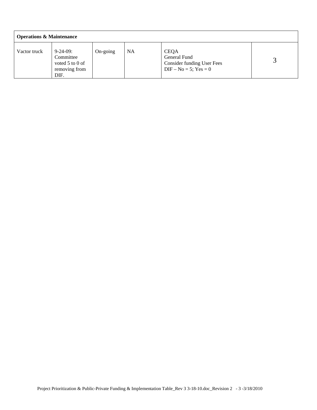| <b>Operations &amp; Maintenance</b> |                                                                              |          |    |                                                                                              |  |  |  |  |  |  |  |
|-------------------------------------|------------------------------------------------------------------------------|----------|----|----------------------------------------------------------------------------------------------|--|--|--|--|--|--|--|
| Vactor truck                        | $9 - 24 - 09$ :<br>Committee<br>voted $5$ to $0$ of<br>removing from<br>DIF. | On-going | NA | <b>CEQA</b><br>General Fund<br><b>Consider funding User Fees</b><br>$DIF - No = 5$ ; Yes = 0 |  |  |  |  |  |  |  |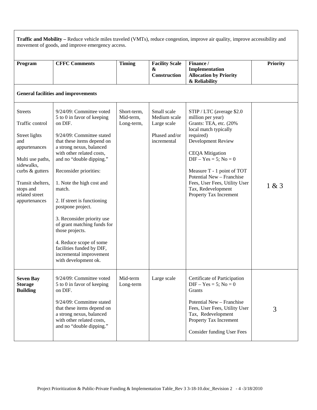| Traffic and Mobility - Reduce vehicle miles traveled (VMTs), reduce congestion, improve air quality, improve accessibility and<br>movement of goods, and improve emergency access.                   |                                                                                                                                                                                                                                                                                                                                                                                                                                                                                                                                   |                                        |                                                                            |                                                                                                                                                                                                                                                                                                                                         |                 |  |  |  |  |  |
|------------------------------------------------------------------------------------------------------------------------------------------------------------------------------------------------------|-----------------------------------------------------------------------------------------------------------------------------------------------------------------------------------------------------------------------------------------------------------------------------------------------------------------------------------------------------------------------------------------------------------------------------------------------------------------------------------------------------------------------------------|----------------------------------------|----------------------------------------------------------------------------|-----------------------------------------------------------------------------------------------------------------------------------------------------------------------------------------------------------------------------------------------------------------------------------------------------------------------------------------|-----------------|--|--|--|--|--|
| Program                                                                                                                                                                                              | <b>CFFC Comments</b>                                                                                                                                                                                                                                                                                                                                                                                                                                                                                                              | <b>Timing</b>                          | <b>Facility Scale</b><br>&<br><b>Construction</b>                          | Finance /<br>Implementation<br><b>Allocation by Priority</b><br>& Reliability                                                                                                                                                                                                                                                           | <b>Priority</b> |  |  |  |  |  |
|                                                                                                                                                                                                      | <b>General facilities and improvements</b>                                                                                                                                                                                                                                                                                                                                                                                                                                                                                        |                                        |                                                                            |                                                                                                                                                                                                                                                                                                                                         |                 |  |  |  |  |  |
| <b>Streets</b><br>Traffic control<br>Street lights<br>and<br>appurtenances<br>Multi use paths,<br>sidewalks,<br>curbs & gutters<br>Transit shelters,<br>stops and<br>related street<br>appurtenances | 9/24/09: Committee voted<br>5 to 0 in favor of keeping<br>on DIF.<br>9/24/09: Committee stated<br>that these items depend on<br>a strong nexus, balanced<br>with other related costs,<br>and no "double dipping."<br>Reconsider priorities:<br>1. Note the high cost and<br>match.<br>2. If street is functioning<br>postpone project.<br>3. Reconsider priority use<br>of grant matching funds for<br>those projects.<br>4. Reduce scope of some<br>facilities funded by DIF,<br>incremental improvement<br>with development ok. | Short-term,<br>Mid-term,<br>Long-term, | Small scale<br>Medium scale<br>Large scale<br>Phased and/or<br>incremental | STIP / LTC (average \$2.0)<br>million per year)<br>Grants: TEA, etc. (20%<br>local match typically<br>required)<br>Development Review<br><b>CEQA</b> Mitigation<br>$DIF - Yes = 5$ ; No = 0<br>Measure T - 1 point of TOT<br>Potential New - Franchise<br>Fees, User Fees, Utility User<br>Tax, Redevelopment<br>Property Tax Increment | 1 & 3           |  |  |  |  |  |
| <b>Seven Bay</b><br><b>Storage</b><br><b>Building</b>                                                                                                                                                | 9/24/09: Committee voted<br>5 to 0 in favor of keeping<br>on DIF.<br>9/24/09: Committee stated<br>that these items depend on<br>a strong nexus, balanced<br>with other related costs,<br>and no "double dipping."                                                                                                                                                                                                                                                                                                                 | Mid-term<br>Long-term                  | Large scale                                                                | Certificate of Participation<br>$DIF - Yes = 5$ ; No = 0<br>Grants<br>Potential New - Franchise<br>Fees, User Fees, Utility User<br>Tax, Redevelopment<br>Property Tax Increment<br><b>Consider funding User Fees</b>                                                                                                                   | 3               |  |  |  |  |  |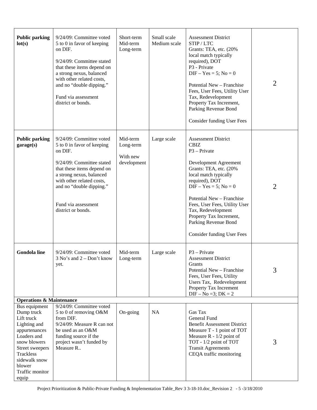| <b>Public parking</b><br>lot(s)                                                                                                                                                 | 9/24/09: Committee voted<br>5 to 0 in favor of keeping<br>on DIF.<br>9/24/09: Committee stated<br>that these items depend on<br>a strong nexus, balanced<br>with other related costs,<br>and no "double dipping."<br>Fund via assessment<br>district or bonds. | Short-term<br>Mid-term<br>Long-term              | Small scale<br>Medium scale | <b>Assessment District</b><br>STIP/LTC<br>Grants: TEA, etc. (20%)<br>local match typically<br>required), DOT<br>P3 - Private<br>$DIF - Yes = 5$ ; No = 0<br>Potential New - Franchise<br>Fees, User Fees, Utility User<br>Tax, Redevelopment<br>Property Tax Increment,<br>Parking Revenue Bond<br><b>Consider funding User Fees</b>                              | 2              |
|---------------------------------------------------------------------------------------------------------------------------------------------------------------------------------|----------------------------------------------------------------------------------------------------------------------------------------------------------------------------------------------------------------------------------------------------------------|--------------------------------------------------|-----------------------------|-------------------------------------------------------------------------------------------------------------------------------------------------------------------------------------------------------------------------------------------------------------------------------------------------------------------------------------------------------------------|----------------|
| <b>Public parking</b><br>garage(s)                                                                                                                                              | 9/24/09: Committee voted<br>5 to 0 in favor of keeping<br>on DIF.<br>9/24/09: Committee stated<br>that these items depend on<br>a strong nexus, balanced<br>with other related costs,<br>and no "double dipping."<br>Fund via assessment<br>district or bonds. | Mid-term<br>Long-term<br>With new<br>development | Large scale                 | <b>Assessment District</b><br><b>CBIZ</b><br>$P3 - Private$<br>Development Agreement<br>Grants: TEA, etc. (20%<br>local match typically<br>required), DOT<br>$DIF - Yes = 5$ ; No = 0<br>Potential New - Franchise<br>Fees, User Fees, Utility User<br>Tax, Redevelopment<br>Property Tax Increment,<br>Parking Revenue Bond<br><b>Consider funding User Fees</b> | $\overline{2}$ |
| <b>Gondola line</b>                                                                                                                                                             | 9/24/09: Committee voted<br>$3$ No's and $2 - Don't know$<br>yet.                                                                                                                                                                                              | Mid-term<br>Long-term                            | Large scale                 | $P3 - Private$<br><b>Assessment District</b><br>Grants<br>Potential New - Franchise<br>Fees, User Fees, Utility<br>Users Tax, Redevelopment<br>Property Tax Increment<br>$DIF - No = 3; DK = 2$                                                                                                                                                                   | 3              |
| <b>Operations &amp; Maintenance</b><br>Bus equipment                                                                                                                            | 9/24/09: Committee voted                                                                                                                                                                                                                                       |                                                  |                             |                                                                                                                                                                                                                                                                                                                                                                   |                |
| Dump truck<br>Lift truck<br>Lighting and<br>appurtenances<br>Loaders and<br>snow blowers<br>Street sweepers<br>Trackless<br>sidewalk snow<br>blower<br>Traffic monitor<br>equip | 5 to 0 of removing O&M<br>from DIF.<br>9/24/09: Measure R can not<br>be used as an O&M<br>funding source if the<br>project wasn't funded by<br>Measure R                                                                                                       | On-going                                         | <b>NA</b>                   | Gas Tax<br>General Fund<br><b>Benefit Assessment District</b><br>Measure T - 1 point of TOT<br>Measure $R - 1/2$ point of<br>TOT - 1/2 point of TOT<br><b>Transit Agreements</b><br>CEQA traffic monitoring                                                                                                                                                       | 3              |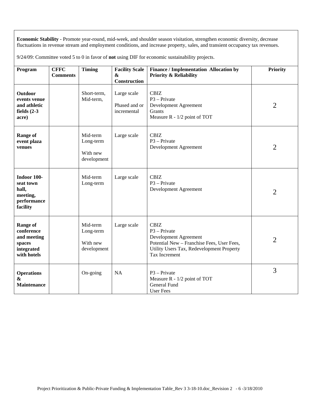**Economic Stability** - Promote year-round, mid-week, and shoulder season visitation, strengthen economic diversity, decrease fluctuations in revenue stream and employment conditions, and increase property, sales, and transient occupancy tax revenues.

9/24/09: Committee voted 5 to 0 in favor of **not** using DIF for economic sustainability projects.

| Program                                                                             | <b>CFFC</b><br><b>Comments</b> | <b>Timing</b>                                    | <b>Facility Scale</b><br>&<br><b>Construction</b> | Finance / Implementation Allocation by<br><b>Priority &amp; Reliability</b>                                                                                        | <b>Priority</b> |
|-------------------------------------------------------------------------------------|--------------------------------|--------------------------------------------------|---------------------------------------------------|--------------------------------------------------------------------------------------------------------------------------------------------------------------------|-----------------|
| <b>Outdoor</b><br>events venue<br>and athletic<br>fields $(2-3)$<br>acre)           |                                | Short-term,<br>Mid-term,                         | Large scale<br>Phased and or<br>incremental       | <b>CBIZ</b><br>$P3 - Private$<br>Development Agreement<br>Grants<br>Measure R - 1/2 point of TOT                                                                   | $\overline{2}$  |
| <b>Range of</b><br>event plaza<br>venues                                            |                                | Mid-term<br>Long-term<br>With new<br>development | Large scale                                       | <b>CBIZ</b><br>$P3 - Private$<br>Development Agreement                                                                                                             | $\overline{2}$  |
| Indoor 100-<br>seat town<br>hall,<br>meeting,<br>performance<br>facility            |                                | Mid-term<br>Long-term                            | Large scale                                       | <b>CBIZ</b><br>$P3 - Private$<br>Development Agreement                                                                                                             | $\overline{2}$  |
| <b>Range of</b><br>conference<br>and meeting<br>spaces<br>integrated<br>with hotels |                                | Mid-term<br>Long-term<br>With new<br>development | Large scale                                       | <b>CBIZ</b><br>$P3 - Private$<br>Development Agreement<br>Potential New - Franchise Fees, User Fees,<br>Utility Users Tax, Redevelopment Property<br>Tax Increment | $\overline{2}$  |
| <b>Operations</b><br>&<br><b>Maintenance</b>                                        |                                | On-going                                         | <b>NA</b>                                         | $P3 - Private$<br>Measure R - 1/2 point of TOT<br>General Fund<br><b>User Fees</b>                                                                                 | 3               |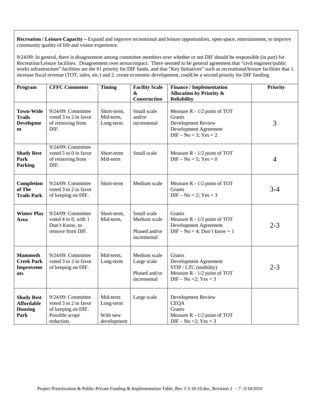**Recreation / Leisure Capacity – Expand and improve recreational and leisure opportunities, open space, entertainment, to improve** community quality of life and visitor experience.

9/24/09: In general, there is disagreement among committee members over whether or not DIF should be responsible (in part) for Recreation/Leisure facilities. Disagreement over nexus/impact. There seemed to be general agreement that "civil engineer/public works infrastructure" facilities are the #1 priority for DIF funds, and that "Key Initiatives" such as recreational/leisure facilities that 1. increase fiscal revenue (TOT, sales, etc.) and 2. create economic development, could be a second priority for DIF funding.

| Program                                                          | <b>CFFC Comments</b>                                                                              | <b>Timing</b>                                    | <b>Facility Scale</b><br>&<br><b>Construction</b>           | <b>Finance / Implementation</b><br><b>Allocation by Priority &amp;</b><br><b>Reliability</b>                             | <b>Priority</b> |
|------------------------------------------------------------------|---------------------------------------------------------------------------------------------------|--------------------------------------------------|-------------------------------------------------------------|--------------------------------------------------------------------------------------------------------------------------|-----------------|
| <b>Town-Wide</b><br><b>Trails</b><br><b>Developme</b><br>nt      | 9/24/09: Committee<br>voted 3 to 2 in favor<br>of removing from<br>DIF.                           | Short-term,<br>Mid-term,<br>Long-term            | Small scale<br>and/or<br>incremental                        | Measure R - 1/2 point of TOT<br><b>Grants</b><br>Development Review<br>Development Agreement<br>$DIF - No = 3$ ; Yes = 2 | 3               |
| <b>Shady Rest</b><br>Park<br><b>Parking</b>                      | 9/24/09: Committee<br>voted 5 to 0 in favor<br>of removing from<br>DIF.                           | Short-term<br>Mid-term                           | Small scale                                                 | Measure R - 1/2 point of TOT<br>$DIF - No = 5$ ; Yes = 0                                                                 | $\overline{4}$  |
| Completion<br>of The<br><b>Trails Park</b>                       | 9/24/09: Committee<br>voted 3 to 2 in favor<br>of keeping on DIF.                                 | Short-term                                       | Medium scale                                                | Measure R - 1/2 point of TOT<br>Grants<br>$DIF - No = 2$ ; Yes = 3                                                       | $3-4$           |
| <b>Winter Play</b><br>Area                                       | 9/24/09: Committee<br>voted 4 to 0, with 1<br>Don't Know, to<br>remove from DIF.                  | Short-term,<br>Mid-term,                         | Small scale<br>Medium scale<br>Phased and/or<br>incremental | <b>Grants</b><br>Measure R - 1/2 point of TOT<br>Development Agreement<br>$DIF - No = 4$ ; Don't know = 1                | $2 - 3$         |
| <b>Mammoth</b><br><b>Creek Park</b><br>Improveme<br><b>nts</b>   | 9/24/09: Committee<br>voted 3 to 2 in favor<br>of keeping on DIF.                                 | Mid-term,<br>Long-term                           | Medium scale<br>Large scale<br>Phased and/or<br>incremental | Grants<br>Development Agreement<br>STIP / LTC (mobility)<br>Measure R - 1/2 point of TOT<br>DIF - No = 2; Yes = 3        | $2 - 3$         |
| <b>Shady Rest</b><br><b>Affordable</b><br><b>Housing</b><br>Park | 9/24/09: Committee<br>voted 3 to 2 in favor<br>of keeping on DIF.<br>Possible scope<br>reduction. | Mid-term<br>Long-term<br>With new<br>development | Large scale                                                 | Development Review<br><b>CEQA</b><br><b>Grants</b><br>Measure R - 1/2 point of TOT<br>$DIF - No = 2$ ; $Yes = 3$         |                 |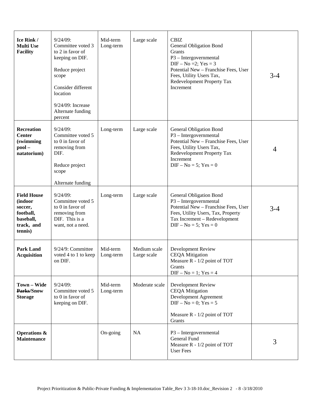| Ice Rink /<br><b>Multi Use</b><br><b>Facility</b>                                                   | $9/24/09$ :<br>Committee voted 3<br>to 2 in favor of<br>keeping on DIF.<br>Reduce project<br>scope<br>Consider different<br>location<br>9/24/09: Increase<br>Alternate funding<br>percent | Mid-term<br>Long-term | Large scale                 | <b>CBIZ</b><br><b>General Obligation Bond</b><br>Grants<br>P3 - Intergovernmental<br>$DIF - No = 2$ ; $Yes = 3$<br>Potential New - Franchise Fees, User<br>Fees, Utility Users Tax,<br>Redevelopment Property Tax<br>Increment | $3-4$   |
|-----------------------------------------------------------------------------------------------------|-------------------------------------------------------------------------------------------------------------------------------------------------------------------------------------------|-----------------------|-----------------------------|--------------------------------------------------------------------------------------------------------------------------------------------------------------------------------------------------------------------------------|---------|
| <b>Recreation</b><br><b>Center</b><br><i>(swimming</i><br>$pool -$<br>natatorium)                   | $9/24/09$ :<br>Committee voted 5<br>to 0 in favor of<br>removing from<br>DIF.<br>Reduce project<br>scope<br>Alternate funding                                                             | Long-term             | Large scale                 | General Obligation Bond<br>P3 - Intergovernmental<br>Potential New - Franchise Fees, User<br>Fees, Utility Users Tax,<br>Redevelopment Property Tax<br>Increment<br>$DIF - No = 5$ ; Yes = 0                                   | 4       |
| <b>Field House</b><br><i>(indoor)</i><br>soccer,<br>football,<br>baseball,<br>track, and<br>tennis) | $9/24/09$ :<br>Committee voted 5<br>to 0 in favor of<br>removing from<br>DIF. This is a<br>want, not a need.                                                                              | Long-term             | Large scale                 | General Obligation Bond<br>P3 - Intergovernmental<br>Potential New - Franchise Fees, User<br>Fees, Utility Users, Tax, Property<br>Tax Increment - Redevelopment<br>$DIF - No = 5$ ; Yes = 0                                   | $3 - 4$ |
| <b>Park Land</b><br><b>Acquisition</b>                                                              | 9/24/9: Committee<br>voted 4 to 1 to keep<br>on DIF.                                                                                                                                      | Mid-term<br>Long-term | Medium scale<br>Large scale | Development Review<br><b>CEQA Mitigation</b><br>Measure $R - 1/2$ point of TOT<br>Grants<br>$DIF - No = 1$ ; Yes = 4                                                                                                           |         |
| Town - Wide<br>Parks/Snow<br><b>Storage</b>                                                         | $9/24/09$ :<br>Committee voted 5<br>to 0 in favor of<br>keeping on DIF.                                                                                                                   | Mid-term<br>Long-term | Moderate scale              | Development Review<br><b>CEQA</b> Mitigation<br>Development Agreement<br>$DIF - No = 0$ ; Yes = 5<br>Measure R - 1/2 point of TOT<br>Grants                                                                                    |         |
| <b>Operations &amp;</b><br><b>Maintenance</b>                                                       |                                                                                                                                                                                           | On-going              | <b>NA</b>                   | P3 - Intergovernmental<br>General Fund<br>Measure R - 1/2 point of TOT<br>User Fees                                                                                                                                            | 3       |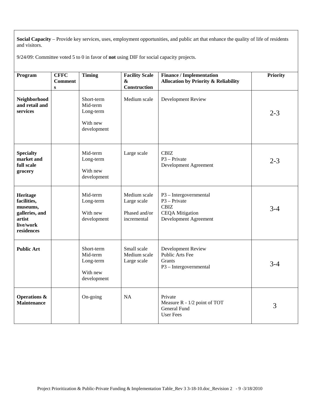**Social Capacity** – Provide key services, uses, employment opportunities, and public art that enhance the quality of life of residents and visitors.

9/24/09: Committee voted 5 to 0 in favor of **not** using DIF for social capacity projects.

| Program                                                                                    | <b>CFFC</b><br><b>Comment</b><br>$\mathbf{s}$ | <b>Timing</b>                                                  | <b>Facility Scale</b><br>$\boldsymbol{\&}$<br>Construction  | <b>Finance / Implementation</b><br><b>Allocation by Priority &amp; Reliability</b>                         | <b>Priority</b> |
|--------------------------------------------------------------------------------------------|-----------------------------------------------|----------------------------------------------------------------|-------------------------------------------------------------|------------------------------------------------------------------------------------------------------------|-----------------|
| Neighborhood<br>and retail and<br>services                                                 |                                               | Short-term<br>Mid-term<br>Long-term<br>With new<br>development | Medium scale                                                | Development Review                                                                                         | $2 - 3$         |
| <b>Specialty</b><br>market and<br>full scale<br>grocery                                    |                                               | Mid-term<br>Long-term<br>With new<br>development               | Large scale                                                 | <b>CBIZ</b><br>$P3 - Private$<br>Development Agreement                                                     | $2 - 3$         |
| Heritage<br>facilities,<br>museums,<br>galleries, and<br>artist<br>live/work<br>residences |                                               | Mid-term<br>Long-term<br>With new<br>development               | Medium scale<br>Large scale<br>Phased and/or<br>incremental | P3 - Intergovernmental<br>$P3 - Private$<br><b>CBIZ</b><br><b>CEQA</b> Mitigation<br>Development Agreement | $3-4$           |
| <b>Public Art</b>                                                                          |                                               | Short-term<br>Mid-term<br>Long-term<br>With new<br>development | Small scale<br>Medium scale<br>Large scale                  | <b>Development Review</b><br>Public Arts Fee<br>Grants<br>P3 - Intergovernmental                           | $3 - 4$         |
| <b>Operations &amp;</b><br><b>Maintenance</b>                                              |                                               | On-going                                                       | <b>NA</b>                                                   | Private<br>Measure R - 1/2 point of TOT<br>General Fund<br><b>User Fees</b>                                | 3               |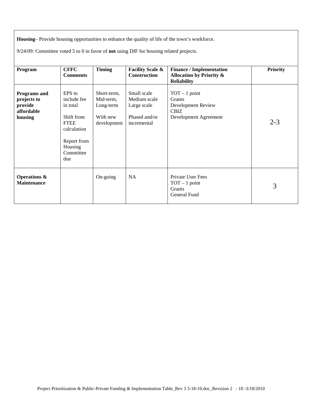**Housing**– Provide housing opportunities to enhance the quality of life of the town's workforce.

9/24/09: Committee voted 5 to 0 in favor of **not** using DIF for housing related projects.

| Program                                                                | <b>CFFC</b><br><b>Comments</b>                                                                                              | <b>Timing</b>                                                    | <b>Facility Scale &amp;</b><br><b>Construction</b>                         | <b>Finance / Implementation</b><br><b>Allocation by Priority &amp;</b><br><b>Reliability</b>   | <b>Priority</b> |
|------------------------------------------------------------------------|-----------------------------------------------------------------------------------------------------------------------------|------------------------------------------------------------------|----------------------------------------------------------------------------|------------------------------------------------------------------------------------------------|-----------------|
| <b>Programs</b> and<br>projects to<br>provide<br>affordable<br>housing | EPS to<br>include fee<br>in total<br>Shift from<br><b>FTEE</b><br>calculation<br>Report from<br>Housing<br>Committee<br>due | Short-term,<br>Mid-term,<br>Long-term<br>With new<br>development | Small scale<br>Medium scale<br>Large scale<br>Phased and/or<br>incremental | $TOT - 1 point$<br><b>Grants</b><br>Development Review<br><b>CBIZ</b><br>Development Agreement | $2 - 3$         |
| <b>Operations &amp;</b><br><b>Maintenance</b>                          |                                                                                                                             | On-going                                                         | <b>NA</b>                                                                  | Private User Fees<br>$TOT - 1 point$<br><b>Grants</b><br>General Fund                          | 3               |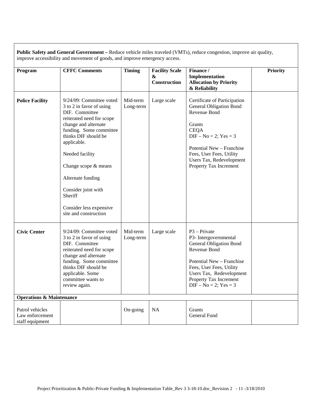**Public Safety and General Government –** Reduce vehicle miles traveled (VMTs), reduce congestion, improve air quality, improve accessibility and movement of goods, and improve emergency access.

| Program                                               | <b>CFFC Comments</b>                                                                                                                                                                                                                                                                                                                                | <b>Timing</b>         | <b>Facility Scale</b><br>&<br>Construction | Finance /<br>Implementation<br><b>Allocation by Priority</b><br>& Reliability                                                                                                                                                                        | <b>Priority</b> |
|-------------------------------------------------------|-----------------------------------------------------------------------------------------------------------------------------------------------------------------------------------------------------------------------------------------------------------------------------------------------------------------------------------------------------|-----------------------|--------------------------------------------|------------------------------------------------------------------------------------------------------------------------------------------------------------------------------------------------------------------------------------------------------|-----------------|
| <b>Police Facility</b>                                | 9/24/09: Committee voted<br>3 to 2 in favor of using<br>DIF. Committee<br>reiterated need for scope<br>change and alternate<br>funding. Some committee<br>thinks DIF should be<br>applicable.<br>Needed facility<br>Change scope & means<br>Alternate funding<br>Consider joint with<br>Sheriff<br>Consider less expensive<br>site and construction | Mid-term<br>Long-term | Large scale                                | Certificate of Participation<br><b>General Obligation Bond</b><br>Revenue Bond<br>Grants<br><b>CEQA</b><br>$DIF - No = 2$ ; $Yes = 3$<br>Potential New - Franchise<br>Fees, User Fees, Utility<br>Users Tax, Redevelopment<br>Property Tax Increment |                 |
| <b>Civic Center</b>                                   | 9/24/09: Committee voted<br>3 to 2 in favor of using<br>DIF. Committee<br>reiterated need for scope<br>change and alternate<br>funding. Some committee<br>thinks DIF should be<br>applicable. Some<br>committee wants to<br>review again.                                                                                                           | Mid-term<br>Long-term | Large scale                                | $P3 - Private$<br>P3- Intergovernmental<br><b>General Obligation Bond</b><br>Revenue Bond<br>Potential New - Franchise<br>Fees, User Fees, Utility<br>Users Tax, Redevelopment<br>Property Tax Increment<br>$DIF - No = 2$ ; Yes = 3                 |                 |
| <b>Operations &amp; Maintenance</b>                   |                                                                                                                                                                                                                                                                                                                                                     |                       |                                            |                                                                                                                                                                                                                                                      |                 |
| Patrol vehicles<br>Law enforcement<br>staff equipment |                                                                                                                                                                                                                                                                                                                                                     | On-going              | NA                                         | Grants<br>General Fund                                                                                                                                                                                                                               |                 |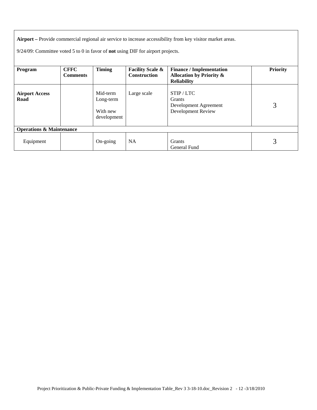**Airport –** Provide commercial regional air service to increase accessibility from key visitor market areas.

9/24/09: Committee voted 5 to 0 in favor of **not** using DIF for airport projects.

| Program                             | <b>CFFC</b>     | Timing                                           | <b>Facility Scale &amp;</b> | <b>Finance / Implementation</b>                                          | <b>Priority</b> |
|-------------------------------------|-----------------|--------------------------------------------------|-----------------------------|--------------------------------------------------------------------------|-----------------|
|                                     | <b>Comments</b> |                                                  | <b>Construction</b>         | <b>Allocation by Priority &amp;</b><br><b>Reliability</b>                |                 |
|                                     |                 |                                                  |                             |                                                                          |                 |
| <b>Airport Access</b><br>Road       |                 | Mid-term<br>Long-term<br>With new<br>development | Large scale                 | STIP/LTC<br><b>Grants</b><br>Development Agreement<br>Development Review | 3               |
| <b>Operations &amp; Maintenance</b> |                 |                                                  |                             |                                                                          |                 |
| Equipment                           |                 | On-going                                         | <b>NA</b>                   | <b>Grants</b><br>General Fund                                            | 3               |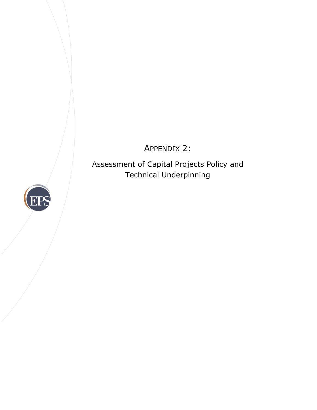# APPENDIX 2:

Assessment of Capital Projects Policy and Technical Underpinning

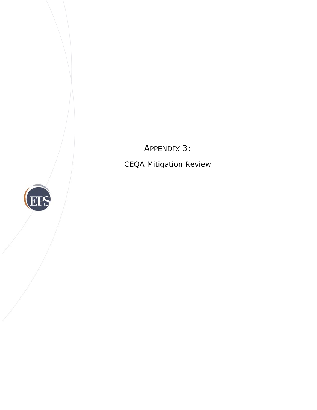APPENDIX 3:

CEQA Mitigation Review

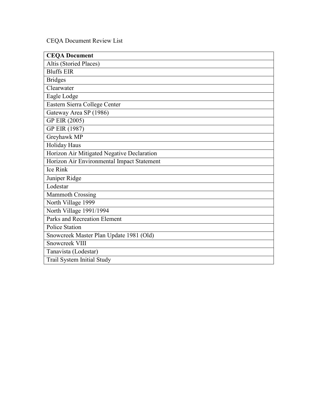CEQA Document Review List

| <b>CEQA Document</b>                       |
|--------------------------------------------|
| Altis (Storied Places)                     |
| <b>Bluffs EIR</b>                          |
| <b>Bridges</b>                             |
| Clearwater                                 |
| Eagle Lodge                                |
| Eastern Sierra College Center              |
| Gateway Area SP (1986)                     |
| GP EIR (2005)                              |
| GP EIR (1987)                              |
| Greyhawk MP                                |
| Holiday Haus                               |
| Horizon Air Mitigated Negative Declaration |
| Horizon Air Environmental Impact Statement |
| Ice Rink                                   |
| Juniper Ridge                              |
| Lodestar                                   |
| <b>Mammoth Crossing</b>                    |
| North Village 1999                         |
| North Village 1991/1994                    |
| <b>Parks and Recreation Element</b>        |
| <b>Police Station</b>                      |
| Snowcreek Master Plan Update 1981 (Old)    |
| Snowcreek VIII                             |
| Tanavista (Lodestar)                       |
| Trail System Initial Study                 |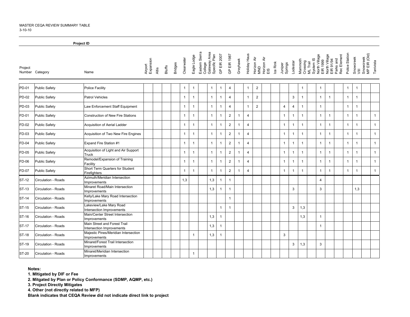#### MASTER CEQA REVIEW SUMMARY TABLE3-10-10

|              |                      | Project ID                                                |                               |               |                |                |                |                                                            |                |                |                |                |                |                                          |          |                    |                |                                                                                        |                |                |                                                        |                |                   |                           |              |
|--------------|----------------------|-----------------------------------------------------------|-------------------------------|---------------|----------------|----------------|----------------|------------------------------------------------------------|----------------|----------------|----------------|----------------|----------------|------------------------------------------|----------|--------------------|----------------|----------------------------------------------------------------------------------------|----------------|----------------|--------------------------------------------------------|----------------|-------------------|---------------------------|--------------|
| Project      | Number Category      | Name                                                      | Airport<br>Expansion<br>Altis | <b>Bluffs</b> | <b>Bridges</b> | Clearwater     | Eagle Lodge    | Eastern Sierra<br>College<br>Gateway Area<br>Specific Plan | GP EIR 2007    | GP EIR 1987    | Greyhawk       | Holiday Haus   |                | Horizon Air<br>MND<br>Horizon Air<br>EIS | Ice Rink | Juniper<br>Springs | Lodestar       | Mammoth<br>Crossing<br>ML Trail<br>System IS<br>System IS<br>North Village<br>EIR 1999 |                |                | North Village<br>EIR 91/94<br>Parks and<br>Rec Element | Police Station | Snowcreek<br>VIII | Snowcreek<br>MP EIR (Old) | Tanivista    |
| PD-01        | <b>Public Safety</b> | Police Facility                                           |                               |               |                | $\mathbf{1}$   | $\overline{1}$ | $\mathbf{1}$                                               | $\overline{1}$ | $\overline{4}$ |                | $\mathbf{1}$   | $\overline{2}$ |                                          |          |                    |                | $\overline{1}$                                                                         | $\overline{1}$ |                |                                                        | $\mathbf{1}$   | $\mathbf{1}$      |                           |              |
| PD-02        | Public Safety        | <b>Patrol Vehicles</b>                                    |                               |               |                | $\mathbf{1}$   | $\mathbf{1}$   | $\mathbf{1}$                                               | $\overline{1}$ | $\overline{4}$ |                | $\mathbf{1}$   | $\overline{2}$ |                                          |          |                    | 3              | $\overline{1}$                                                                         | $\mathbf{1}$   | $\mathbf{1}$   |                                                        | $\mathbf{1}$   | $\mathbf{1}$      |                           |              |
| PD-03        | <b>Public Safety</b> | Law Enforcement Staff Equipment                           |                               |               |                | $\overline{1}$ | $\overline{1}$ | $\mathbf{1}$                                               | $\overline{1}$ | $\overline{4}$ |                | $\mathbf{1}$   | $\overline{2}$ |                                          |          | $\overline{4}$     | $\overline{a}$ | $\mathbf{1}$                                                                           | $\mathbf{1}$   |                |                                                        | $\mathbf{1}$   | $\mathbf{1}$      |                           |              |
| FD-01        | <b>Public Safety</b> | <b>Construction of New Fire Stations</b>                  |                               |               |                | $\mathbf{1}$   | $\overline{1}$ | $\mathbf{1}$                                               | $\overline{1}$ | $\overline{c}$ | $\overline{1}$ | $\overline{4}$ |                |                                          |          | $\mathbf{1}$       | $\mathbf{1}$   | $\overline{1}$                                                                         | $\mathbf{1}$   | $\overline{1}$ |                                                        | $\mathbf{1}$   | $\mathbf{1}$      |                           | $\mathbf{1}$ |
| FD-02        | <b>Public Safety</b> | Acquisition of Aerial Ladder                              |                               |               |                | $\mathbf{1}$   | $\mathbf{1}$   | $\mathbf{1}$                                               | $\overline{1}$ | $\overline{2}$ | $\overline{1}$ | 4              |                |                                          |          | $\mathbf{1}$       | $\mathbf{1}$   | $\overline{1}$                                                                         | $\mathbf{1}$   | $\mathbf{1}$   |                                                        | $\mathbf{1}$   | $\mathbf{1}$      |                           | $\mathbf{1}$ |
| FD-03        | <b>Public Safety</b> | Acquisition of Two New Fire Engines                       |                               |               |                | $\mathbf{1}$   | $\overline{1}$ | $\mathbf{1}$                                               | $\overline{1}$ | $\overline{2}$ | $\overline{1}$ | 4              |                |                                          |          | $\mathbf{1}$       | $\overline{1}$ | $\overline{1}$                                                                         | $\mathbf{1}$   | $\overline{1}$ |                                                        | $\mathbf{1}$   | $\overline{1}$    |                           | $\mathbf{1}$ |
| FD-04        | <b>Public Safety</b> | Expand Fire Station #1                                    |                               |               |                | $\mathbf{1}$   | $\overline{1}$ | $\mathbf{1}$                                               | $\overline{1}$ | $\overline{2}$ | $\overline{1}$ | $\overline{4}$ |                |                                          |          | $\mathbf{1}$       | $\mathbf{1}$   | $\overline{1}$                                                                         | $\overline{1}$ | $\mathbf{1}$   |                                                        | $\mathbf{1}$   | $\overline{1}$    |                           | $\mathbf{1}$ |
| FD-05        | <b>Public Safety</b> | Acquisition of Light and Air Support<br>Truck             |                               |               |                | $\mathbf{1}$   | $\mathbf{1}$   | $\mathbf{1}$                                               | $\mathbf{1}$   | $\overline{2}$ | $\overline{1}$ | $\overline{4}$ |                |                                          |          | $\mathbf{1}$       | -1             | $\overline{1}$                                                                         | $\overline{1}$ | $\mathbf{1}$   |                                                        | $\mathbf{1}$   | $\mathbf{1}$      |                           | $\mathbf{1}$ |
| FD-06        | <b>Public Safety</b> | Remodel/Expansion of Training<br>Facility                 |                               |               |                | $\mathbf{1}$   | $\overline{1}$ | $\mathbf{1}$                                               | $\overline{1}$ | $\overline{2}$ | $\overline{1}$ | 4              |                |                                          |          | $\mathbf{1}$       | $\overline{1}$ | $\overline{1}$                                                                         | $\mathbf{1}$   | $\overline{1}$ |                                                        | $\mathbf{1}$   | $\mathbf{1}$      |                           | $\mathbf{1}$ |
| FD-07        | <b>Public Safety</b> | Short Term Quarters for Student<br>Firefighters           |                               |               |                | $\mathbf{1}$   | $\overline{1}$ | $\mathbf{1}$                                               | $\overline{1}$ | $\overline{c}$ | $\overline{1}$ | $\overline{4}$ |                |                                          |          | $\mathbf{1}$       | $\mathbf{1}$   | $\overline{1}$                                                                         | $\mathbf{1}$   | $\overline{1}$ |                                                        | $\mathbf{1}$   | $\mathbf{1}$      |                           | $\mathbf{1}$ |
| ST-12        | Circulation - Roads  | Azimuth/Meridian Intersection<br>Improvements             |                               |               |                | 1,3            |                | 1,3                                                        | $\overline{1}$ | $\mathbf{1}$   |                |                |                |                                          |          |                    |                |                                                                                        | $\overline{4}$ |                |                                                        |                |                   |                           |              |
| <b>ST-13</b> | Circulation - Roads  | Minaret Road/Main Intersection<br><b>Improvements</b>     |                               |               |                |                |                | 1,3                                                        | $\mathbf{1}$   | $\overline{1}$ |                |                |                |                                          |          |                    | 3              |                                                                                        | 3              |                |                                                        |                | 1,3               |                           |              |
| ST-14        | Circulation - Roads  | Kelly/Lake Mary Road Intersection<br>Improvements         |                               |               |                |                |                |                                                            |                | $\mathbf{1}$   |                |                |                |                                          |          |                    |                |                                                                                        |                |                |                                                        |                |                   |                           |              |
| ST-15        | Circulation - Roads  | Lakeview/Lake Mary Road<br>Intersection Improvements      |                               |               |                |                |                |                                                            | $\mathbf{1}$   | $\mathbf{1}$   |                |                |                |                                          |          |                    | 3              | 1,3                                                                                    |                |                |                                                        |                |                   |                           |              |
| ST-16        | Circulation - Roads  | Main/Center Street Intersection<br>Improvements           |                               |               |                |                |                | 1,3                                                        | $\overline{1}$ |                |                |                |                |                                          |          |                    |                | 1,3                                                                                    | $\mathbf{1}$   |                |                                                        |                |                   |                           |              |
| ST-17        | Circulation - Roads  | Main Street and Forest Trail<br>Intersection Improvements |                               |               |                |                |                | 1,3                                                        | $\overline{1}$ |                |                |                |                |                                          |          |                    |                |                                                                                        | $\mathbf{1}$   |                |                                                        |                |                   |                           |              |
| ST-18        | Circulation - Roads  | Majestic Pines/Meridian Intersection<br>Improvements      |                               |               |                |                | $\mathbf{1}$   | 1,3                                                        | $\overline{1}$ |                |                |                |                |                                          |          | 3                  |                |                                                                                        |                |                |                                                        |                |                   |                           |              |
| ST-19        | Circulation - Roads  | Minaret/Forest Trail Intersection<br>Improvements         |                               |               |                |                |                |                                                            |                |                |                |                |                |                                          |          |                    | 3              | 1,3                                                                                    | 3              |                |                                                        |                |                   |                           |              |
| ST-20        | Circulation - Roads  | Minaret/Meridian Intersection<br>Improvements             |                               |               |                |                | $\mathbf{1}$   |                                                            |                |                |                |                |                |                                          |          |                    |                |                                                                                        |                |                |                                                        |                |                   |                           |              |

**Notes:**

**1. MItigated by DIF or Fee**

**2. Mitgated by Plan or Policy Conformance (SDMP, AQMP, etc.)**

**3. Project Directly Mitigates**

**4. Other (not directly related to MFP)**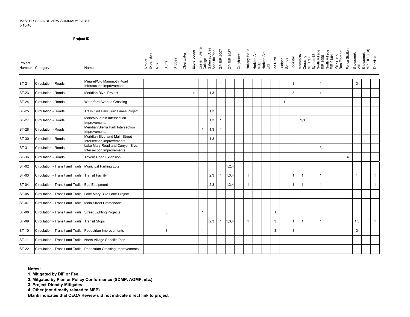|              | <b>Project ID</b>                                            |                                                                   |                               |               |                |            |                |                                                            |              |             |          |                                                          |              |                    |                |              |                                                                                                                             |  |                |                   |                           |              |
|--------------|--------------------------------------------------------------|-------------------------------------------------------------------|-------------------------------|---------------|----------------|------------|----------------|------------------------------------------------------------|--------------|-------------|----------|----------------------------------------------------------|--------------|--------------------|----------------|--------------|-----------------------------------------------------------------------------------------------------------------------------|--|----------------|-------------------|---------------------------|--------------|
| Project      | Number Category                                              | Name                                                              | Airport<br>Expansion<br>Altis | <b>Bluffs</b> | <b>Bridges</b> | Clearwater | Eagle Lodge    | Eastern Sierra<br>College<br>Gateway Area<br>Specific Plan | GP EIR 2007  | GP EIR 1987 | Greyhawk | Holiday Haus<br>Horizon Air<br>MND<br>Horizon Air<br>EIS | Ice Rink     | Juniper<br>Springs | Lodestar       |              | Mammoth<br>Crossing<br>Crossing<br>ML Trail<br>System IS<br>Such Village<br>Lient Made<br>Element<br>Farks and<br>Parks and |  | Police Station | Snowcreek<br>VIII | Snowcreek<br>MP EIR (Old) | Tanivista    |
| <b>ST-21</b> | Circulation - Roads                                          | Minaret/Old Mammoth Road<br>Intersection Improvements             |                               |               |                |            |                |                                                            | $\mathbf{1}$ |             |          |                                                          |              |                    | 3              |              | $\mathbf{1}$                                                                                                                |  |                | 3                 |                           |              |
| ST-23        | Circulation - Roads                                          | Meridian Blvd. Project                                            |                               |               |                |            | $\overline{4}$ | 1,3                                                        |              |             |          |                                                          |              |                    | 3              |              | $\overline{4}$                                                                                                              |  |                |                   |                           |              |
| <b>ST-24</b> | Circulation - Roads                                          | Waterford Avenue Crossing                                         |                               |               |                |            |                |                                                            |              |             |          |                                                          |              | $\mathbf{1}$       |                |              |                                                                                                                             |  |                |                   |                           |              |
| ST-25        | Circulation - Roads                                          | Trails End Park Turn Lanes Project                                |                               |               |                |            |                | 1,3                                                        |              |             |          |                                                          |              |                    |                |              |                                                                                                                             |  |                |                   |                           |              |
| ST-27        | Circulation - Roads                                          | Main/Mountain Intersection<br>Improvements                        |                               |               |                |            |                | 1,3                                                        | $\mathbf{1}$ |             |          |                                                          |              |                    |                | 1,3          |                                                                                                                             |  |                |                   |                           |              |
| <b>ST-28</b> | Circulation - Roads                                          | Meridian/Sierra Park Intersection<br>Improvements                 |                               |               |                |            |                | 1,3<br>$\mathbf{1}$                                        | $\mathbf{1}$ |             |          |                                                          |              |                    |                |              |                                                                                                                             |  |                |                   |                           |              |
| ST-30        | Circulation - Roads                                          | Meridian Blvd. and Main Street<br>Intersection Improvements       |                               |               |                |            |                | 1,3                                                        |              |             |          |                                                          |              |                    |                |              |                                                                                                                             |  |                |                   |                           |              |
| ST-31        | Circulation - Roads                                          | Lake Mary Road and Canyon Blvd.<br>Intersection Improvements      |                               |               |                |            |                |                                                            |              |             |          |                                                          |              |                    |                |              | 3                                                                                                                           |  |                |                   |                           |              |
| ST-36        | Circulation - Roads                                          | <b>Tavern Road Extension</b>                                      |                               |               |                |            |                |                                                            |              |             |          |                                                          |              |                    |                |              |                                                                                                                             |  | 4              |                   |                           |              |
| ST-02        | Circulation - Transit and Trails   Municipal Parking Lots    |                                                                   |                               |               |                |            |                |                                                            |              | 1,2,4       |          |                                                          |              |                    |                |              |                                                                                                                             |  |                |                   |                           |              |
| ST-03        | Circulation - Transit and Trails Transit Facility            |                                                                   |                               |               |                |            |                | 2,3                                                        | $\mathbf{1}$ | 1,3,4       |          | $\mathbf{1}$                                             |              |                    | $\overline{1}$ | $\mathbf{1}$ | $\mathbf{1}$                                                                                                                |  |                | $\mathbf{1}$      |                           | $\mathbf{1}$ |
| ST-04        | Circulation - Transit and Trails Bus Equipment               |                                                                   |                               |               |                |            |                | 2,3                                                        | $\mathbf{1}$ | 1,3,4       |          | $\mathbf{1}$                                             |              |                    | $\overline{1}$ | $\mathbf{1}$ | $\mathbf{1}$                                                                                                                |  |                | $\mathbf{1}$      |                           | $\mathbf{1}$ |
| ST-05        | Circulation - Transit and Trails Lake Mary Bike Lane Project |                                                                   |                               |               |                |            |                |                                                            |              |             |          |                                                          |              |                    |                |              |                                                                                                                             |  |                |                   |                           |              |
| ST-07        | Circulation - Transit and Trails Main Street Promenade       |                                                                   |                               |               |                |            |                |                                                            |              |             |          |                                                          |              |                    |                |              |                                                                                                                             |  |                |                   |                           |              |
| <b>ST-08</b> | Circulation - Transit and Trails Street Lighting Projects    |                                                                   |                               | 3             |                |            |                | $\mathbf{1}$                                               |              |             |          |                                                          | $\mathbf{1}$ |                    |                |              |                                                                                                                             |  |                |                   |                           |              |
| ST-09        | Circulation - Transit and Trails   Transit Stops             |                                                                   |                               |               |                |            |                | 2,3                                                        | $\mathbf{1}$ | 1,3,4       |          | $\mathbf{1}$                                             | 3            |                    | $\overline{1}$ | $\mathbf{1}$ | $\mathbf{1}$                                                                                                                |  |                | 1,3               |                           | $\mathbf{1}$ |
| ST-10        | Circulation - Transit and Trails   Pedestrian Improvements   |                                                                   |                               | 3             |                |            |                | $\overline{4}$                                             |              |             |          |                                                          | 3            |                    | 3              |              |                                                                                                                             |  |                | 3                 |                           |              |
| ST-11        | Circulation - Transit and Trails North Village Specific Plan |                                                                   |                               |               |                |            |                |                                                            |              |             |          |                                                          |              |                    |                |              |                                                                                                                             |  |                |                   |                           |              |
| ST-22        |                                                              | Circulation - Transit and Trails Pedestrian Crossing Improvements |                               |               |                |            |                |                                                            |              |             |          |                                                          |              |                    |                |              |                                                                                                                             |  |                |                   |                           |              |

**Notes:**

**1. MItigated by DIF or Fee**

**2. Mitgated by Plan or Policy Conformance (SDMP, AQMP, etc.)**

**3. Project Directly Mitigates**

**4. Other (not directly related to MFP)**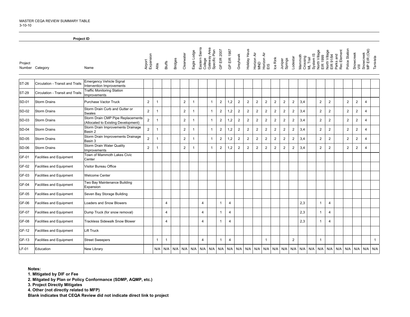|              | Project ID                       |                                                                          |                      |                |                |                |                |                |                           |                               |                         |                |                |                |                                          |                         |                |                    |                |                                              |                           |                |                                                        |                |                         |                           |              |
|--------------|----------------------------------|--------------------------------------------------------------------------|----------------------|----------------|----------------|----------------|----------------|----------------|---------------------------|-------------------------------|-------------------------|----------------|----------------|----------------|------------------------------------------|-------------------------|----------------|--------------------|----------------|----------------------------------------------|---------------------------|----------------|--------------------------------------------------------|----------------|-------------------------|---------------------------|--------------|
| Project      | Number Category                  | Name                                                                     | Airport<br>Expansion | Altis          | Bluffs         | <b>Bridges</b> | Clearwater     | Eagle Lodge    | Eastern Sierra<br>College | Gateway Area<br>Specific Plan | GP EIR 2007             | GP EIR 1987    | Greyhawk       | Holiday Haus   | Horizon Air<br>MND<br>Horizon Air<br>EIS |                         | Ice Rink       | Juniper<br>Springs | Lodestar       | System IS<br>Mammoth<br>Crossing<br>ML Trail | North Village<br>EIR 1999 |                | North Village<br>EIR 91/94<br>Parks and<br>Rec Element | Police Station | Snowcreek<br>VIII       | Snowcreek<br>MP EIR (Old) | Tanivista    |
| ST-26        | Circulation - Transit and Trails | <b>Emergency Vehicle Signal</b><br>Intervention Improvements             |                      |                |                |                |                |                |                           |                               |                         |                |                |                |                                          |                         |                |                    |                |                                              |                           |                |                                                        |                |                         |                           |              |
| ST-29        | Circulation - Transit and Trails | <b>Traffic Monitoring Station</b><br>mprovements                         |                      |                |                |                |                |                |                           |                               |                         |                |                |                |                                          |                         |                |                    |                |                                              |                           |                |                                                        |                |                         |                           |              |
| SD-01        | Storm Drains                     | Purchase Vactor Truck                                                    | $\overline{2}$       | $\mathbf 1$    |                |                | $\overline{2}$ | $\overline{1}$ |                           | $\mathbf{1}$                  | $\boldsymbol{2}$        | 1,2            | $\overline{2}$ | $\overline{2}$ | $\overline{c}$                           | $\overline{c}$          | $\overline{2}$ | $\overline{2}$     | $\overline{2}$ | 3,4                                          | $\overline{2}$            | $\overline{2}$ |                                                        | $\overline{2}$ | $\overline{2}$          | $\overline{4}$            |              |
| SD-02        | <b>Storm Drains</b>              | Storm Drain Curb and Gutter or<br>Swales                                 | $\overline{2}$       | $\overline{1}$ |                |                | 2              | $\overline{1}$ |                           | $\overline{1}$                | $\overline{2}$          | 1,2            | $\overline{2}$ | $\overline{2}$ | $\overline{2}$                           | $\overline{2}$          | $\overline{2}$ | $\overline{2}$     | $\overline{2}$ | 3,4                                          | 2                         | $\overline{2}$ |                                                        | $\overline{2}$ | $\overline{2}$          | $\overline{4}$            |              |
| SD-03        | <b>Storm Drains</b>              | Storm Drain CMP Pipe Replacements<br>(Allocated to Existing Development) | $\mathbf 2$          | $\overline{1}$ |                |                | $\overline{2}$ | $\overline{1}$ |                           | $\mathbf{1}$                  | $\overline{c}$          | 1,2            | $\overline{2}$ | $\overline{2}$ | $\overline{c}$                           | $\overline{\mathbf{c}}$ | $\overline{2}$ | $\overline{2}$     | $\overline{2}$ | 3,4                                          | $\overline{2}$            | $\overline{2}$ |                                                        | $\overline{2}$ | $\overline{2}$          | $\overline{4}$            |              |
| <b>SD-04</b> | <b>Storm Drains</b>              | Storm Drain Improvements Drainage<br>Basin 2                             | $\overline{2}$       | $\mathbf{1}$   |                |                | $\overline{2}$ | $\overline{1}$ |                           | $\mathbf{1}$                  | $\overline{2}$          | 1,2            | $\overline{c}$ | $\overline{2}$ | $\overline{c}$                           | $\overline{2}$          | $\overline{2}$ | $\overline{2}$     | $\overline{2}$ | 3,4                                          | $\overline{2}$            | $\overline{2}$ |                                                        | $\overline{2}$ | $\overline{\mathbf{c}}$ | $\overline{4}$            |              |
| SD-05        | <b>Storm Drains</b>              | Storm Drain Improvements Drainage<br>Basin 3                             | $\mathbf 2$          | $\overline{1}$ |                |                | $\overline{2}$ | $\overline{1}$ |                           | $\mathbf{1}$                  | $\overline{c}$          | 1,2            | $\overline{c}$ | $\overline{2}$ | $\overline{c}$                           | $\overline{c}$          | $\overline{2}$ | $\overline{2}$     | $\overline{c}$ | 3,4                                          | $\overline{2}$            | $\overline{2}$ |                                                        | $\mathbf 2$    | $\overline{2}$          | $\overline{4}$            |              |
| <b>SD-06</b> | Storm Drains                     | Storm Drain Water Quality<br>Improvements                                | $\overline{2}$       | $\mathbf 1$    |                |                | $\overline{2}$ | $\overline{1}$ |                           | $\mathbf{1}$                  | $\overline{\mathbf{c}}$ | 1,2            | $\overline{c}$ | $\overline{2}$ | $\overline{c}$                           | $\overline{2}$          | $\overline{2}$ | $\overline{2}$     | $\overline{2}$ | 3,4                                          | $\overline{2}$            | $\overline{2}$ |                                                        | $\overline{2}$ | $\overline{2}$          | $\overline{4}$            |              |
| GF-01        | Facilities and Equipment         | Town of Mammoth Lakes Civic<br>Center                                    |                      |                |                |                |                |                |                           |                               |                         |                |                |                |                                          |                         |                |                    |                |                                              |                           |                |                                                        |                |                         |                           |              |
| GF-02        | <b>Facilities and Equipment</b>  | Visitor Bureau Office                                                    |                      |                |                |                |                |                |                           |                               |                         |                |                |                |                                          |                         |                |                    |                |                                              |                           |                |                                                        |                |                         |                           |              |
| GF-03        | <b>Facilities and Equipment</b>  | <b>Welcome Center</b>                                                    |                      |                |                |                |                |                |                           |                               |                         |                |                |                |                                          |                         |                |                    |                |                                              |                           |                |                                                        |                |                         |                           |              |
| GF-04        | <b>Facilities and Equipment</b>  | Two Bay Maintenance Building<br>Expansion                                |                      |                |                |                |                |                |                           |                               |                         |                |                |                |                                          |                         |                |                    |                |                                              |                           |                |                                                        |                |                         |                           |              |
| GF-05        | <b>Facilities and Equipment</b>  | Seven Bay Storage Building                                               |                      |                |                |                |                |                |                           |                               |                         |                |                |                |                                          |                         |                |                    |                |                                              |                           |                |                                                        |                |                         |                           |              |
| GF-06        | <b>Facilities and Equipment</b>  | <b>Loaders and Snow Blowers</b>                                          |                      |                | 4              |                |                |                | 4                         |                               | $\mathbf{1}$            | $\overline{4}$ |                |                |                                          |                         |                |                    |                | 2,3                                          | $\mathbf{1}$              | $\overline{4}$ |                                                        |                |                         |                           |              |
| GF-07        | <b>Facilities and Equipment</b>  | Dump Truck (for snow removal)                                            |                      |                | $\overline{4}$ |                |                |                | 4                         |                               | $\mathbf{1}$            | $\overline{4}$ |                |                |                                          |                         |                |                    |                | 2,3                                          | $\mathbf{1}$              | $\overline{4}$ |                                                        |                |                         |                           |              |
| GF-08        | <b>Facilities and Equipment</b>  | <b>Trackless Sidewalk Snow Blower</b>                                    |                      |                | 4              |                |                |                | 4                         |                               | $\mathbf{1}$            | $\overline{4}$ |                |                |                                          |                         |                |                    |                | 2,3                                          | $\mathbf{1}$              | $\overline{4}$ |                                                        |                |                         |                           |              |
| GF-12        | <b>Facilities and Equipment</b>  | Lift Truck                                                               |                      |                |                |                |                |                |                           |                               |                         |                |                |                |                                          |                         |                |                    |                |                                              |                           |                |                                                        |                |                         |                           |              |
| GF-13        | <b>Facilities and Equipment</b>  | <b>Street Sweepers</b>                                                   |                      | $\mathbf{1}$   | $\mathbf{1}$   |                |                |                | 4                         |                               | $\overline{1}$          | $\overline{4}$ |                |                |                                          | $\mathbf{1}$            |                |                    | $\overline{c}$ |                                              | $\mathbf{1}$              |                |                                                        |                |                         |                           | $\mathbf{1}$ |
| LF-01        | Education                        | <b>New Library</b>                                                       |                      | N/A            | N/A            | N/A            | N/A            | N/A            | N/A                       | N/A                           |                         | $N/A$ $N/A$    | N/A            | N/A            | N/A                                      | N/A                     | N/A            | N/A                |                | $N/A$ $N/A$ $N/A$                            | N/A                       | N/A            | N/A N/A                                                |                | N/A                     | N/A                       | N/A          |

**Notes:**

**1. MItigated by DIF or Fee**

**2. Mitgated by Plan or Policy Conformance (SDMP, AQMP, etc.)**

**3. Project Directly Mitigates**

**4. Other (not directly related to MFP)**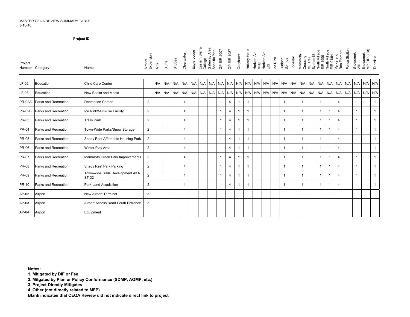|               | <b>Project ID</b>    |                                                  |                      |       |             |                |                |             |     |                                                            |                |                 |             |                |                                                          |             |          |                    |          |                |                                                                                        |              |                                                        |                |                   |                           |              |
|---------------|----------------------|--------------------------------------------------|----------------------|-------|-------------|----------------|----------------|-------------|-----|------------------------------------------------------------|----------------|-----------------|-------------|----------------|----------------------------------------------------------|-------------|----------|--------------------|----------|----------------|----------------------------------------------------------------------------------------|--------------|--------------------------------------------------------|----------------|-------------------|---------------------------|--------------|
| Project       | Number Category      | Name                                             | Airport<br>Expansion | Altis | Bluffs      | <b>Bridges</b> | Clearwater     | Eagle Lodge |     | Eastern Sierra<br>College<br>Gateway Area<br>Specific Plan | GP EIR 2007    | GP EIR 1987     | Greyhawk    |                | Holiday Haus<br>Horizon Air<br>MND<br>Horizon Air<br>EIS |             | Ice Rink | Juniper<br>Springs | Lodestar |                | Mammoth<br>Crossing<br>ML Trail<br>System IS<br>System IS<br>North Village<br>EIR 1999 |              | North Village<br>EIR 91/94<br>Parks and<br>Rec Element | Police Station | Snowcreek<br>VIII | Snowcreek<br>MP EIR (Old) | Tanivista    |
| $LF-02$       | Education            | Child Care Center                                |                      |       | $N/A$ $N/A$ | N/A            | N/A            | N/A         | N/A |                                                            | $N/A$ $N/A$    | N/A             | N/A         | N/A            |                                                          | $N/A$ $N/A$ |          | $N/A$ $N/A$        | N/A      | N/A            | N/A N/A N/A N/A N/A N/A                                                                |              |                                                        |                |                   |                           | $N/A$ $N/A$  |
| $LF-03$       | Education            | New Books and Media                              |                      |       | $N/A$ $N/A$ | N/A            | N/A            | N/A         | N/A |                                                            |                | N/A N/A N/A N/A |             |                | N/A N/A N/A N/A N/A N/A                                  |             |          |                    | N/A      | N/A            | N/A N/A N/A N/A N/A                                                                    |              |                                                        |                | N/A               |                           | $N/A$ $N/A$  |
| <b>PR-02A</b> | Parks and Recreation | <b>Recreation Center</b>                         | $\overline{2}$       |       |             |                | $\overline{4}$ |             |     |                                                            | -1             | 4               |             | $\overline{1}$ |                                                          |             |          | $\mathbf{1}$       |          | $\mathbf 1$    | $\mathbf 1$                                                                            | $\mathbf{1}$ | $\overline{4}$                                         |                | $\mathbf{1}$      |                           | $\mathbf{1}$ |
| <b>PR-02B</b> | Parks and Recreation | Ice Rink/Multi-use Facility                      | $\overline{2}$       |       |             |                | $\overline{4}$ |             |     |                                                            |                | 4               |             | $\overline{1}$ |                                                          |             |          | $\mathbf{1}$       |          |                | $\overline{1}$                                                                         | 1            | $\overline{4}$                                         |                | $\mathbf{1}$      |                           | $\mathbf{1}$ |
| <b>PR-03</b>  | Parks and Recreation | <b>Trails Park</b>                               | $\overline{2}$       |       |             |                | $\overline{4}$ |             |     |                                                            | -1             | $\overline{4}$  | -1          | $\mathbf{1}$   |                                                          |             |          | $\overline{1}$     |          |                | $\overline{1}$                                                                         | 1            | $\overline{4}$                                         |                | $\mathbf{1}$      |                           | $\mathbf{1}$ |
| <b>PR-04</b>  | Parks and Recreation | Town-Wide Parks/Snow Storage                     | $\overline{2}$       |       |             |                | $\overline{4}$ |             |     |                                                            | -1             | $\overline{4}$  | 1           | $\overline{1}$ |                                                          |             |          | $\mathbf{1}$       |          |                | $\overline{1}$                                                                         | $\mathbf{1}$ | $\overline{4}$                                         |                | $\overline{1}$    |                           | $\mathbf{1}$ |
| <b>PR-05</b>  | Parks and Recreation | Shady Rest Affordable Housing Park               | $\overline{2}$       |       |             |                | $\overline{4}$ |             |     |                                                            | $\overline{1}$ | $\overline{4}$  | $\mathbf 1$ | $\overline{1}$ |                                                          |             |          | $\mathbf{1}$       |          |                | $\overline{1}$                                                                         | 1            | $\overline{4}$                                         |                | $\mathbf{1}$      |                           | $\mathbf{1}$ |
| <b>PR-06</b>  | Parks and Recreation | Winter Play Area                                 | $\overline{2}$       |       |             |                | $\overline{4}$ |             |     |                                                            | -1             | $\overline{4}$  | $\mathbf 1$ | $\overline{1}$ |                                                          |             |          | $\mathbf{1}$       |          | $\overline{1}$ | $\overline{1}$                                                                         | $\mathbf{1}$ | $\overline{4}$                                         |                | $\mathbf{1}$      |                           | $\mathbf{1}$ |
| <b>PR-07</b>  | Parks and Recreation | Mammoth Creek Park Improvements                  | $\overline{2}$       |       |             |                | $\overline{4}$ |             |     |                                                            |                | $\overline{4}$  | 1           | $\overline{1}$ |                                                          |             |          | $\mathbf{1}$       |          |                | $\overline{1}$                                                                         |              | $\overline{4}$                                         |                | 1                 |                           | $\mathbf{1}$ |
| <b>PR-08</b>  | Parks and Recreation | Shady Rest Park Parking                          | $\overline{2}$       |       |             |                | $\overline{4}$ |             |     |                                                            | -1             | $\overline{4}$  | $\mathbf 1$ | $\overline{1}$ |                                                          |             |          | $\overline{1}$     |          | $\overline{1}$ | $\overline{1}$                                                                         | 1            | $\overline{4}$                                         |                | $\mathbf{1}$      |                           | $\mathbf{1}$ |
| <b>PR-09</b>  | Parks and Recreation | Town-wide Trails Development AKA<br><b>ST-32</b> | $\overline{2}$       |       |             |                | $\overline{4}$ |             |     |                                                            | -1             | $\overline{4}$  | $\mathbf 1$ | $\mathbf{1}$   |                                                          |             |          | $\mathbf{1}$       |          | $\overline{1}$ | $\overline{1}$                                                                         | $\mathbf{1}$ | 4                                                      |                | $\mathbf{1}$      |                           | $\mathbf{1}$ |
| PR-10         | Parks and Recreation | Park Land Acquisition                            | $\overline{2}$       |       |             |                | $\overline{4}$ |             |     |                                                            | $\mathbf 1$    | $\overline{4}$  | $\mathbf 1$ | $\mathbf{1}$   |                                                          |             |          | $\mathbf{1}$       |          |                | $\overline{1}$                                                                         | $\mathbf{1}$ | $\overline{4}$                                         |                | $\mathbf{1}$      |                           | $\mathbf{1}$ |
| AP-02         | Airport              | <b>New Airport Terminal</b>                      | 3                    |       |             |                |                |             |     |                                                            |                |                 |             |                |                                                          |             |          |                    |          |                |                                                                                        |              |                                                        |                |                   |                           |              |
| AP-03         | Airport              | Airport Access Road South Entrance               | 3                    |       |             |                |                |             |     |                                                            |                |                 |             |                |                                                          |             |          |                    |          |                |                                                                                        |              |                                                        |                |                   |                           |              |
| AP-04         | Airport              | Equipment                                        |                      |       |             |                |                |             |     |                                                            |                |                 |             |                |                                                          |             |          |                    |          |                |                                                                                        |              |                                                        |                |                   |                           |              |

**Notes:**

**1. MItigated by DIF or Fee**

**2. Mitgated by Plan or Policy Conformance (SDMP, AQMP, etc.)**

**3. Project Directly Mitigates**

**4. Other (not directly related to MFP)**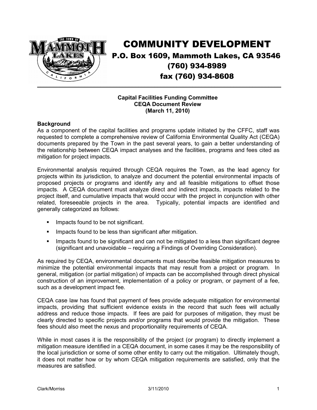

## COMMUNITY DEVELOPMENT P.O. Box 1609, Mammoth Lakes, CA 93546 (760) 934-8989 fax (760) 934-8608 \_\_\_\_\_\_\_\_\_\_\_\_\_\_\_\_\_\_\_\_\_\_\_\_\_\_\_\_\_\_\_\_\_\_\_\_\_\_\_\_\_\_\_\_\_\_\_\_\_\_\_\_\_\_\_\_\_\_\_\_\_\_\_\_\_\_\_\_\_\_\_\_\_\_\_\_\_

### **Capital Facilities Funding Committee CEQA Document Review (March 11, 2010)**

### **Background**

As a component of the capital facilities and programs update initiated by the CFFC, staff was requested to complete a comprehensive review of California Environmental Quality Act (CEQA) documents prepared by the Town in the past several years, to gain a better understanding of the relationship between CEQA impact analyses and the facilities, programs and fees cited as mitigation for project impacts.

Environmental analysis required through CEQA requires the Town, as the lead agency for projects within its jurisdiction, to analyze and document the potential environmental impacts of proposed projects or programs and identify any and all feasible mitigations to offset those impacts. A CEQA document must analyze direct and indirect impacts, impacts related to the project itself, and cumulative impacts that would occur with the project in conjunction with other related, foreseeable projects in the area. Typically, potential impacts are identified and generally categorized as follows:

- **IMPACTS found to be not significant.**
- **IMPACTE found to be less than significant after mitigation.**
- **IMPACT IMPACTS** found to be significant and can not be mitigated to a less than significant degree (significant and unavoidable – requiring a Findings of Overriding Consideration).

As required by CEQA, environmental documents must describe feasible mitigation measures to minimize the potential environmental impacts that may result from a project or program. In general, mitigation (or partial mitigation) of impacts can be accomplished through direct physical construction of an improvement, implementation of a policy or program, or payment of a fee, such as a development impact fee.

CEQA case law has found that payment of fees provide adequate mitigation for environmental impacts, providing that sufficient evidence exists in the record that such fees will actually address and reduce those impacts. If fees are paid for purposes of mitigation, they must be clearly directed to specific projects and/or programs that would provide the mitigation. These fees should also meet the nexus and proportionality requirements of CEQA.

While in most cases it is the responsibility of the project (or program) to directly implement a mitigation measure identified in a CEQA document, in some cases it may be the responsibility of the local jurisdiction or some of some other entity to carry out the mitigation. Ultimately though, it does not matter how or by whom CEQA mitigation requirements are satisfied, only that the measures are satisfied.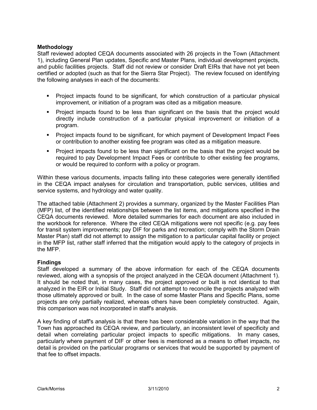### **Methodology**

Staff reviewed adopted CEQA documents associated with 26 projects in the Town (Attachment 1), including General Plan updates, Specific and Master Plans, individual development projects, and public facilities projects. Staff did not review or consider Draft EIRs that have not yet been certified or adopted (such as that for the Sierra Star Project). The review focused on identifying the following analyses in each of the documents:

- Project impacts found to be significant, for which construction of a particular physical improvement, or initiation of a program was cited as a mitigation measure.
- Project impacts found to be less than significant on the basis that the project would directly include construction of a particular physical improvement or initiation of a program.
- Project impacts found to be significant, for which payment of Development Impact Fees or contribution to another existing fee program was cited as a mitigation measure.
- Project impacts found to be less than significant on the basis that the project would be required to pay Development Impact Fees or contribute to other existing fee programs, or would be required to conform with a policy or program.

Within these various documents, impacts falling into these categories were generally identified in the CEQA impact analyses for circulation and transportation, public services, utilities and service systems, and hydrology and water quality.

The attached table (Attachment 2) provides a summary, organized by the Master Facilities Plan (MFP) list, of the identified relationships between the list items, and mitigations specified in the CEQA documents reviewed. More detailed summaries for each document are also included in the workbook for reference. Where the cited CEQA mitigations were not specific (e.g. pay fees for transit system improvements; pay DIF for parks and recreation; comply with the Storm Drain Master Plan) staff did not attempt to assign the mitigation to a particular capital facility or project in the MFP list, rather staff inferred that the mitigation would apply to the category of projects in the MFP.

### **Findings**

Staff developed a summary of the above information for each of the CEQA documents reviewed, along with a synopsis of the project analyzed in the CEQA document (Attachment 1). It should be noted that, in many cases, the project approved or built is not identical to that analyzed in the EIR or Initial Study. Staff did not attempt to reconcile the projects analyzed with those ultimately approved or built. In the case of some Master Plans and Specific Plans, some projects are only partially realized, whereas others have been completely constructed. Again, this comparison was not incorporated in staff's analysis.

A key finding of staff's analysis is that there has been considerable variation in the way that the Town has approached its CEQA review, and particularly, an inconsistent level of specificity and detail when correlating particular project impacts to specific mitigations. In many cases, particularly where payment of DIF or other fees is mentioned as a means to offset impacts, no detail is provided on the particular programs or services that would be supported by payment of that fee to offset impacts.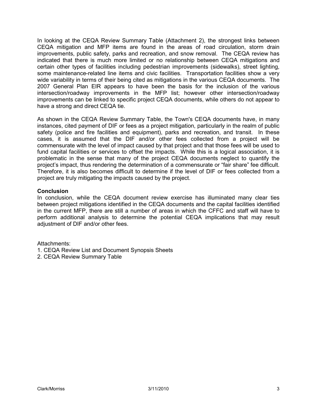In looking at the CEQA Review Summary Table (Attachment 2), the strongest links between CEQA mitigation and MFP items are found in the areas of road circulation, storm drain improvements, public safety, parks and recreation, and snow removal. The CEQA review has indicated that there is much more limited or no relationship between CEQA mitigations and certain other types of facilities including pedestrian improvements (sidewalks), street lighting, some maintenance-related line items and civic facilities. Transportation facilities show a very wide variability in terms of their being cited as mitigations in the various CEQA documents. The 2007 General Plan EIR appears to have been the basis for the inclusion of the various intersection/roadway improvements in the MFP list; however other intersection/roadway improvements can be linked to specific project CEQA documents, while others do not appear to have a strong and direct CEQA tie.

As shown in the CEQA Review Summary Table, the Town's CEQA documents have, in many instances, cited payment of DIF or fees as a project mitigation, particularly in the realm of public safety (police and fire facilities and equipment), parks and recreation, and transit. In these cases, it is assumed that the DIF and/or other fees collected from a project will be commensurate with the level of impact caused by that project and that those fees will be used to fund capital facilities or services to offset the impacts. While this is a logical association, it is problematic in the sense that many of the project CEQA documents neglect to quantify the project's impact, thus rendering the determination of a commensurate or "fair share" fee difficult. Therefore, it is also becomes difficult to determine if the level of DIF or fees collected from a project are truly mitigating the impacts caused by the project.

### **Conclusion**

In conclusion, while the CEQA document review exercise has illuminated many clear ties between project mitigations identified in the CEQA documents and the capital facilities identified in the current MFP, there are still a number of areas in which the CFFC and staff will have to perform additional analysis to determine the potential CEQA implications that may result adjustment of DIF and/or other fees.

Attachments:

- 1. CEQA Review List and Document Synopsis Sheets
- 2. CEQA Review Summary Table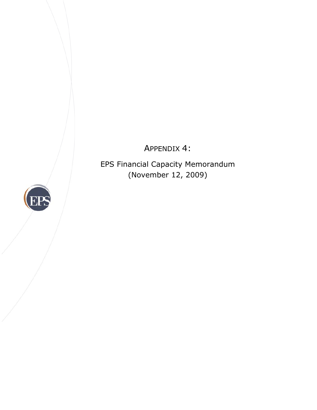APPENDIX 4:

EPS Financial Capacity Memorandum (November 12, 2009)

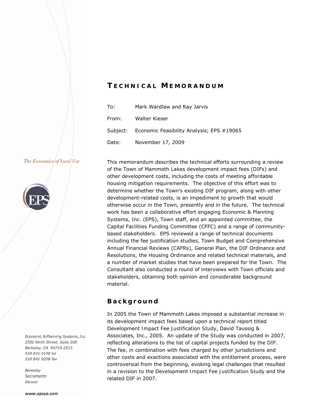## *T ECHNICAL M EMORANDUM*

| To:   | Mark Wardlaw and Ray Jarvis                        |
|-------|----------------------------------------------------|
| From: | Walter Kieser                                      |
|       | Subject: Economic Feasibility Analysis; EPS #19065 |
| Date: | November 17, 2009                                  |

### The Economics of Land Use



Economic & Planning Systems, Inc. 2501 Ninth Street, Suite 200 Berkeley, CA 94710-2515 510 841 9190 tel 510 841 9208 fax

**Berkeley** Sacramento Denver

This memorandum describes the technical efforts surrounding a review of the Town of Mammoth Lakes development impact fees (DIFs) and other development costs, including the costs of meeting affordable housing mitigation requirements. The objective of this effort was to determine whether the Town's existing DIF program, along with other development-related costs, is an impediment to growth that would otherwise occur in the Town, presently and in the future. The technical work has been a collaborative effort engaging Economic & Planning Systems, Inc. (EPS), Town staff, and an appointed committee, the Capital Facilities Funding Committee (CFFC) and a range of communitybased stakeholders. EPS reviewed a range of technical documents including the fee justification studies, Town Budget and Comprehensive Annual Financial Reviews (CAFRs), General Plan, the DIF Ordinance and Resolutions, the Housing Ordinance and related technical materials, and a number of market studies that have been prepared for the Town. The Consultant also conducted a round of interviews with Town officials and stakeholders, obtaining both opinion and considerable background material.

### **Background**

In 2005 the Town of Mammoth Lakes imposed a substantial increase in its development impact fees based upon a technical report titled *Development Impact Fee Justification Study*, David Taussig & Associates, Inc., 2005. An update of the *Study* was conducted in 2007, reflecting alterations to the list of capital projects funded by the DIF. The fee, in combination with fees charged by other jurisdictions and other costs and exactions associated with the entitlement process, were controversial from the beginning, evoking legal challenges that resulted in a revision to the *Development Impact Fee Justification Study* and the related DIF in 2007.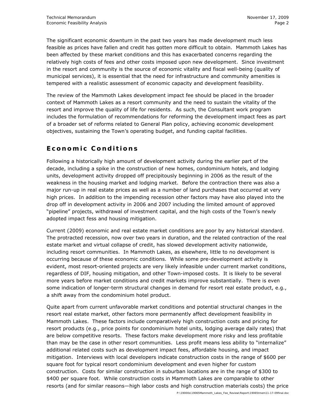The significant economic downturn in the past two years has made development much less feasible as prices have fallen and credit has gotten more difficult to obtain. Mammoth Lakes has been affected by these market conditions and this has exacerbated concerns regarding the relatively high costs of fees and other costs imposed upon new development. Since investment in the resort and community is the source of economic vitality and fiscal well-being (quality of municipal services), it is essential that the need for infrastructure and community amenities is tempered with a realistic assessment of economic capacity and development feasibility.

The review of the Mammoth Lakes development impact fee should be placed in the broader context of Mammoth Lakes as a resort community and the need to sustain the vitality of the resort and improve the quality of life for residents. As such, the Consultant work program includes the formulation of recommendations for reforming the development impact fees as part of a broader set of reforms related to General Plan policy, achieving economic development objectives, sustaining the Town's operating budget, and funding capital facilities.

## **Economic Conditions**

Following a historically high amount of development activity during the earlier part of the decade, including a spike in the construction of new homes, condominium hotels, and lodging units, development activity dropped off precipitously beginning in 2006 as the result of the weakness in the housing market and lodging market. Before the contraction there was also a major run-up in real estate prices as well as a number of land purchases that occurred at very high prices. In addition to the impending recession other factors may have also played into the drop off in development activity in 2006 and 2007 including the limited amount of approved "pipeline" projects, withdrawal of investment capital, and the high costs of the Town's newly adopted impact fess and housing mitigation.

Current (2009) economic and real estate market conditions are poor by any historical standard. The protracted recession, now over two years in duration, and the related contraction of the real estate market and virtual collapse of credit, has slowed development activity nationwide, including resort communities. In Mammoth Lakes, as elsewhere, little to no development is occurring because of these economic conditions. While some pre-development activity is evident, most resort-oriented projects are very likely infeasible under current market conditions, regardless of DIF, housing mitigation, and other Town-imposed costs. It is likely to be several more years before market conditions and credit markets improve substantially. There is even some indication of longer-term structural changes in demand for resort real estate product, e.g., a shift away from the condominium hotel product.

Quite apart from current unfavorable market conditions and potential structural changes in the resort real estate market, other factors more permanently affect development feasibility in Mammoth Lakes. These factors include comparatively high construction costs and pricing for resort products (e.g., price points for condominium hotel units, lodging average daily rates) that are below competitive resorts. These factors make development more risky and less profitable than may be the case in other resort communities. Less profit means less ability to "internalize" additional related costs such as development impact fees, affordable housing, and impact mitigation. Interviews with local developers indicate construction costs in the range of \$600 per square foot for typical resort condominium development and even higher for custom construction. Costs for similar construction in suburban locations are in the range of \$300 to \$400 per square foot. While construction costs in Mammoth Lakes are comparable to other resorts (and for similar reasons—high labor costs and high construction materials costs) the price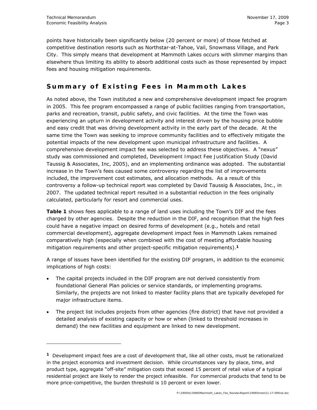-

points have historically been significantly below (20 percent or more) of those fetched at competitive destination resorts such as Northstar-at-Tahoe, Vail, Snowmass Village, and Park City. This simply means that development at Mammoth Lakes occurs with slimmer margins than elsewhere thus limiting its ability to absorb additional costs such as those represented by impact fees and housing mitigation requirements.

## **Summary of Existing Fees in Mammoth Lakes**

As noted above, the Town instituted a new and comprehensive development impact fee program in 2005. This fee program encompassed a range of public facilities ranging from transportation, parks and recreation, transit, public safety, and civic facilities. At the time the Town was experiencing an upturn in development activity and interest driven by the housing price bubble and easy credit that was driving development activity in the early part of the decade. At the same time the Town was seeking to improve community facilities and to effectively mitigate the potential impacts of the new development upon municipal infrastructure and facilities. A comprehensive development impact fee was selected to address these objectives. A "nexus" study was commissioned and completed, *Development Impact Fee Justification Study* (David Taussig & Associates, Inc, 2005), and an implementing ordinance was adopted. The substantial increase in the Town's fees caused some controversy regarding the list of improvements included, the improvement cost estimates, and allocation methods. As a result of this controversy a follow-up technical report was completed by David Taussig & Associates, Inc., in 2007. The updated technical report resulted in a substantial reduction in the fees originally calculated, particularly for resort and commercial uses.

**Table 1** shows fees applicable to a range of land uses including the Town's DIF and the fees charged by other agencies. Despite the reduction in the DIF, and recognition that the high fees could have a negative impact on desired forms of development (e.g., hotels and retail commercial development), aggregate development impact fees in Mammoth Lakes remained comparatively high (especially when combined with the cost of meeting affordable housing mitigation requirements and other project-specific mitigation requirements).**<sup>1</sup>**

A range of issues have been identified for the existing DIF program, in addition to the economic implications of high costs:

- The capital projects included in the DIF program are not derived consistently from foundational General Plan policies or service standards, or implementing programs. Similarly, the projects are not linked to master facility plans that are typically developed for major infrastructure items.
- The project list includes projects from other agencies (fire district) that have not provided a detailed analysis of existing capacity or how or when (linked to threshold increases in demand) the new facilities and equipment are linked to new development.

**<sup>1</sup>** Development impact fees are a cost of development that, like all other costs, must be rationalized in the project economics and investment decision. While circumstances vary by place, time, and product type, aggregate "off-site" mitigation costs that exceed 15 percent of retail value of a typical residential project are likely to render the project infeasible. For commercial products that tend to be more price-competitive, the burden threshold is 10 percent or even lower.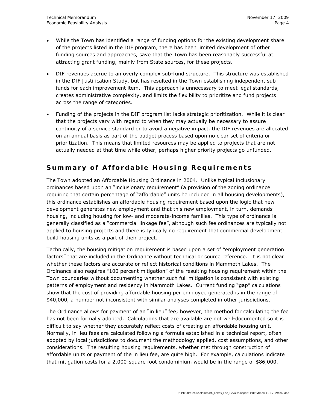- While the Town has identified a range of funding options for the existing development share of the projects listed in the DIF program, there has been limited development of other funding sources and approaches, save that the Town has been reasonably successful at attracting grant funding, mainly from State sources, for these projects.
- DIF revenues accrue to an overly complex sub-fund structure. This structure was established in the *DIF Justification Study*, but has resulted in the Town establishing independent subfunds for each improvement item. This approach is unnecessary to meet legal standards, creates administrative complexity, and limits the flexibility to prioritize and fund projects across the range of categories.
- Funding of the projects in the DIF program list lacks strategic prioritization. While it is clear that the projects vary with regard to when they may actually be necessary to assure continuity of a service standard or to avoid a negative impact, the DIF revenues are allocated on an annual basis as part of the budget process based upon no clear set of criteria or prioritization. This means that limited resources may be applied to projects that are not actually needed at that time while other, perhaps higher priority projects go unfunded.

## **Summary of Affordable Housing Requirements**

The Town adopted an Affordable Housing Ordinance in 2004. Unlike typical inclusionary ordinances based upon an "inclusionary requirement" (a provision of the zoning ordinance requiring that certain percentage of "affordable" units be included in all housing developments), this ordinance establishes an affordable housing requirement based upon the logic that new development generates new employment and that this new employment, in turn, demands housing, including housing for low- and moderate-income families. This type of ordinance is generally classified as a "commercial linkage fee", although such fee ordinances are typically not applied to housing projects and there is typically no requirement that commercial development build housing units as a part of their project.

Technically, the housing mitigation requirement is based upon a set of "employment generation factors" that are included in the Ordinance without technical or source reference. It is not clear whether these factors are accurate or reflect historical conditions in Mammoth Lakes. The Ordinance also requires "100 percent mitigation" of the resulting housing requirement within the Town boundaries without documenting whether such full mitigation is consistent with existing patterns of employment and residency in Mammoth Lakes. Current funding "gap" calculations show that the cost of providing affordable housing per employee generated is in the range of \$40,000, a number not inconsistent with similar analyses completed in other jurisdictions.

The Ordinance allows for payment of an "in lieu" fee; however, the method for calculating the fee has not been formally adopted. Calculations that are available are not well-documented so it is difficult to say whether they accurately reflect costs of creating an affordable housing unit. Normally, in lieu fees are calculated following a formula established in a technical report, often adopted by local jurisdictions to document the methodology applied, cost assumptions, and other considerations. The resulting housing requirements, whether met through construction of affordable units or payment of the in lieu fee, are quite high. For example, calculations indicate that mitigation costs for a 2,000-square foot condominium would be in the range of \$86,000.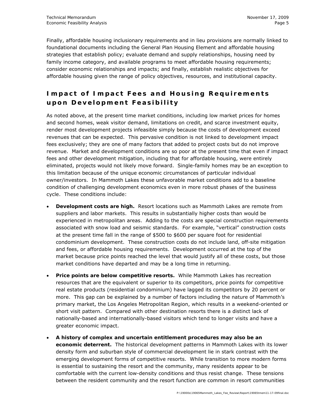Finally, affordable housing inclusionary requirements and in lieu provisions are normally linked to foundational documents including the General Plan Housing Element and affordable housing strategies that establish policy; evaluate demand and supply relationships, housing need by family income category, and available programs to meet affordable housing requirements; consider economic relationships and impacts; and finally, establish realistic objectives for affordable housing given the range of policy objectives, resources, and institutional capacity.

## **Impact of Impact Fees and Housing Requirements upon Development Feasibility**

As noted above, at the present time market conditions, including low market prices for homes and second homes, weak visitor demand, limitations on credit, and scarce investment equity, render most development projects infeasible simply because the costs of development exceed revenues that can be expected. This pervasive condition is not linked to development impact fees exclusively; they are one of many factors that added to project costs but do not improve revenue. Market and development conditions are so poor at the present time that even if impact fees and other development mitigation, including that for affordable housing, were entirely eliminated, projects would not likely move forward. Single-family homes may be an exception to this limitation because of the unique economic circumstances of particular individual owner/investors. In Mammoth Lakes these unfavorable market conditions add to a baseline condition of challenging development economics even in more robust phases of the business cycle. These conditions include:

- *Development costs are high.* Resort locations such as Mammoth Lakes are remote from suppliers and labor markets. This results in substantially higher costs than would be experienced in metropolitan areas. Adding to the costs are special construction requirements associated with snow load and seismic standards. For example, "vertical" construction costs at the present time fall in the range of \$500 to \$600 per square foot for residential condominium development. These construction costs do not include land, off-site mitigation and fees, or affordable housing requirements. Development occurred at the top of the market because price points reached the level that would justify all of these costs, but those market conditions have departed and may be a long time in returning.
- *Price points are below competitive resorts.* While Mammoth Lakes has recreation resources that are the equivalent or superior to its competitors, price points for competitive real estate products (residential condominium) have lagged its competitors by 20 percent or more. This gap can be explained by a number of factors including the nature of Mammoth's primary market, the Los Angeles Metropolitan Region, which results in a weekend-oriented or short visit pattern. Compared with other destination resorts there is a distinct lack of nationally-based and internationally-based visitors which tend to longer visits and have a greater economic impact.
- *A history of complex and uncertain entitlement procedures may also be an economic deterrent.* The historical development patterns in Mammoth Lakes with its lower density form and suburban style of commercial development lie in stark contrast with the emerging development forms of competitive resorts. While transition to more modern forms is essential to sustaining the resort and the community, many residents appear to be comfortable with the current low-density conditions and thus resist change. These tensions between the resident community and the resort function are common in resort communities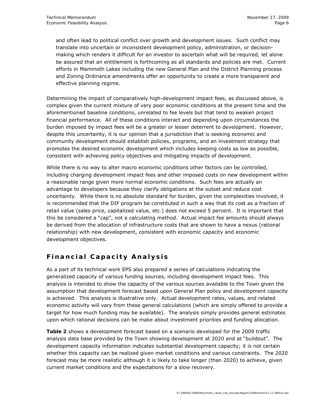and often lead to political conflict over growth and development issues. Such conflict may translate into uncertain or inconsistent development policy, administration, or decisionmaking which renders it difficult for an investor to ascertain what will be required, let alone be assured that an entitlement is forthcoming as all standards and policies are met. Current efforts in Mammoth Lakes including the new General Plan and the District Planning process and Zoning Ordinance amendments offer an opportunity to create a more transparent and effective planning regime.

Determining the impact of comparatively high-development impact fees, as discussed above, is complex given the current mixture of very poor economic conditions at the present time and the aforementioned baseline conditions, unrelated to fee levels but that tend to weaken project financial performance. All of these conditions interact and depending upon circumstances the burden imposed by impact fees will be a greater or lesser deterrent to development. However, despite this uncertainty, it is our opinion that a jurisdiction that is seeking economic and community development should establish policies, programs, and an investment strategy that promotes the desired economic development which includes keeping costs as low as possible, consistent with achieving policy objectives and mitigating impacts of development.

While there is no way to alter macro economic conditions other factors can be controlled, including charging development impact fees and other imposed costs on new development within a reasonable range given more normal economic conditions. Such fees are actually an advantage to developers because they clarify obligations at the outset and reduce cost uncertainty. While there is no absolute standard for burden, given the complexities involved, it is recommended that the DIF program be constituted in such a way that its cost as a fraction of retail value (sales price, capitalized value, etc.) does not exceed 5 percent. It is important that this be considered a "cap", not a calculating method. Actual impact fee amounts should always be derived from the allocation of infrastructure costs that are shown to have a nexus (rational relationship) with new development, consistent with economic capacity and economic development objectives.

### **Financial Capacity Analysis**

As a part of its technical work EPS also prepared a series of calculations indicating the generalized capacity of various funding sources, including development impact fees. This analysis is intended to show the capacity of the various sources available to the Town given the assumption that development forecast based upon General Plan policy and development capacity is achieved. This analysis is illustrative only. Actual development rates, values, and related economic activity will vary from these general calculations (which are simply offered to provide a target for how much funding may be available). The analysis simply provides general estimates upon which rational decisions can be make about investment priorities and funding allocation.

**Table 2** shows a development forecast based on a scenario developed for the 2009 traffic analysis data base provided by the Town showing development at 2020 and at "buildout". The development capacity information indicates substantial development capacity; it is not certain whether this capacity can be realized given market conditions and various constraints. The 2020 forecast may be more realistic although it is likely to take longer (than 2020) to achieve, given current market conditions and the expectations for a slow recovery.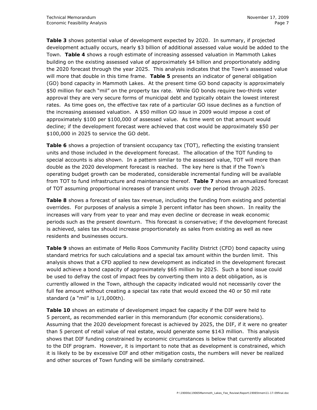**Table 3** shows potential value of development expected by 2020. In summary, if projected development actually occurs, nearly \$3 billion of additional assessed value would be added to the Town. **Table 4** shows a rough estimate of increasing assessed valuation in Mammoth Lakes building on the existing assessed value of approximately \$4 billion and proportionately adding the 2020 forecast through the year 2025. This analysis indicates that the Town's assessed value will more that double in this time frame. **Table 5** presents an indicator of general obligation (GO) bond capacity in Mammoth Lakes. At the present time GO bond capacity is approximately \$50 million for each "mil" on the property tax rate. While GO bonds require two-thirds voter approval they are very secure forms of municipal debt and typically obtain the lowest interest rates. As time goes on, the effective tax rate of a particular GO issue declines as a function of the increasing assessed valuation. A \$50 million GO issue in 2009 would impose a cost of approximately \$100 per \$100,000 of assessed value. As time went on that amount would decline; if the development forecast were achieved that cost would be approximately \$50 per \$100,000 in 2025 to service the GO debt.

**Table 6** shows a projection of transient occupancy tax (TOT), reflecting the existing transient units and those included in the development forecast. The allocation of the TOT funding to special accounts is also shown. In a pattern similar to the assessed value, TOT will more than double as the 2020 development forecast is reached. The key here is that if the Town's operating budget growth can be moderated, considerable incremental funding will be available from TOT to fund infrastructure and maintenance thereof. **Table 7** shows an annualized forecast of TOT assuming proportional increases of transient units over the period through 2025.

**Table 8** shows a forecast of sales tax revenue, including the funding from existing and potential overrides. For purposes of analysis a simple 3 percent inflator has been shown. In reality the increases will vary from year to year and may even decline or decrease in weak economic periods such as the present downturn. This forecast is conservative; if the development forecast is achieved, sales tax should increase proportionately as sales from existing as well as new residents and businesses occurs.

**Table 9** shows an estimate of Mello Roos Community Facility District (CFD) bond capacity using standard metrics for such calculations and a special tax amount within the burden limit. This analysis shows that a CFD applied to new development as indicated in the development forecast would achieve a bond capacity of approximately \$65 million by 2025. Such a bond issue could be used to defray the cost of impact fees by converting them into a debt obligation, as is currently allowed in the Town, although the capacity indicated would not necessarily cover the full fee amount without creating a special tax rate that would exceed the 40 or 50 mil rate standard (a "mil" is 1/1,000th).

**Table 10** shows an estimate of development impact fee capacity if the DIF were held to 5 percent, as recommended earlier in this memorandum (for economic considerations). Assuming that the 2020 development forecast is achieved by 2025, the DIF, if it were no greater than 5 percent of retail value of real estate, would generate some \$143 million. This analysis shows that DIF funding constrained by economic circumstances is below that currently allocated to the DIF program. However, it is important to note that as development is constrained, which it is likely to be by excessive DIF and other mitigation costs, the numbers will never be realized and other sources of Town funding will be similarly constrained.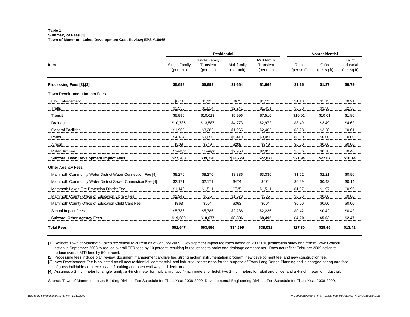#### **Table 1Summary of Fees [1] Town of Mammoth Lakes Development Cost Review; EPS #19065**

|                                                           |                             | <b>Residential</b>                       | <b>Nonresidential</b>     |                                        |                                    |                       |                                     |
|-----------------------------------------------------------|-----------------------------|------------------------------------------|---------------------------|----------------------------------------|------------------------------------|-----------------------|-------------------------------------|
| Item                                                      | Single Family<br>(per unit) | Single Family<br>Transient<br>(per unit) | Multifamily<br>(per unit) | Multifamily<br>Transient<br>(per unit) | Retail<br>(per sq. <sub>ft</sub> ) | Office<br>(per sq.ft) | Light<br>Industrial<br>(per sq. ft) |
| Processing Fees [2],[3]                                   | \$5,699                     | \$5.699                                  | \$1,664                   | \$1,664                                | \$1.15                             | \$1.37                | \$0.79                              |
| <b>Town Development Impact Fees</b>                       |                             |                                          |                           |                                        |                                    |                       |                                     |
| Law Enforcement                                           | \$673                       | \$1,125                                  | \$673                     | \$1,125                                | \$1.13                             | \$1.13                | \$0.21                              |
| Traffic                                                   | \$3,556                     | \$1,814                                  | \$2,241                   | \$1,451                                | \$3.38                             | \$3.38                | \$2.38                              |
| Transit                                                   | \$5,996                     | \$10,013                                 | \$5,996                   | \$7,510                                | \$10.01                            | \$10.01               | \$1.86                              |
| Drainage                                                  | \$10,735                    | \$13,587                                 | \$4,773                   | \$2,972                                | \$3.49                             | \$3.49                | \$4.62                              |
| <b>General Facilities</b>                                 | \$1,965                     | \$3,282                                  | \$1,965                   | \$2,462                                | \$3.28                             | \$3.28                | \$0.61                              |
| Parks                                                     | \$4,134                     | \$9,050                                  | \$5,419                   | \$9,050                                | \$0.00                             | \$0.00                | \$0.00                              |
| Airport                                                   | \$209                       | \$349                                    | \$209                     | \$349                                  | \$0.00                             | \$0.00                | \$0.00                              |
| Public Art Fee                                            | Exempt                      | Exempt                                   | \$2,953                   | \$2,953                                | \$0.66                             | \$0.78                | \$0.46                              |
| <b>Subtotal Town Development Impact Fees</b>              | \$27,268                    | \$39,220                                 | \$24.229                  | \$27.872                               | \$21.94                            | \$22.07               | \$10.14                             |
| <b>Other Agency Fees</b>                                  |                             |                                          |                           |                                        |                                    |                       |                                     |
| Mammoth Community Water District Water Connection Fee [4] | \$8.270                     | \$8.270                                  | \$3.336                   | \$3.336                                | \$1.52                             | \$2.21                | \$0.96                              |
| Mammoth Community Water District Sewer Connection Fee [4] | \$2,171                     | \$2,171                                  | \$474                     | \$474                                  | \$0.29                             | \$0.43                | \$0.14                              |
| Mammoth Lakes Fire Protection District Fee                | \$1,148                     | \$1,511                                  | \$725                     | \$1,511                                | \$1.97                             | \$1.97                | \$0.96                              |
| Mammoth County Office of Education Library Fee            | \$1,942                     | \$335                                    | \$1,673                   | \$335                                  | \$0.00                             | \$0.00                | \$0.00                              |
| Mammoth County Office of Education Child Care Fee         | \$363                       | \$604                                    | \$363                     | \$604                                  | \$0.00                             | \$0.00                | \$0.00                              |
| School Impact Fees                                        | \$5,786                     | \$5,786                                  | \$2,236                   | \$2,236                                | \$0.42                             | \$0.42                | \$0.42                              |
| <b>Subtotal Other Agency Fees</b>                         | \$19,680                    | \$18,677                                 | \$8,806                   | \$8,495                                | \$4.20                             | \$5.03                | \$2.47                              |
| <b>Total Fees</b>                                         | \$52.647                    | \$63,596                                 | \$34.699                  | \$38,031                               | \$27.30                            | \$28.46               | \$13.41                             |

[1] Reflects Town of Mammoth Lakes fee schedule current as of January 2009. Development impact fee rates based on 2007 DIF justification study and reflect Town Council action in September 2008 to reduce overall SFR fees by 10 percent, resulting in reductions to parks and drainage components. Does not reflect February 2009 action to reduce overall SFR fees by 50 percent.

[2] Processing fees include plan review, document management archive fee, strong motion instrumentation program, new development fee, and new construction fee.

[3] New Development Fee is collected on all new residential, commercial, and industrial construction for the purpose of Town Long Range Planning and is charged per square foot of gross buildable area, exclusive of parking and open walkway and deck areas.

[4] Assumes a 2-inch meter for single family, a 4-inch meter for multifamily, two 4-inch meters for hotel, two 2-inch meters for retail and office, and a 4-inch meter for industrial.

Source: Town of Mammoth Lakes Building Division Fee Schedule for Fiscal Year 2008-2009, Developmental Engineering Division Fee Schedule for Fiscal Year 2008-2009.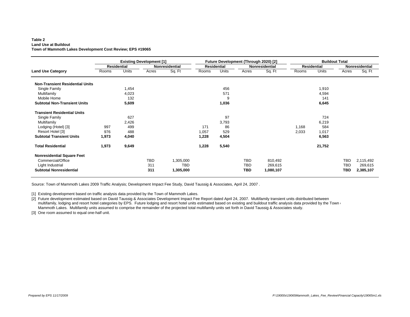#### **Table 2 Land Use at BuildoutTown of Mammoth Lakes Development Cost Review; EPS #19065**

|                                        |       |                    | <b>Existing Development [1]</b> |                |       |                    | <b>Future Development (Through 2020) [2]</b> |                       |       | <b>Buildout Total</b> |            |                |
|----------------------------------------|-------|--------------------|---------------------------------|----------------|-------|--------------------|----------------------------------------------|-----------------------|-------|-----------------------|------------|----------------|
|                                        |       | <b>Residential</b> |                                 | Nonresidential |       | <b>Residential</b> |                                              | <b>Nonresidential</b> |       | <b>Residential</b>    |            | Nonresidential |
| <b>Land Use Category</b>               | Rooms | Units              | Acres                           | Sq. Ft         | Rooms | Units              | Acres                                        | Sq. Ft                | Rooms | <b>Units</b>          | Acres      | Sq. Ft         |
| <b>Non-Transient Residential Units</b> |       |                    |                                 |                |       |                    |                                              |                       |       |                       |            |                |
| Single Family                          |       | 1,454              |                                 |                |       | 456                |                                              |                       |       | 1,910                 |            |                |
| Multifamily                            |       | 4,023              |                                 |                |       | 571                |                                              |                       |       | 4,594                 |            |                |
| Mobile Home                            |       | 132                |                                 |                |       | 9                  |                                              |                       |       | 141                   |            |                |
| <b>Subtotal Non-Transient Units</b>    |       | 5,609              |                                 |                |       | 1,036              |                                              |                       |       | 6,645                 |            |                |
| <b>Transient Residential Units</b>     |       |                    |                                 |                |       |                    |                                              |                       |       |                       |            |                |
| Single Family                          |       | 627                |                                 |                |       | 97                 |                                              |                       |       | 724                   |            |                |
| Multifamily                            |       | 2,426              |                                 |                |       | 3,793              |                                              |                       |       | 6,219                 |            |                |
| Lodging (Hotel) [3]                    | 997   | 499                |                                 |                | 171   | 86                 |                                              |                       | 1,168 | 584                   |            |                |
| Resort Hotel [3]                       | 976   | 488                |                                 |                | 1,057 | 529                |                                              |                       | 2,033 | 1,017                 |            |                |
| <b>Subtotal Transient Units</b>        | 1,973 | 4,040              |                                 |                | 1,228 | 4,504              |                                              |                       |       | 6,563                 |            |                |
| <b>Total Residential</b>               | 1,973 | 9,649              |                                 |                | 1,228 | 5,540              |                                              |                       |       | 21,752                |            |                |
| <b>Nonresidential Square Feet</b>      |       |                    |                                 |                |       |                    |                                              |                       |       |                       |            |                |
| Commercial/Office                      |       |                    | <b>TBD</b>                      | 1,305,000      |       |                    | <b>TBD</b>                                   | 810,492               |       |                       | <b>TBD</b> | 2,115,492      |
| Light Industrial                       |       |                    | 311                             | <b>TBD</b>     |       |                    | <b>TBD</b>                                   | 269,615               |       |                       | <b>TBD</b> | 269,615        |
| <b>Subtotal Nonresidential</b>         |       |                    | 311                             | 1,305,000      |       |                    | TBD                                          | 1,080,107             |       |                       | TBD        | 2,385,107      |
|                                        |       |                    |                                 |                |       |                    |                                              |                       |       |                       |            |                |

Source: Town of Mammoth Lakes 2009 Traffic Analysis; Development Impact Fee Study, David Taussig & Associates, April 24, 2007 .

[1] Existing development based on traffic analysis data provided by the Town of Mammoth Lakes.

multifamily, lodging and resort hotel categories by EPS. Future lodging and resort hotel units estimated based on existing and buildout traffic analysis data provided by the Town Mammoth Lakes. Multifamily units assumed to comprise the remainder of the projected total multifamily units set forth in David Taussig & Associates study. [2] Future development estimated based on David Taussig & Associates Development Impact Fee Report dated April 24, 2007. Multifamily transient units distributed between

[3] One room assumed to equal one-half unit.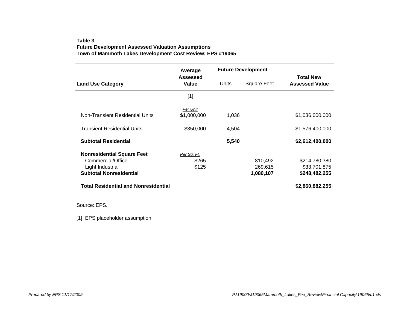### **Table 3Future Development Assessed Valuation Assumptions Town of Mammoth Lakes Development Cost Review; EPS #19065**

|                                                                                                              | Average                       |       | <b>Future Development</b>       |                                                |
|--------------------------------------------------------------------------------------------------------------|-------------------------------|-------|---------------------------------|------------------------------------------------|
| <b>Land Use Category</b>                                                                                     | <b>Assessed</b><br>Value      | Units | <b>Square Feet</b>              | <b>Total New</b><br><b>Assessed Value</b>      |
|                                                                                                              | $[1]$                         |       |                                 |                                                |
| Non-Transient Residential Units                                                                              | Per Unit<br>\$1,000,000       | 1,036 |                                 | \$1,036,000,000                                |
| <b>Transient Residential Units</b>                                                                           | \$350,000                     | 4,504 |                                 | \$1,576,400,000                                |
| <b>Subtotal Residential</b>                                                                                  |                               | 5,540 |                                 | \$2,612,400,000                                |
| <b>Nonresidential Square Feet</b><br>Commercial/Office<br>Light Industrial<br><b>Subtotal Nonresidential</b> | Per Sq. Ft.<br>\$265<br>\$125 |       | 810,492<br>269,615<br>1,080,107 | \$214,780,380<br>\$33,701,875<br>\$248,482,255 |
| <b>Total Residential and Nonresidential</b>                                                                  |                               |       |                                 | \$2,860,882,255                                |

Source: EPS.

[1] EPS placeholder assumption.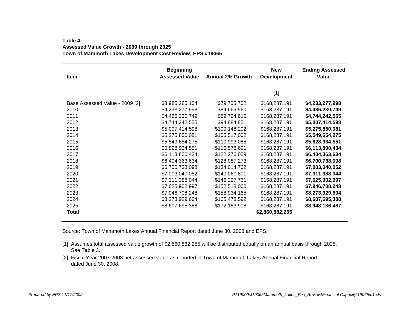### **Table 4Assessed Value Growth - 2009 through 2025 Town of Mammoth Lakes Development Cost Review; EPS #19065**

| Item                           | <b>Beginning</b><br><b>Assessed Value</b> | <b>Annual 2% Growth</b> | <b>New</b><br><b>Development</b> | <b>Ending Assessed</b><br>Value |
|--------------------------------|-------------------------------------------|-------------------------|----------------------------------|---------------------------------|
|                                |                                           |                         | $[1]$                            |                                 |
| Base Assessed Value - 2009 [2] | \$3,985,285,104                           | \$79,705,702            | \$168,287,191                    | \$4,233,277,998                 |
| 2010                           | \$4,233,277,998                           | \$84,665,560            | \$168,287,191                    | \$4,486,230,749                 |
| 2011                           | \$4,486,230,749                           | \$89,724,615            | \$168,287,191                    | \$4,744,242,555                 |
| 2012                           | \$4,744,242,555                           | \$94,884,851            | \$168,287,191                    | \$5,007,414,598                 |
| 2013                           | \$5,007,414,598                           | \$100,148,292           | \$168,287,191                    | \$5,275,850,081                 |
| 2014                           | \$5,275,850,081                           | \$105,517,002           | \$168,287,191                    | \$5,549,654,275                 |
| 2015                           | \$5,549,654,275                           | \$110,993,085           | \$168,287,191                    | \$5,828,934,551                 |
| 2016                           | \$5,828,934,551                           | \$116,578,691           | \$168,287,191                    | \$6,113,800,434                 |
| 2017                           | \$6,113,800,434                           | \$122,276,009           | \$168,287,191                    | \$6,404,363,634                 |
| 2018                           | \$6,404,363,634                           | \$128,087,273           | \$168,287,191                    | \$6,700,738,098                 |
| 2019                           | \$6,700,738,098                           | \$134,014,762           | \$168,287,191                    | \$7,003,040,052                 |
| 2020                           | \$7,003,040,052                           | \$140,060,801           | \$168,287,191                    | \$7,311,388,044                 |
| 2021                           | \$7,311,388,044                           | \$146,227,761           | \$168,287,191                    | \$7,625,902,997                 |
| 2022                           | \$7,625,902,997                           | \$152,518,060           | \$168,287,191                    | \$7,946,708,248                 |
| 2023                           | \$7,946,708,248                           | \$158,934,165           | \$168,287,191                    | \$8,273,929,604                 |
| 2024                           | \$8,273,929,604                           | \$165,478,592           | \$168,287,191                    | \$8,607,695,388                 |
| 2025                           | \$8,607,695,388                           | \$172,153,908           | \$168,287,191                    | \$8,948,136,487                 |
| Total                          |                                           |                         | \$2,860,882,255                  |                                 |

Source: Town of Mammoth Lakes Annual Financial Report dated June 30, 2008 and EPS.

- [1] Assumes total assessed value growth of \$2,860,882,255 will be distributed equally on an annual basis through 2025. See Table 3.
- [2] Fiscal Year 2007-2008 net assessed value as reported in Town of Mammoth Lakes Annual Financial Report dated June 30, 2008.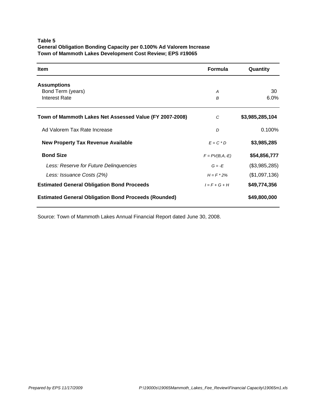### **Table 5 General Obligation Bonding Capacity per 0.100% Ad Valorem Increase Town of Mammoth Lakes Development Cost Review; EPS #19065**

| <b>Item</b>                                                 | <b>Formula</b>     | Quantity        |
|-------------------------------------------------------------|--------------------|-----------------|
| <b>Assumptions</b>                                          |                    |                 |
| Bond Term (years)                                           | A                  | 30              |
| <b>Interest Rate</b>                                        | B                  | $6.0\%$         |
| Town of Mammoth Lakes Net Assessed Value (FY 2007-2008)     | C                  | \$3,985,285,104 |
| Ad Valorem Tax Rate Increase                                | D                  | 0.100%          |
| <b>New Property Tax Revenue Available</b>                   | $E = C \cdot D$    | \$3,985,285     |
| <b>Bond Size</b>                                            | $F = PV(B, A, -E)$ | \$54,856,777    |
| Less: Reserve for Future Delinquencies                      | $G = -F$           | (\$3,985,285)   |
| Less: Issuance Costs (2%)                                   | $H = F * 2\%$      | (\$1,097,136)   |
| <b>Estimated General Obligation Bond Proceeds</b>           | $I = F + G + H$    | \$49,774,356    |
| <b>Estimated General Obligation Bond Proceeds (Rounded)</b> |                    | \$49,800,000    |

Source: Town of Mammoth Lakes Annual Financial Report dated June 30, 2008.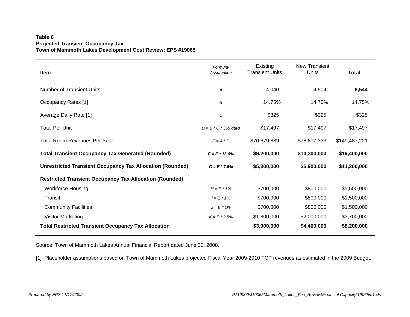### **Table 6 Projected Transient Occupancy Tax Town of Mammoth Lakes Development Cost Review; EPS #19065**

| <b>Item</b>                                                      | Formula/<br>Assumption | Existing<br><b>Transient Units</b> | <b>New Transient</b><br><b>Units</b> | <b>Total</b>  |
|------------------------------------------------------------------|------------------------|------------------------------------|--------------------------------------|---------------|
| <b>Number of Transient Units</b>                                 | Α                      | 4,040                              | 4,504                                | 8,544         |
| Occupancy Rates [1]                                              | B                      | 14.75%                             | 14.75%                               | 14.75%        |
| Average Daily Rate [1]                                           | С                      | \$325                              | \$325                                | \$325         |
| <b>Total Per Unit</b>                                            | $D = B * C * 365$ days | \$17,497                           | \$17,497                             | \$17,497      |
| Total Room Revenues Per Year                                     | $E = A * D$            | \$70,679,889                       | \$78,807,333                         | \$149,487,221 |
| <b>Total Transient Occupancy Tax Generated (Rounded)</b>         | $F = E * 13.0\%$       | \$9,200,000                        | \$10,300,000                         | \$19,400,000  |
| <b>Unrestricted Transient Occupancy Tax Allocation (Rounded)</b> | $G = E * 7.5%$         | \$5,300,000                        | \$5,900,000                          | \$11,200,000  |
| <b>Restricted Transient Occupancy Tax Allocation (Rounded)</b>   |                        |                                    |                                      |               |
| <b>Workforce Housing</b>                                         | $H = E * 1\%$          | \$700,000                          | \$800,000                            | \$1,500,000   |
| Transit                                                          | $I = E * 1\%$          | \$700,000                          | \$800,000                            | \$1,500,000   |
| <b>Community Facilities</b>                                      | $J = E * 1%$           | \$700,000                          | \$800,000                            | \$1,500,000   |
| <b>Visitor Marketing</b>                                         | $K = E * 2.5%$         | \$1,800,000                        | \$2,000,000                          | \$3,700,000   |
| <b>Total Restricted Transient Occupancy Tax Allocation</b>       |                        | \$3,900,000                        | \$4,400,000                          | \$8,200,000   |

Source: Town of Mammoth Lakes Annual Financial Report dated June 30, 2008.

[1] Placeholder assumptions based on Town of Mammoth Lakes projected Fiscal Year 2009-2010 TOT revenues as estimated in the 2009 Budget.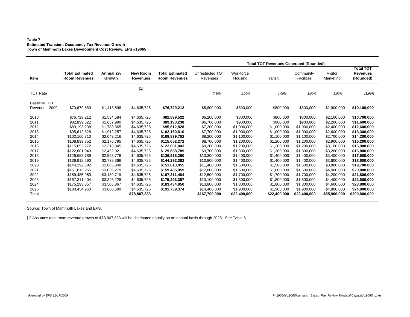#### **Table 7 Estimated Transient Occupancy Tax Revenue Growth Town of Mammoth Lakes Development Cost Review; EPS #19065**

|                                                                                                              |                                                                                                                                                                                                                                        |                                                                                                                                                                                                                |                                                                                                                                                                                                                |                                                                                                                                                                                                                                         |                                                                                                                                                                                                                      |                                                                                                                                                                                                            | <b>Total TOT Revenues Generated (Rounded)</b>                                                                                                                                                              |                                                                                                                                                                                                            |                                                                                                                                                                                                                |                                                                                                                                                                                                                              |
|--------------------------------------------------------------------------------------------------------------|----------------------------------------------------------------------------------------------------------------------------------------------------------------------------------------------------------------------------------------|----------------------------------------------------------------------------------------------------------------------------------------------------------------------------------------------------------------|----------------------------------------------------------------------------------------------------------------------------------------------------------------------------------------------------------------|-----------------------------------------------------------------------------------------------------------------------------------------------------------------------------------------------------------------------------------------|----------------------------------------------------------------------------------------------------------------------------------------------------------------------------------------------------------------------|------------------------------------------------------------------------------------------------------------------------------------------------------------------------------------------------------------|------------------------------------------------------------------------------------------------------------------------------------------------------------------------------------------------------------|------------------------------------------------------------------------------------------------------------------------------------------------------------------------------------------------------------|----------------------------------------------------------------------------------------------------------------------------------------------------------------------------------------------------------------|------------------------------------------------------------------------------------------------------------------------------------------------------------------------------------------------------------------------------|
| Item                                                                                                         | <b>Total Estimated</b><br><b>Room Revenues</b>                                                                                                                                                                                         | Annual 2%<br>Growth                                                                                                                                                                                            | <b>New Room</b><br><b>Revenues</b>                                                                                                                                                                             | <b>Total Estimated</b><br><b>Room Revenues</b>                                                                                                                                                                                          | Unrestricted TOT<br>Revenues                                                                                                                                                                                         | Workforce<br>Housing                                                                                                                                                                                       | Transit                                                                                                                                                                                                    | Community<br><b>Facilities</b>                                                                                                                                                                             | Visitor<br>Marketing                                                                                                                                                                                           | <b>Total TOT</b><br><b>Revenues</b><br>(Rounded)                                                                                                                                                                             |
| <b>TOT Rate</b>                                                                                              |                                                                                                                                                                                                                                        |                                                                                                                                                                                                                | $[1]$                                                                                                                                                                                                          |                                                                                                                                                                                                                                         | 7.50%                                                                                                                                                                                                                | 1.00%                                                                                                                                                                                                      | 1.00%                                                                                                                                                                                                      | 1.00%                                                                                                                                                                                                      | 2.50%                                                                                                                                                                                                          | 13.00%                                                                                                                                                                                                                       |
| <b>Baseline TOT</b><br><b>Revenue - 2009</b>                                                                 | \$70,679,889                                                                                                                                                                                                                           | \$1,413,598                                                                                                                                                                                                    | \$4,635,725                                                                                                                                                                                                    | \$76,729,212                                                                                                                                                                                                                            | \$5,800,000                                                                                                                                                                                                          | \$800,000                                                                                                                                                                                                  | \$800,000                                                                                                                                                                                                  | \$800,000                                                                                                                                                                                                  | \$1,900,000                                                                                                                                                                                                    | \$10,100,000                                                                                                                                                                                                                 |
| 2010<br>2011<br>2012<br>2013<br>2014<br>2015<br>2016<br>2017<br>2018<br>2019<br>2020<br>2021<br>2022<br>2023 | \$76,729,212<br>\$82,899,522<br>\$89,193,238<br>\$95,612,828<br>\$102,160,810<br>\$108,839,752<br>\$115,652,272<br>\$122,601,043<br>\$129,688,789<br>\$136,918,290<br>\$144,292,382<br>\$151,813,955<br>\$159,485,959<br>\$167,311,404 | \$1,534,584<br>\$1,657,990<br>\$1,783,865<br>\$1,912,257<br>\$2,043,216<br>\$2,176,795<br>\$2,313,045<br>\$2,452,021<br>\$2,593,776<br>\$2,738,366<br>\$2,885,848<br>\$3,036,279<br>\$3,189,719<br>\$3,346,228 | \$4,635,725<br>\$4,635,725<br>\$4,635,725<br>\$4,635,725<br>\$4,635,725<br>\$4,635,725<br>\$4,635,725<br>\$4,635,725<br>\$4,635,725<br>\$4,635,725<br>\$4,635,725<br>\$4,635,725<br>\$4,635,725<br>\$4,635,725 | \$82,899,522<br>\$89,193,238<br>\$95,612,828<br>\$102,160,810<br>\$108,839,752<br>\$115,652,272<br>\$122,601,043<br>\$129,688,789<br>\$136,918,290<br>\$144,292,382<br>\$151,813,955<br>\$159,485,959<br>\$167,311,404<br>\$175,293,357 | \$6,200,000<br>\$6,700,000<br>\$7,200,000<br>\$7,700,000<br>\$8,200,000<br>\$8,700,000<br>\$9,200,000<br>\$9,700,000<br>\$10,300,000<br>\$10,800,000<br>\$11,400,000<br>\$12,000,000<br>\$12,500,000<br>\$13,100,000 | \$800,000<br>\$900,000<br>\$1,000,000<br>\$1,000,000<br>\$1,100,000<br>\$1,200,000<br>\$1,200,000<br>\$1,300,000<br>\$1,400,000<br>\$1,400,000<br>\$1,500,000<br>\$1,600,000<br>\$1,700,000<br>\$1,800,000 | \$800,000<br>\$900,000<br>\$1,000,000<br>\$1,000,000<br>\$1,100,000<br>\$1,200,000<br>\$1,200,000<br>\$1,300,000<br>\$1,400,000<br>\$1,400,000<br>\$1,500,000<br>\$1,600,000<br>\$1,700,000<br>\$1,800,000 | \$800,000<br>\$900,000<br>\$1,000,000<br>\$1,000,000<br>\$1.100.000<br>\$1,200,000<br>\$1,200,000<br>\$1,300,000<br>\$1,400,000<br>\$1,400,000<br>\$1,500,000<br>\$1,600,000<br>\$1,700,000<br>\$1,800,000 | \$2,100,000<br>\$2,200,000<br>\$2,400,000<br>\$2,600,000<br>\$2.700.000<br>\$2,900,000<br>\$3,100,000<br>\$3,200,000<br>\$3,400,000<br>\$3,600,000<br>\$3,800,000<br>\$4,000,000<br>\$4,200,000<br>\$4,400,000 | \$10,700,000<br>\$11,600,000<br>\$12,600,000<br>\$13,300,000<br>\$14,200,000<br>\$15,200,000<br>\$15,900,000<br>\$16,800,000<br>\$17,900,000<br>\$18,600,000<br>\$19,700,000<br>\$20,800,000<br>\$21,800,000<br>\$22,900,000 |
| 2024<br>2025<br>Total                                                                                        | \$175,293,357<br>\$183,434,950                                                                                                                                                                                                         | \$3,505,867<br>\$3,668,699                                                                                                                                                                                     | \$4,635,725<br>\$4,635,725<br>\$78,807,333                                                                                                                                                                     | \$183,434,950<br>\$191,739,374                                                                                                                                                                                                          | \$13,800,000<br>\$14,400,000<br>\$167,700,000                                                                                                                                                                        | \$1,800,000<br>\$1,900,000<br>\$22,400,000                                                                                                                                                                 | \$1,800,000<br>\$1,900,000<br>\$22,400,000                                                                                                                                                                 | \$1,800,000<br>\$1,900,000<br>\$22,400,000                                                                                                                                                                 | \$4,600,000<br>\$4,800,000<br>\$55,900,000                                                                                                                                                                     | \$23,800,000<br>\$24,900,000<br>\$290,800,000                                                                                                                                                                                |

Source: Town of Mammoth Lakes and EPS.

[1] Assumes total room revenue growth of \$78,807,333 will be distributed equally on an annual basis through 2025. See Table 6.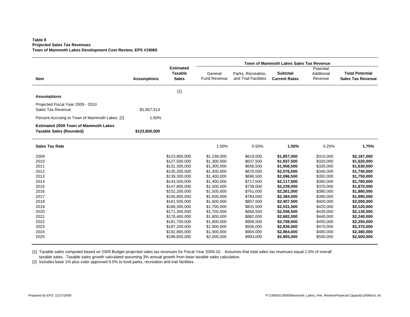#### **Table 8 Projected Sales Tax Revenues Town of Mammoth Lakes Development Cost Review; EPS #19065**

|                                                                               |                    |                                                    |                                |                                            | Town of Mammoth Lakes Sales Tax Revenue |                                    |                                                    |
|-------------------------------------------------------------------------------|--------------------|----------------------------------------------------|--------------------------------|--------------------------------------------|-----------------------------------------|------------------------------------|----------------------------------------------------|
| Item                                                                          | <b>Assumptions</b> | <b>Estimated</b><br><b>Taxable</b><br><b>Sales</b> | General<br><b>Fund Revenue</b> | Parks, Recreation,<br>and Trail Facilities | <b>Subtotal</b><br><b>Current Rates</b> | Potential<br>Additional<br>Revenue | <b>Total Potential</b><br><b>Sales Tax Revenue</b> |
|                                                                               |                    | $[1]$                                              |                                |                                            |                                         |                                    |                                                    |
| <b>Assumptions</b>                                                            |                    |                                                    |                                |                                            |                                         |                                    |                                                    |
| Projected Fiscal Year 2009 - 2010<br>Sales Tax Revenue                        | \$1,857,513        |                                                    |                                |                                            |                                         |                                    |                                                    |
| Percent Accruing to Town of Mammoth Lakes [2]                                 | 1.50%              |                                                    |                                |                                            |                                         |                                    |                                                    |
| <b>Estimated 2009 Town of Mammoth Lakes</b><br><b>Taxable Sales (Rounded)</b> | \$123,800,000      |                                                    |                                |                                            |                                         |                                    |                                                    |
| <b>Sales Tax Rate</b>                                                         |                    |                                                    | 1.00%                          | 0.50%                                      | 1.50%                                   | 0.25%                              | 1.75%                                              |
| 2009                                                                          |                    | \$123,800,000                                      | \$1,238,000                    | \$619,000                                  | \$1,857,000                             | \$310,000                          | \$2,167,000                                        |
| 2010                                                                          |                    | \$127,500,000                                      | \$1,300,000                    | \$637,500                                  | \$1,937,500                             | \$320,000                          | \$1,620,000                                        |
| 2011                                                                          |                    | \$131,300,000                                      | \$1,300,000                    | \$656,500                                  | \$1,956,500                             | \$330,000                          | \$1,630,000                                        |
| 2012                                                                          |                    | \$135,200,000                                      | \$1,400,000                    | \$676,000                                  | \$2,076,000                             | \$340,000                          | \$1,740,000                                        |
| 2013                                                                          |                    | \$139,300,000                                      | \$1,400,000                    | \$696,500                                  | \$2,096,500                             | \$350,000                          | \$1,750,000                                        |
| 2014                                                                          |                    | \$143,500,000                                      | \$1,400,000                    | \$717,500                                  | \$2,117,500                             | \$360,000                          | \$1,760,000                                        |
| 2015<br>2016                                                                  |                    | \$147,800,000<br>\$152,200,000                     | \$1,500,000<br>\$1,500,000     | \$739,000<br>\$761,000                     | \$2,239,000<br>\$2,261,000              | \$370,000<br>\$380,000             | \$1,870,000<br>\$1,880,000                         |
| 2017                                                                          |                    | \$156,800,000                                      | \$1,600,000                    | \$784,000                                  | \$2,384,000                             | \$390,000                          | \$1,990,000                                        |
| 2018                                                                          |                    | \$161,500,000                                      | \$1,600,000                    | \$807,500                                  | \$2,407,500                             | \$400,000                          | \$2,000,000                                        |
| 2019                                                                          |                    | \$166,300,000                                      | \$1,700,000                    | \$831,500                                  | \$2,531,500                             | \$420,000                          | \$2,120,000                                        |
| 2020                                                                          |                    | \$171,300,000                                      | \$1,700,000                    | \$856,500                                  | \$2,556,500                             | \$430,000                          | \$2,130,000                                        |
| 2021                                                                          |                    | \$176,400,000                                      | \$1,800,000                    | \$882,000                                  | \$2,682,000                             | \$440,000                          | \$2,240,000                                        |
| 2022                                                                          |                    | \$181,700,000                                      | \$1,800,000                    | \$908,500                                  | \$2,708,500                             | \$450,000                          | \$2,250,000                                        |
| 2023                                                                          |                    | \$187,200,000                                      | \$1,900,000                    | \$936,000                                  | \$2,836,000                             | \$470,000                          | \$2,370,000                                        |
| 2024                                                                          |                    | \$192,800,000                                      | \$1,900,000                    | \$964,000                                  | \$2,864,000                             | \$480,000                          | \$2,380,000                                        |
| 2025                                                                          |                    | \$198,600,000                                      | \$2,000,000                    | \$993,000                                  | \$2,993,000                             | \$500,000                          | \$2,500,000                                        |

[1] Taxable sales computed based on 2009 Budget projected sales tax revenues for Fiscal Year 2009-10. Assumes that total sales tax revenues equal 1.5% of overall taxable sales. Taxable sales growth calculated assuming 3% annual growth from base taxable sales calculation.

[2] Includes base 1% plus voter approved 0.5% to fund parks, recreation and trail facilities.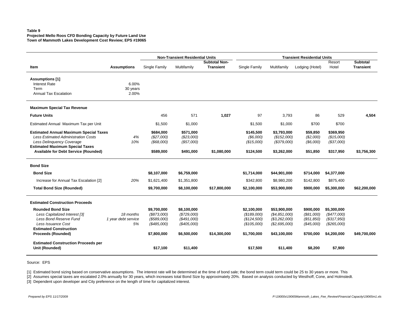#### **Table 9Projected Mello Roos CFD Bonding Capacity by Future Land Use Town of Mammoth Lakes Development Cost Review; EPS #19065**

|                                                                                       |                     |               | <b>Non-Transient Residential Units</b> |                      |               |                | <b>Transient Residential Units</b> |             |                  |
|---------------------------------------------------------------------------------------|---------------------|---------------|----------------------------------------|----------------------|---------------|----------------|------------------------------------|-------------|------------------|
|                                                                                       |                     |               |                                        | <b>Subtotal Non-</b> |               |                |                                    | Resort      | <b>Subtotal</b>  |
| Item                                                                                  | <b>Assumptions</b>  | Single Family | Multifamily                            | <b>Transient</b>     | Single Family | Multifamily    | Lodging (Hotel)                    | Hotel       | <b>Transient</b> |
| <b>Assumptions [1]</b>                                                                |                     |               |                                        |                      |               |                |                                    |             |                  |
| <b>Interest Rate</b>                                                                  | 6.00%               |               |                                        |                      |               |                |                                    |             |                  |
| Term                                                                                  | 30 years            |               |                                        |                      |               |                |                                    |             |                  |
| <b>Annual Tax Escalation</b>                                                          | 2.00%               |               |                                        |                      |               |                |                                    |             |                  |
| <b>Maximum Special Tax Revenue</b>                                                    |                     |               |                                        |                      |               |                |                                    |             |                  |
| <b>Future Units</b>                                                                   |                     | 456           | 571                                    | 1,027                | 97            | 3,793          | 86                                 | 529         | 4,504            |
| Estimated Annual Maximum Tax per Unit                                                 |                     | \$1,500       | \$1,000                                |                      | \$1,500       | \$1,000        | \$700                              | \$700       |                  |
| <b>Estimated Annual Maximum Special Taxes</b>                                         |                     | \$684.000     | \$571,000                              |                      | \$145,500     | \$3,793,000    | \$59,850                           | \$369,950   |                  |
| <b>Less Estimated Administration Costs</b>                                            | 4%                  | (S27,000)     | (\$23,000)                             |                      | (\$6,000)     | (\$152,000)    | (\$2,000)                          | (\$15,000)  |                  |
| Less Delinguency Coverage                                                             | 10%                 | $($ \$68,000) | (\$57,000)                             |                      | (\$15,000)    | (\$379,000)    | (\$6,000)                          | (\$37,000)  |                  |
| <b>Estimated Maximum Special Taxes</b><br><b>Available for Debt Service (Rounded)</b> |                     | \$589,000     |                                        | \$1,080,000          |               |                |                                    |             |                  |
|                                                                                       |                     |               | \$491,000                              |                      | \$124,500     | \$3,262,000    | \$51,850                           | \$317,950   | \$3,756,300      |
| <b>Bond Size</b>                                                                      |                     |               |                                        |                      |               |                |                                    |             |                  |
| <b>Bond Size</b>                                                                      |                     | \$8,107,000   | \$6,759,000                            |                      | \$1,714,000   | \$44,901,000   | \$714,000                          | \$4,377,000 |                  |
| Increase for Annual Tax Escalation [2]                                                | 20%                 | \$1,621,400   | \$1,351,800                            |                      | \$342,800     | \$8,980,200    | \$142,800                          | \$875,400   |                  |
| <b>Total Bond Size (Rounded)</b>                                                      |                     | \$9,700,000   | \$8,100,000                            | \$17,800,000         | \$2,100,000   | \$53,900,000   | \$900,000                          | \$5,300,000 | \$62,200,000     |
| <b>Estimated Construction Proceeds</b>                                                |                     |               |                                        |                      |               |                |                                    |             |                  |
| <b>Rounded Bond Size</b>                                                              |                     | \$9,700,000   | \$8,100,000                            |                      | \$2,100,000   | \$53,900,000   | \$900,000                          | \$5,300,000 |                  |
| Less Capitalized Interest [3]                                                         | 18 months           | (S873,000)    | (\$729,000)                            |                      | (\$189,000)   | (\$4,851,000)  | (\$81,000)                         | (\$477,000) |                  |
| Less Bond Reserve Fund                                                                | 1 year debt service | (\$589,000)   | (\$491,000)                            |                      | (\$124,500)   | (\$3,262,000)  | (\$51,850)                         | (\$317,950) |                  |
| Less Issuance Cost                                                                    | 5%                  | (\$485,000)   | $($ \$405,000)                         |                      | (\$105,000)   | (S2, 695, 000) | $(\$45,000)$                       | (\$265,000) |                  |
| <b>Estimated Construction</b>                                                         |                     |               |                                        |                      |               |                |                                    |             |                  |
| <b>Proceeds (Rounded)</b>                                                             |                     | \$7,800,000   | \$6,500,000                            | \$14,300,000         | \$1,700,000   | \$43,100,000   | \$700,000                          | \$4,200,000 | \$49,700,000     |
| <b>Estimated Construction Proceeds per</b>                                            |                     |               |                                        |                      |               |                |                                    |             |                  |
| Unit (Rounded)                                                                        |                     | \$17,100      | \$11,400                               |                      | \$17,500      | \$11,400       | \$8,200                            | \$7,900     |                  |
|                                                                                       |                     |               |                                        |                      |               |                |                                    |             |                  |

Source: EPS

[1] Estimated bond sizing based on conservative assumptions. The interest rate will be determined at the time of bond sale; the bond term could term could be 25 to 30 years or more. This

[2] Assumes special taxes are escalated 2.0% annually for 30 years, which increases total Bond Size by approximately 20%. Based on analysis conducted by Westhoff, Cone, and Holmstedt.

[3] Dependent upon developer and City preference on the length of time for capitalized interest.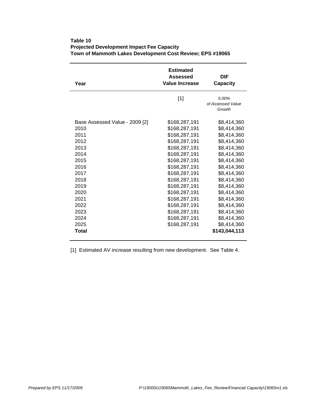| Year                           | <b>Estimated</b><br>Assessed<br><b>Value Increase</b> | DIF<br>Capacity                      |
|--------------------------------|-------------------------------------------------------|--------------------------------------|
|                                | $[1]$                                                 | 5.00%<br>of Assessed Value<br>Growth |
| Base Assessed Value - 2009 [2] | \$168,287,191                                         | \$8,414,360                          |
| 2010                           | \$168,287,191                                         | \$8,414,360                          |
| 2011                           | \$168,287,191                                         | \$8,414,360                          |
| 2012                           | \$168,287,191                                         | \$8,414,360                          |
| 2013                           | \$168,287,191                                         | \$8,414,360                          |
| 2014                           | \$168,287,191                                         | \$8,414,360                          |
| 2015                           | \$168,287,191                                         | \$8,414,360                          |
| 2016                           | \$168,287,191                                         | \$8,414,360                          |
| 2017                           | \$168,287,191                                         | \$8,414,360                          |
| 2018                           | \$168,287,191                                         | \$8,414,360                          |
| 2019                           | \$168,287,191                                         | \$8,414,360                          |
| 2020                           | \$168,287,191                                         | \$8,414,360                          |
| 2021                           | \$168,287,191                                         | \$8,414,360                          |
| 2022                           | \$168,287,191                                         | \$8,414,360                          |
| 2023                           | \$168,287,191                                         | \$8,414,360                          |
| 2024                           | \$168,287,191                                         | \$8,414,360                          |
| 2025                           | \$168,287,191                                         | \$8,414,360                          |
| Total                          |                                                       | \$143,044,113                        |

### **Table 10 Projected Development Impact Fee Capacity Town of Mammoth Lakes Development Cost Review; EPS #19065**

[1] Estimated AV increase resulting from new development. See Table 4.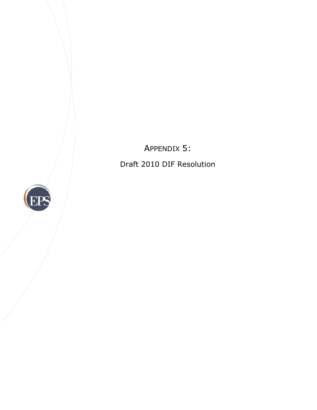APPENDIX 5: Draft 2010 DIF Resolution

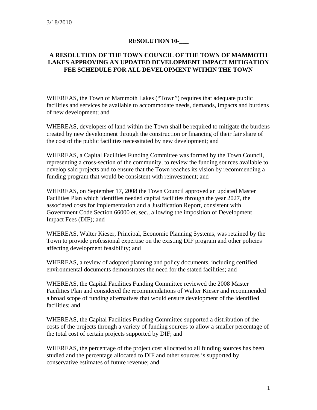### **RESOLUTION 10-\_\_\_**

#### **A RESOLUTION OF THE TOWN COUNCIL OF THE TOWN OF MAMMOTH LAKES APPROVING AN UPDATED DEVELOPMENT IMPACT MITIGATION FEE SCHEDULE FOR ALL DEVELOPMENT WITHIN THE TOWN**

WHEREAS, the Town of Mammoth Lakes ("Town") requires that adequate public facilities and services be available to accommodate needs, demands, impacts and burdens of new development; and

WHEREAS, developers of land within the Town shall be required to mitigate the burdens created by new development through the construction or financing of their fair share of the cost of the public facilities necessitated by new development; and

WHEREAS, a Capital Facilities Funding Committee was formed by the Town Council, representing a cross-section of the community, to review the funding sources available to develop said projects and to ensure that the Town reaches its vision by recommending a funding program that would be consistent with reinvestment; and

WHEREAS, on September 17, 2008 the Town Council approved an updated Master Facilities Plan which identifies needed capital facilities through the year 2027, the associated costs for implementation and a Justification Report, consistent with Government Code Section 66000 et. sec., allowing the imposition of Development Impact Fees (DIF); and

WHEREAS, Walter Kieser, Principal, Economic Planning Systems, was retained by the Town to provide professional expertise on the existing DIF program and other policies affecting development feasibility; and

WHEREAS, a review of adopted planning and policy documents, including certified environmental documents demonstrates the need for the stated facilities; and

WHEREAS, the Capital Facilities Funding Committee reviewed the 2008 Master Facilities Plan and considered the recommendations of Walter Kieser and recommended a broad scope of funding alternatives that would ensure development of the identified facilities; and

WHEREAS, the Capital Facilities Funding Committee supported a distribution of the costs of the projects through a variety of funding sources to allow a smaller percentage of the total cost of certain projects supported by DIF; and

WHEREAS, the percentage of the project cost allocated to all funding sources has been studied and the percentage allocated to DIF and other sources is supported by conservative estimates of future revenue; and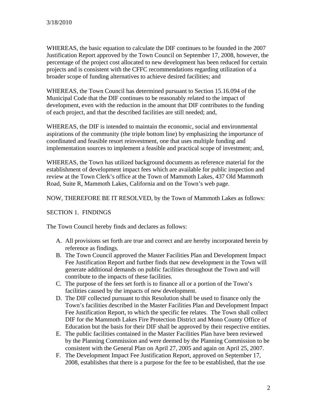WHEREAS, the basic equation to calculate the DIF continues to be founded in the 2007 Justification Report approved by the Town Council on September 17, 2008, however, the percentage of the project cost allocated to new development has been reduced for certain projects and is consistent with the CFFC recommendations regarding utilization of a broader scope of funding alternatives to achieve desired facilities; and

WHEREAS, the Town Council has determined pursuant to Section 15.16.094 of the Municipal Code that the DIF continues to be reasonably related to the impact of development, even with the reduction in the amount that DIF contributes to the funding of each project, and that the described facilities are still needed; and,

WHEREAS, the DIF is intended to maintain the economic, social and environmental aspirations of the community (the triple bottom line) by emphasizing the importance of coordinated and feasible resort reinvestment, one that uses multiple funding and implementation sources to implement a feasible and practical scope of investment; and,

WHEREAS, the Town has utilized background documents as reference material for the establishment of development impact fees which are available for public inspection and review at the Town Clerk's office at the Town of Mammoth Lakes, 437 Old Mammoth Road, Suite R, Mammoth Lakes, California and on the Town's web page.

NOW, THEREFORE BE IT RESOLVED, by the Town of Mammoth Lakes as follows:

# SECTION 1. FINDINGS

The Town Council hereby finds and declares as follows:

- A. All provisions set forth are true and correct and are hereby incorporated herein by reference as findings.
- B. The Town Council approved the Master Facilities Plan and Development Impact Fee Justification Report and further finds that new development in the Town will generate additional demands on public facilities throughout the Town and will contribute to the impacts of these facilities.
- C. The purpose of the fees set forth is to finance all or a portion of the Town's facilities caused by the impacts of new development.
- D. The DIF collected pursuant to this Resolution shall be used to finance only the Town's facilities described in the Master Facilities Plan and Development Impact Fee Justification Report, to which the specific fee relates. The Town shall collect DIF for the Mammoth Lakes Fire Protection District and Mono County Office of Education but the basis for their DIF shall be approved by their respective entities.
- E. The public facilities contained in the Master Facilities Plan have been reviewed by the Planning Commission and were deemed by the Planning Commission to be consistent with the General Plan on April 27, 2005 and again on April 25, 2007.
- F. The Development Impact Fee Justification Report, approved on September 17, 2008, establishes that there is a purpose for the fee to be established, that the use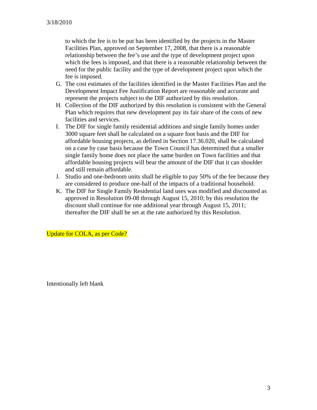to which the fee is to be put has been identified by the projects in the Master Facilities Plan, approved on September 17, 2008, that there is a reasonable relationship between the fee's use and the type of development project upon which the fees is imposed, and that there is a reasonable relationship between the need for the public facility and the type of development project upon which the fee is imposed.

- G. The cost estimates of the facilities identified in the Master Facilities Plan and the Development Impact Fee Justification Report are reasonable and accurate and represent the projects subject to the DIF authorized by this resolution.
- H. Collection of the DIF authorized by this resolution is consistent with the General Plan which requires that new development pay its fair share of the costs of new facilities and services.
- I. The DIF for single family residential additions and single family homes under 3000 square feet shall be calculated on a square foot basis and the DIF for affordable housing projects, as defined in Section 17.36.020, shall be calculated on a case by case basis because the Town Council has determined that a smaller single family home does not place the same burden on Town facilities and that affordable housing projects will bear the amount of the DIF that it can shoulder and still remain affordable.
- J. Studio and one-bedroom units shall be eligible to pay 50% of the fee because they are considered to produce one-half of the impacts of a traditional household.
- K. The DIF for Single Family Residential land uses was modified and discounted as approved in Resolution 09-08 through August 15, 2010; by this resolution the discount shall continue for one additional year through August 15, 2011; thereafter the DIF shall be set at the rate authorized by this Resolution.

Update for COLA, as per Code?

Intentionally left blank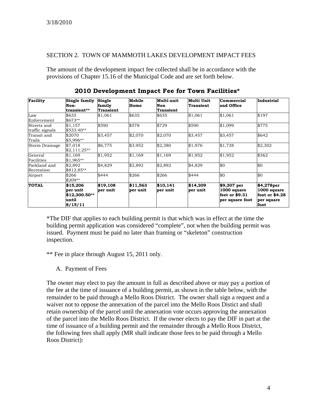### SECTION 2. TOWN OF MAMMOTH LAKES DEVELOPMENT IMPACT FEES

The amount of the development impact fee collected shall be in accordance with the provisions of Chapter 15.16 of the Municipal Code and are set forth below.

| Facility        | Single family<br>Non-<br>transient** | Single<br>family<br><b>Transient</b> | Mobile<br>Home | Multi-unit<br>Non<br>Transient | Multi Unit<br>Transient | <b>Commercial</b><br>and Office | Industrial     |             |          |         |       |       |         |         |       |
|-----------------|--------------------------------------|--------------------------------------|----------------|--------------------------------|-------------------------|---------------------------------|----------------|-------------|----------|---------|-------|-------|---------|---------|-------|
|                 |                                      |                                      |                |                                |                         |                                 |                | Law         | \$635    | \$1,061 | \$635 | \$635 | \$1,061 | \$1,061 | \$197 |
|                 |                                      |                                      |                |                                |                         |                                 |                | Enforcement | $$673**$ |         |       |       |         |         |       |
| Streets and     | \$1,157                              | \$590                                | \$578          | \$729                          | \$590                   | \$1,099                         | \$775          |             |          |         |       |       |         |         |       |
| traffic signals | $$533.40**$                          |                                      |                |                                |                         |                                 |                |             |          |         |       |       |         |         |       |
| Transit and     | \$2070                               | \$3,457                              | \$2,070        | \$2,070                        | \$3,457                 | \$3,457                         | \$642          |             |          |         |       |       |         |         |       |
| Trails          | \$5,996**                            |                                      |                |                                |                         |                                 |                |             |          |         |       |       |         |         |       |
| Storm Drainage  | \$7,018                              | \$6,775                              | \$3,952        | \$2,380                        | \$1,976                 | \$1,738                         | \$2,302        |             |          |         |       |       |         |         |       |
|                 | $$2,111.25**$                        |                                      |                |                                |                         |                                 |                |             |          |         |       |       |         |         |       |
| General         | \$1,169                              | \$1,952                              | \$1,169        | \$1,169                        | \$1,952                 | \$1,952                         | \$362          |             |          |         |       |       |         |         |       |
| Facilities      | $$1,965**$                           |                                      |                |                                |                         |                                 |                |             |          |         |       |       |         |         |       |
| Parkland and    | \$2,892                              | \$4,829                              | \$2,892        | \$2,892                        | \$4,829                 | \$0                             | \$0            |             |          |         |       |       |         |         |       |
| Recreation      | \$812.85**                           |                                      |                |                                |                         |                                 |                |             |          |         |       |       |         |         |       |
| Airport         | \$266                                | \$444                                | \$266          | \$266                          | \$444                   | \$0                             | \$0            |             |          |         |       |       |         |         |       |
|                 | $$209**$                             |                                      |                |                                |                         |                                 |                |             |          |         |       |       |         |         |       |
| <b>TOTAL</b>    | \$15,206                             | \$19,108                             | \$11,563       | \$10,141                       | \$14,309                | $$9,307$ per                    | \$4,278per     |             |          |         |       |       |         |         |       |
|                 | per unit                             | per unit                             | per unit       | per unit                       | per unit                | 1000 square                     | 1000 square    |             |          |         |       |       |         |         |       |
|                 | $$12,300.50**$                       |                                      |                |                                |                         | feet or \$9.31                  | foot or \$4.28 |             |          |         |       |       |         |         |       |
|                 | until                                |                                      |                |                                |                         | per square foot                 | per square     |             |          |         |       |       |         |         |       |
|                 | 8/15/11                              |                                      |                |                                |                         |                                 | foot           |             |          |         |       |       |         |         |       |

**2010 Development Impact Fee for Town Facilities\*** 

\*The DIF that applies to each building permit is that which was in effect at the time the building permit application was considered "complete", not when the building permit was issued. Payment must be paid no later than framing or "skeleton" construction inspection.

\*\* Fee in place through August 15, 2011 only.

A. Payment of Fees

The owner may elect to pay the amount in full as described above or may pay a portion of the fee at the time of issuance of a building permit, as shown in the table below, with the remainder to be paid through a Mello Roos District. The owner shall sign a request and a waiver not to oppose the annexation of the parcel into the Mello Roos Distict and shall retain ownership of the parcel until the annexation vote occurs approving the annexation of the parcel into the Mello Roos District. If the owner elects to pay the DIF in part at the time of issuance of a building permit and the remainder through a Mello Roos District, the following fees shall apply (MR shall indicate those fees to be paid through a Mello Roos District):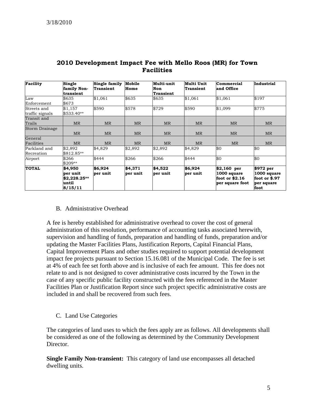| <b>Facility</b>                | Single<br>family Non-<br>transient                      | Single family<br><b>Transient</b> | Mobile<br>Home      | Multi-unit<br>Non<br><b>Transient</b> | Multi Unit<br><b>Transient</b> | Commercial<br>and Office                                          | Industrial                                                      |
|--------------------------------|---------------------------------------------------------|-----------------------------------|---------------------|---------------------------------------|--------------------------------|-------------------------------------------------------------------|-----------------------------------------------------------------|
| Law<br>Enforcement             | \$635<br>\$673                                          | \$1,061                           | \$635               | \$635                                 | \$1,061                        | \$1,061                                                           | \$197                                                           |
| Streets and<br>traffic signals | \$1,157<br>\$533.40**                                   | \$590                             | \$578               | \$729                                 | \$590                          | \$1,099                                                           | \$775                                                           |
| Transit and<br>Trails          | <b>MR</b>                                               | <b>MR</b>                         | <b>MR</b>           | <b>MR</b>                             | <b>MR</b>                      | <b>MR</b>                                                         | <b>MR</b>                                                       |
| Storm Drainage                 | <b>MR</b>                                               | <b>MR</b>                         | <b>MR</b>           | <b>MR</b>                             | <b>MR</b>                      | <b>MR</b>                                                         | <b>MR</b>                                                       |
| General<br>Facilities          | <b>MR</b>                                               | <b>MR</b>                         | <b>MR</b>           | <b>MR</b>                             | <b>MR</b>                      | <b>MR</b>                                                         | <b>MR</b>                                                       |
| Parkland and<br>Recreation     | \$2,892<br>$$812.85**$                                  | \$4,829                           | \$2,892             | \$2,892                               | \$4,829                        | \$0                                                               | \$0                                                             |
| Airport                        | \$266<br>$$209**$                                       | \$444                             | \$266               | \$266                                 | \$444                          | \$0                                                               | \$0                                                             |
| <b>TOTAL</b>                   | \$4,950<br>per unit<br>\$2,228.25**<br>until<br>8/15/11 | \$6.924<br>per unit               | \$4,371<br>per unit | \$4.522<br>per unit                   | \$6,924<br>per unit            | $$2,160$ per<br>1000 square<br>foot or $$2.16$<br>per square foot | \$972 per<br>1000 square<br>foot or \$.97<br>per square<br>foot |

# **2010 Development Impact Fee with Mello Roos (MR) for Town Facilities**

#### B. Administrative Overhead

A fee is hereby established for administrative overhead to cover the cost of general administration of this resolution, performance of accounting tasks associated herewith, supervision and handling of funds, preparation and handling of funds, preparation and/or updating the Master Facilities Plans, Justification Reports, Capital Financial Plans, Capital Improvement Plans and other studies required to support potential development impact fee projects pursuant to Section 15.16.081 of the Municipal Code. The fee is set at 4% of each fee set forth above and is inclusive of each fee amount. This fee does not relate to and is not designed to cover administrative costs incurred by the Town in the case of any specific public facility constructed with the fees referenced in the Master Facilities Plan or Justification Report since such project specific administrative costs are included in and shall be recovered from such fees.

C. Land Use Categories

The categories of land uses to which the fees apply are as follows. All developments shall be considered as one of the following as determined by the Community Development Director.

**Single Family Non-transient:** This category of land use encompasses all detached dwelling units.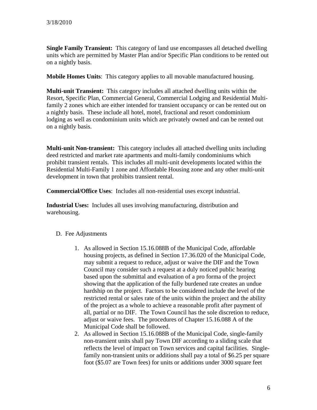**Single Family Transient:** This category of land use encompasses all detached dwelling units which are permitted by Master Plan and/or Specific Plan conditions to be rented out on a nightly basis.

**Mobile Homes Units**: This category applies to all movable manufactured housing.

**Multi-unit Transient:** This category includes all attached dwelling units within the Resort, Specific Plan, Commercial General, Commercial Lodging and Residential Multifamily 2 zones which are either intended for transient occupancy or can be rented out on a nightly basis. These include all hotel, motel, fractional and resort condominium lodging as well as condominium units which are privately owned and can be rented out on a nightly basis.

**Multi-unit Non-transient:** This category includes all attached dwelling units including deed restricted and market rate apartments and multi-family condominiums which prohibit transient rentals. This includes all multi-unit developments located within the Residential Multi-Family 1 zone and Affordable Housing zone and any other multi-unit development in town that prohibits transient rental.

**Commercial/Office Uses**: Includes all non-residential uses except industrial.

**Industrial Uses:** Includes all uses involving manufacturing, distribution and warehousing.

#### D. Fee Adjustments

- 1. As allowed in Section 15.16.088B of the Municipal Code, affordable housing projects, as defined in Section 17.36.020 of the Municipal Code, may submit a request to reduce, adjust or waive the DIF and the Town Council may consider such a request at a duly noticed public hearing based upon the submittal and evaluation of a pro forma of the project showing that the application of the fully burdened rate creates an undue hardship on the project. Factors to be considered include the level of the restricted rental or sales rate of the units within the project and the ability of the project as a whole to achieve a reasonable profit after payment of all, partial or no DIF. The Town Council has the sole discretion to reduce, adjust or waive fees. The procedures of Chapter 15.16.088 A of the Municipal Code shall be followed.
- 2. As allowed in Section 15.16.088B of the Municipal Code, single-family non-transient units shall pay Town DIF according to a sliding scale that reflects the level of impact on Town services and capital facilities. Singlefamily non-transient units or additions shall pay a total of \$6.25 per square foot (\$5.07 are Town fees) for units or additions under 3000 square feet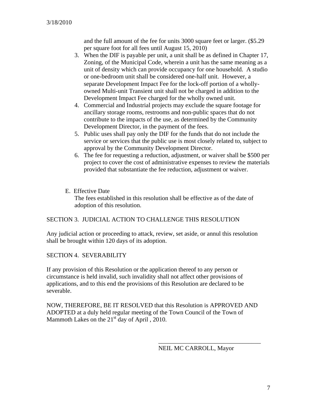and the full amount of the fee for units 3000 square feet or larger. (\$5.29 per square foot for all fees until August 15, 2010)

- 3. When the DIF is payable per unit, a unit shall be as defined in Chapter 17, Zoning, of the Municipal Code, wherein a unit has the same meaning as a unit of density which can provide occupancy for one household. A studio or one-bedroom unit shall be considered one-half unit. However, a separate Development Impact Fee for the lock-off portion of a whollyowned Multi-unit Transient unit shall not be charged in addition to the Development Impact Fee charged for the wholly owned unit.
- 4. Commercial and Industrial projects may exclude the square footage for ancillary storage rooms, restrooms and non-public spaces that do not contribute to the impacts of the use, as determined by the Community Development Director, in the payment of the fees.
- 5. Public uses shall pay only the DIF for the funds that do not include the service or services that the public use is most closely related to, subject to approval by the Community Development Director.
- 6. The fee for requesting a reduction, adjustment, or waiver shall be \$500 per project to cover the cost of administrative expenses to review the materials provided that substantiate the fee reduction, adjustment or waiver.
- E. Effective Date

The fees established in this resolution shall be effective as of the date of adoption of this resolution.

# SECTION 3. JUDICIAL ACTION TO CHALLENGE THIS RESOLUTION

Any judicial action or proceeding to attack, review, set aside, or annul this resolution shall be brought within 120 days of its adoption.

SECTION 4. SEVERABILITY

If any provision of this Resolution or the application thereof to any person or circumstance is held invalid, such invalidity shall not affect other provisions of applications, and to this end the provisions of this Resolution are declared to be severable.

NOW, THEREFORE, BE IT RESOLVED that this Resolution is APPROVED AND ADOPTED at a duly held regular meeting of the Town Council of the Town of Mammoth Lakes on the  $21<sup>st</sup>$  day of April, 2010.

 $\overline{\phantom{a}}$  , which is a set of the set of the set of the set of the set of the set of the set of the set of the set of the set of the set of the set of the set of the set of the set of the set of the set of the set of th

NEIL MC CARROLL, Mayor